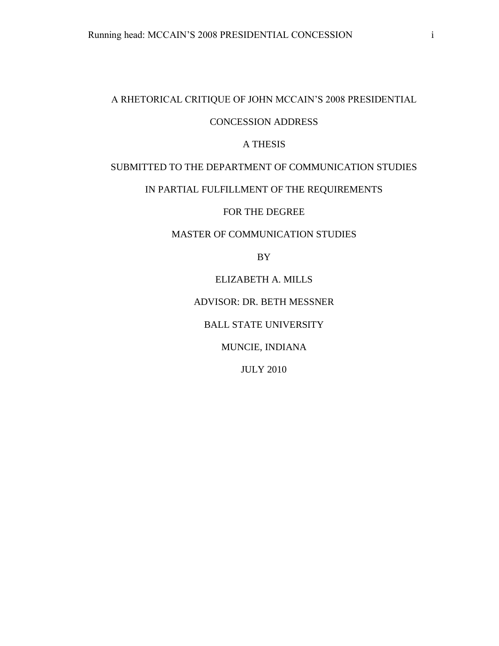## A RHETORICAL CRITIQUE OF JOHN MCCAIN"S 2008 PRESIDENTIAL

## CONCESSION ADDRESS

## A THESIS

## SUBMITTED TO THE DEPARTMENT OF COMMUNICATION STUDIES

## IN PARTIAL FULFILLMENT OF THE REQUIREMENTS

FOR THE DEGREE

## MASTER OF COMMUNICATION STUDIES

BY

## ELIZABETH A. MILLS

## ADVISOR: DR. BETH MESSNER

## BALL STATE UNIVERSITY

## MUNCIE, INDIANA

## JULY 2010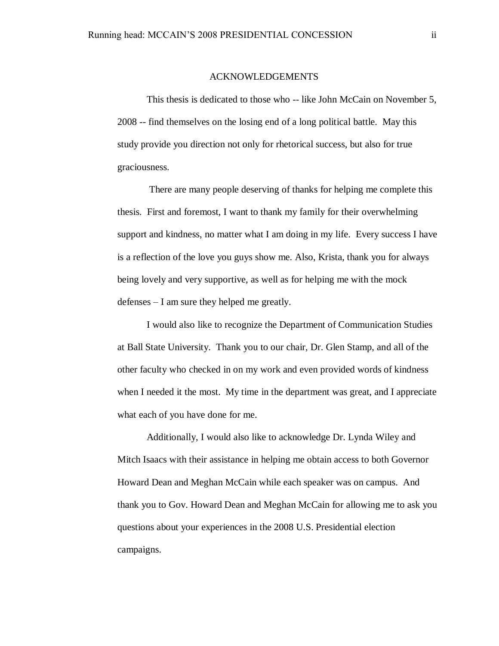#### ACKNOWLEDGEMENTS

This thesis is dedicated to those who -- like John McCain on November 5, 2008 -- find themselves on the losing end of a long political battle. May this study provide you direction not only for rhetorical success, but also for true graciousness.

There are many people deserving of thanks for helping me complete this thesis. First and foremost, I want to thank my family for their overwhelming support and kindness, no matter what I am doing in my life. Every success I have is a reflection of the love you guys show me. Also, Krista, thank you for always being lovely and very supportive, as well as for helping me with the mock defenses – I am sure they helped me greatly.

I would also like to recognize the Department of Communication Studies at Ball State University. Thank you to our chair, Dr. Glen Stamp, and all of the other faculty who checked in on my work and even provided words of kindness when I needed it the most. My time in the department was great, and I appreciate what each of you have done for me.

Additionally, I would also like to acknowledge Dr. Lynda Wiley and Mitch Isaacs with their assistance in helping me obtain access to both Governor Howard Dean and Meghan McCain while each speaker was on campus. And thank you to Gov. Howard Dean and Meghan McCain for allowing me to ask you questions about your experiences in the 2008 U.S. Presidential election campaigns.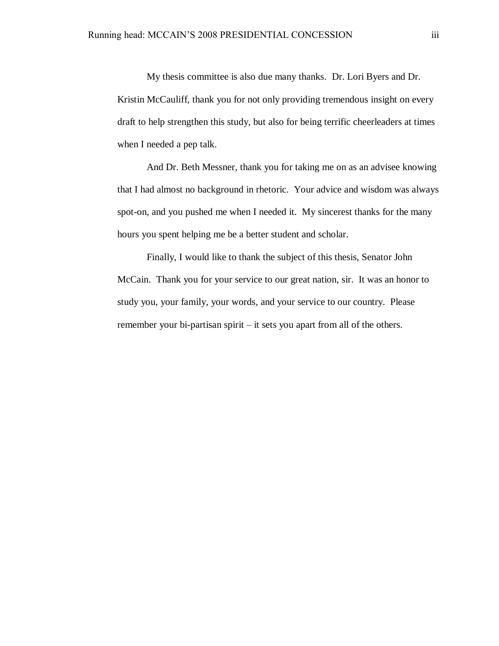My thesis committee is also due many thanks. Dr. Lori Byers and Dr. Kristin McCauliff, thank you for not only providing tremendous insight on every draft to help strengthen this study, but also for being terrific cheerleaders at times when I needed a pep talk.

And Dr. Beth Messner, thank you for taking me on as an advisee knowing that I had almost no background in rhetoric. Your advice and wisdom was always spot-on, and you pushed me when I needed it. My sincerest thanks for the many hours you spent helping me be a better student and scholar.

Finally, I would like to thank the subject of this thesis, Senator John McCain. Thank you for your service to our great nation, sir. It was an honor to study you, your family, your words, and your service to our country. Please remember your bi-partisan spirit – it sets you apart from all of the others.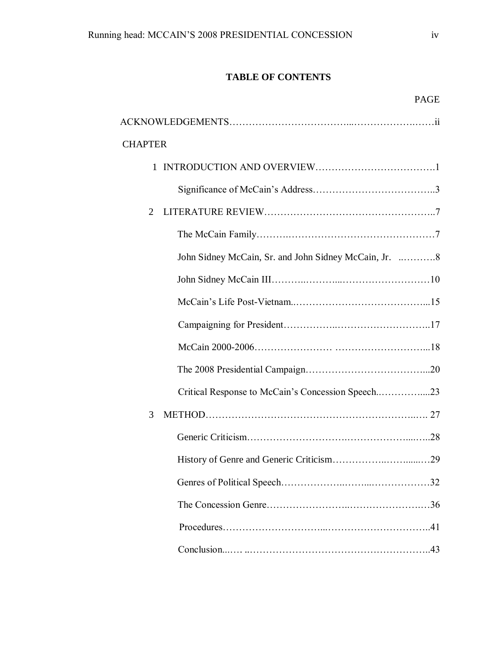# **TABLE OF CONTENTS**

PAGE

| <b>CHAPTER</b>                                    |  |  |  |  |
|---------------------------------------------------|--|--|--|--|
|                                                   |  |  |  |  |
|                                                   |  |  |  |  |
| 2                                                 |  |  |  |  |
|                                                   |  |  |  |  |
|                                                   |  |  |  |  |
|                                                   |  |  |  |  |
|                                                   |  |  |  |  |
|                                                   |  |  |  |  |
|                                                   |  |  |  |  |
|                                                   |  |  |  |  |
| Critical Response to McCain's Concession Speech23 |  |  |  |  |
| 3                                                 |  |  |  |  |
|                                                   |  |  |  |  |
|                                                   |  |  |  |  |
|                                                   |  |  |  |  |
|                                                   |  |  |  |  |
|                                                   |  |  |  |  |
|                                                   |  |  |  |  |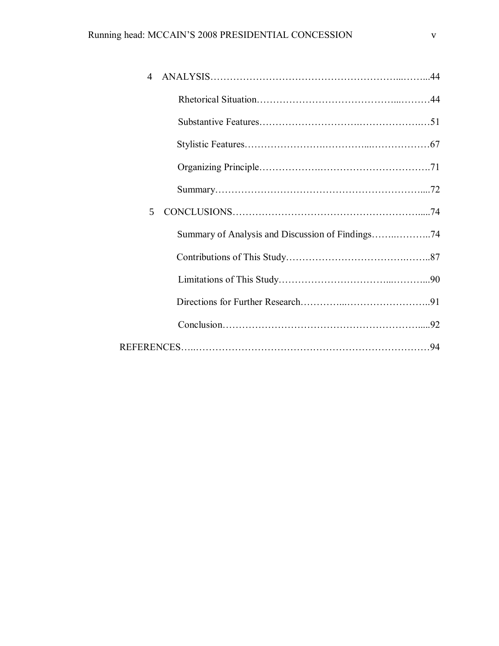|  | 4                       |                                                  |  |
|--|-------------------------|--------------------------------------------------|--|
|  |                         |                                                  |  |
|  |                         |                                                  |  |
|  |                         |                                                  |  |
|  |                         |                                                  |  |
|  |                         |                                                  |  |
|  | $\overline{\mathbf{z}}$ |                                                  |  |
|  |                         | Summary of Analysis and Discussion of Findings74 |  |
|  |                         |                                                  |  |
|  |                         |                                                  |  |
|  |                         |                                                  |  |
|  |                         |                                                  |  |
|  |                         |                                                  |  |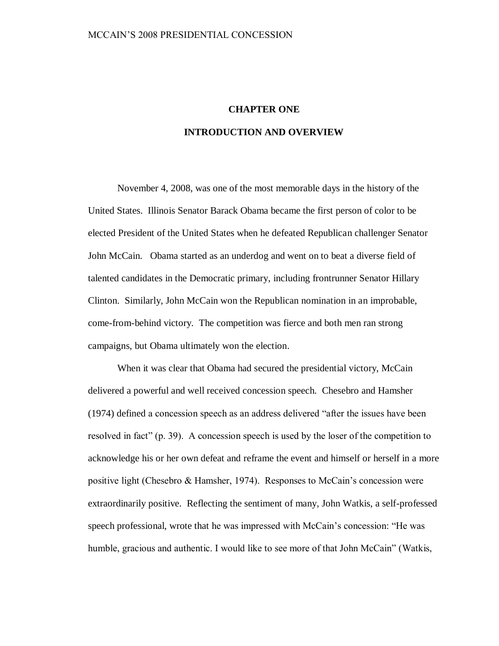## **CHAPTER ONE**

## **INTRODUCTION AND OVERVIEW**

November 4, 2008, was one of the most memorable days in the history of the United States. Illinois Senator Barack Obama became the first person of color to be elected President of the United States when he defeated Republican challenger Senator John McCain. Obama started as an underdog and went on to beat a diverse field of talented candidates in the Democratic primary, including frontrunner Senator Hillary Clinton. Similarly, John McCain won the Republican nomination in an improbable, come-from-behind victory. The competition was fierce and both men ran strong campaigns, but Obama ultimately won the election.

When it was clear that Obama had secured the presidential victory, McCain delivered a powerful and well received concession speech. Chesebro and Hamsher (1974) defined a concession speech as an address delivered "after the issues have been resolved in fact" (p. 39). A concession speech is used by the loser of the competition to acknowledge his or her own defeat and reframe the event and himself or herself in a more positive light (Chesebro & Hamsher, 1974). Responses to McCain"s concession were extraordinarily positive. Reflecting the sentiment of many, John Watkis, a self-professed speech professional, wrote that he was impressed with McCain"s concession: "He was humble, gracious and authentic. I would like to see more of that John McCain" (Watkis,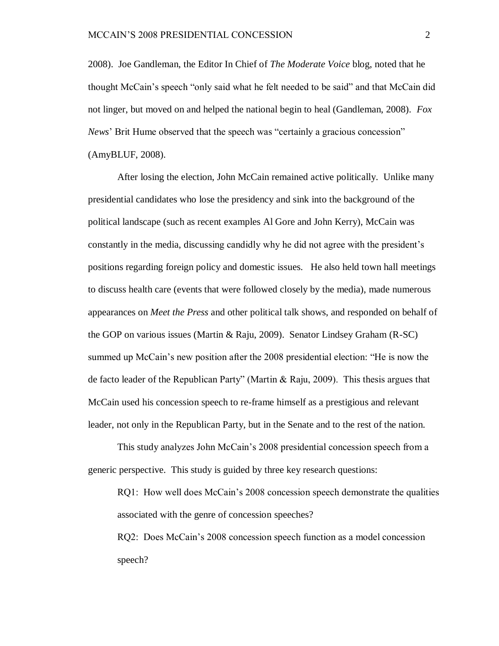2008). Joe Gandleman, the Editor In Chief of *The Moderate Voice* blog, noted that he thought McCain"s speech "only said what he felt needed to be said" and that McCain did not linger, but moved on and helped the national begin to heal (Gandleman, 2008). *Fox News*" Brit Hume observed that the speech was "certainly a gracious concession" (AmyBLUF, 2008).

After losing the election, John McCain remained active politically. Unlike many presidential candidates who lose the presidency and sink into the background of the political landscape (such as recent examples Al Gore and John Kerry), McCain was constantly in the media, discussing candidly why he did not agree with the president"s positions regarding foreign policy and domestic issues. He also held town hall meetings to discuss health care (events that were followed closely by the media), made numerous appearances on *Meet the Press* and other political talk shows, and responded on behalf of the GOP on various issues (Martin & Raju, 2009). Senator Lindsey Graham (R-SC) summed up McCain"s new position after the 2008 presidential election: "He is now the de facto leader of the Republican Party" (Martin & Raju, 2009). This thesis argues that McCain used his concession speech to re-frame himself as a prestigious and relevant leader, not only in the Republican Party, but in the Senate and to the rest of the nation.

This study analyzes John McCain"s 2008 presidential concession speech from a generic perspective. This study is guided by three key research questions:

RQ1: How well does McCain"s 2008 concession speech demonstrate the qualities associated with the genre of concession speeches?

RQ2: Does McCain"s 2008 concession speech function as a model concession speech?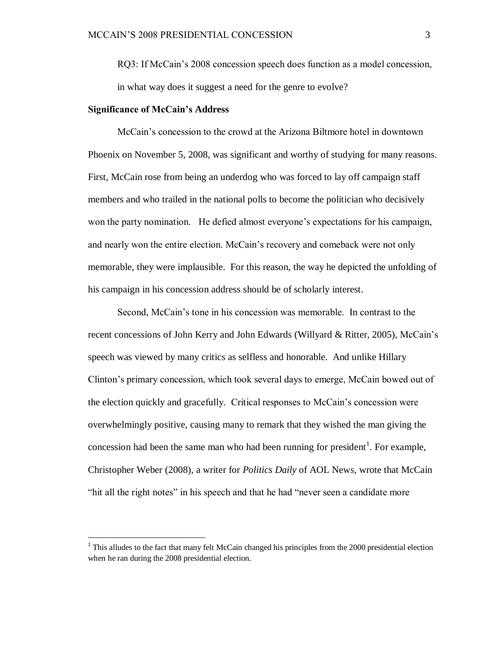RQ3: If McCain"s 2008 concession speech does function as a model concession,

in what way does it suggest a need for the genre to evolve?

### **Significance of McCain's Address**

 $\overline{a}$ 

McCain"s concession to the crowd at the Arizona Biltmore hotel in downtown Phoenix on November 5, 2008, was significant and worthy of studying for many reasons. First, McCain rose from being an underdog who was forced to lay off campaign staff members and who trailed in the national polls to become the politician who decisively won the party nomination. He defied almost everyone's expectations for his campaign, and nearly won the entire election. McCain"s recovery and comeback were not only memorable, they were implausible. For this reason, the way he depicted the unfolding of his campaign in his concession address should be of scholarly interest.

Second, McCain"s tone in his concession was memorable. In contrast to the recent concessions of John Kerry and John Edwards (Willyard & Ritter, 2005), McCain"s speech was viewed by many critics as selfless and honorable. And unlike Hillary Clinton"s primary concession, which took several days to emerge, McCain bowed out of the election quickly and gracefully. Critical responses to McCain"s concession were overwhelmingly positive, causing many to remark that they wished the man giving the concession had been the same man who had been running for president<sup>1</sup>. For example, Christopher Weber (2008), a writer for *Politics Daily* of AOL News, wrote that McCain "hit all the right notes" in his speech and that he had "never seen a candidate more

<sup>&</sup>lt;sup>1</sup> This alludes to the fact that many felt McCain changed his principles from the 2000 presidential election when he ran during the 2008 presidential election.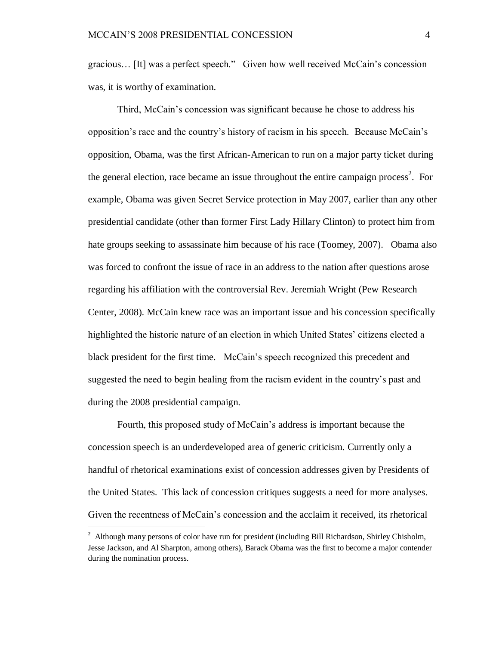gracious… [It] was a perfect speech." Given how well received McCain"s concession was, it is worthy of examination.

Third, McCain"s concession was significant because he chose to address his opposition"s race and the country"s history of racism in his speech. Because McCain"s opposition, Obama, was the first African-American to run on a major party ticket during the general election, race became an issue throughout the entire campaign process<sup>2</sup>. For example, Obama was given Secret Service protection in May 2007, earlier than any other presidential candidate (other than former First Lady Hillary Clinton) to protect him from hate groups seeking to assassinate him because of his race (Toomey, 2007). Obama also was forced to confront the issue of race in an address to the nation after questions arose regarding his affiliation with the controversial Rev. Jeremiah Wright (Pew Research Center, 2008). McCain knew race was an important issue and his concession specifically highlighted the historic nature of an election in which United States' citizens elected a black president for the first time. McCain"s speech recognized this precedent and suggested the need to begin healing from the racism evident in the country"s past and during the 2008 presidential campaign.

Fourth, this proposed study of McCain"s address is important because the concession speech is an underdeveloped area of generic criticism. Currently only a handful of rhetorical examinations exist of concession addresses given by Presidents of the United States. This lack of concession critiques suggests a need for more analyses. Given the recentness of McCain"s concession and the acclaim it received, its rhetorical

 $\overline{a}$ 

<sup>&</sup>lt;sup>2</sup> Although many persons of color have run for president (including Bill Richardson, Shirley Chisholm, Jesse Jackson, and Al Sharpton, among others), Barack Obama was the first to become a major contender during the nomination process.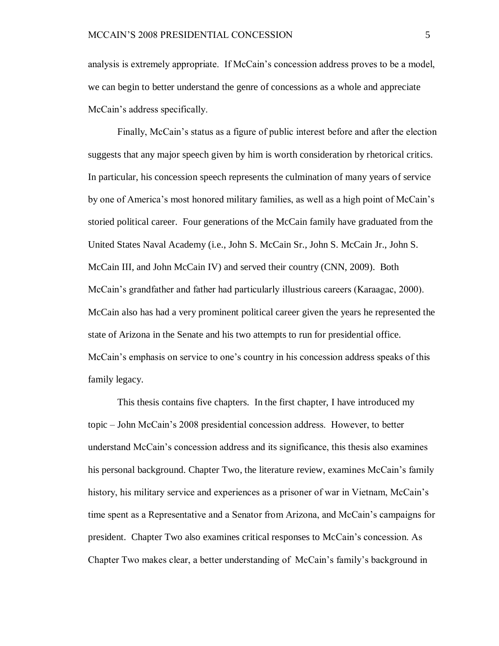analysis is extremely appropriate. If McCain"s concession address proves to be a model, we can begin to better understand the genre of concessions as a whole and appreciate McCain"s address specifically.

Finally, McCain"s status as a figure of public interest before and after the election suggests that any major speech given by him is worth consideration by rhetorical critics. In particular, his concession speech represents the culmination of many years of service by one of America's most honored military families, as well as a high point of McCain's storied political career. Four generations of the McCain family have graduated from the United States Naval Academy (i.e., John S. McCain Sr., John S. McCain Jr., John S. McCain III, and John McCain IV) and served their country (CNN, 2009). Both McCain"s grandfather and father had particularly illustrious careers (Karaagac, 2000). McCain also has had a very prominent political career given the years he represented the state of Arizona in the Senate and his two attempts to run for presidential office. McCain"s emphasis on service to one"s country in his concession address speaks of this family legacy.

This thesis contains five chapters. In the first chapter, I have introduced my topic – John McCain"s 2008 presidential concession address. However, to better understand McCain"s concession address and its significance, this thesis also examines his personal background. Chapter Two, the literature review, examines McCain"s family history, his military service and experiences as a prisoner of war in Vietnam, McCain's time spent as a Representative and a Senator from Arizona, and McCain"s campaigns for president. Chapter Two also examines critical responses to McCain"s concession. As Chapter Two makes clear, a better understanding of McCain"s family"s background in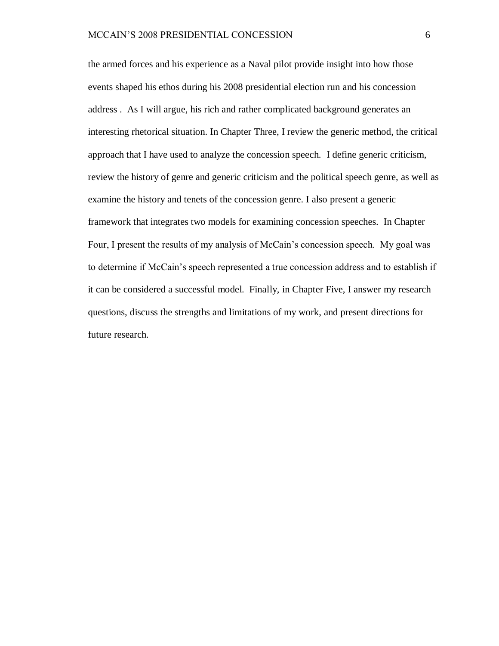the armed forces and his experience as a Naval pilot provide insight into how those events shaped his ethos during his 2008 presidential election run and his concession address . As I will argue, his rich and rather complicated background generates an interesting rhetorical situation. In Chapter Three, I review the generic method, the critical approach that I have used to analyze the concession speech. I define generic criticism, review the history of genre and generic criticism and the political speech genre, as well as examine the history and tenets of the concession genre. I also present a generic framework that integrates two models for examining concession speeches. In Chapter Four, I present the results of my analysis of McCain"s concession speech. My goal was to determine if McCain"s speech represented a true concession address and to establish if it can be considered a successful model. Finally, in Chapter Five, I answer my research questions, discuss the strengths and limitations of my work, and present directions for future research.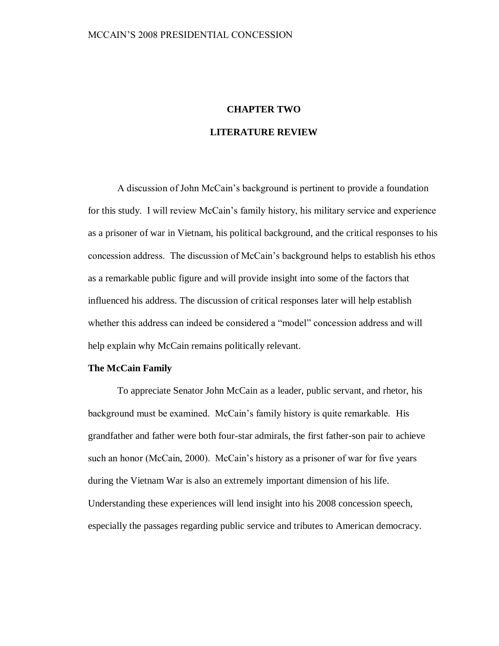# **CHAPTER TWO**

## **LITERATURE REVIEW**

A discussion of John McCain"s background is pertinent to provide a foundation for this study. I will review McCain"s family history, his military service and experience as a prisoner of war in Vietnam, his political background, and the critical responses to his concession address. The discussion of McCain"s background helps to establish his ethos as a remarkable public figure and will provide insight into some of the factors that influenced his address. The discussion of critical responses later will help establish whether this address can indeed be considered a "model" concession address and will help explain why McCain remains politically relevant.

## **The McCain Family**

To appreciate Senator John McCain as a leader, public servant, and rhetor, his background must be examined. McCain"s family history is quite remarkable. His grandfather and father were both four-star admirals, the first father-son pair to achieve such an honor (McCain, 2000). McCain"s history as a prisoner of war for five years during the Vietnam War is also an extremely important dimension of his life. Understanding these experiences will lend insight into his 2008 concession speech, especially the passages regarding public service and tributes to American democracy.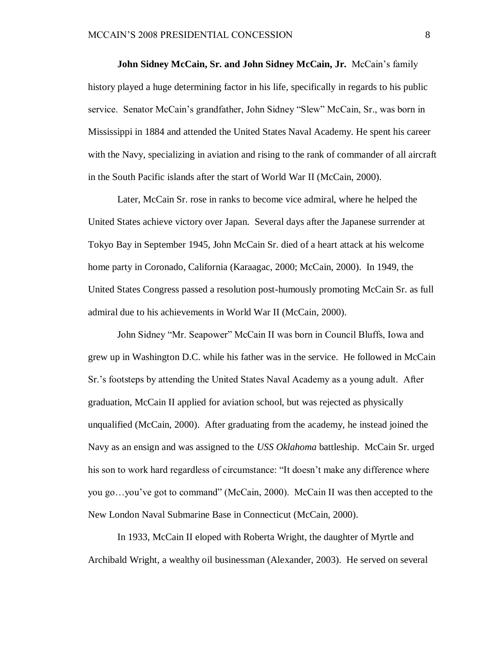**John Sidney McCain, Sr. and John Sidney McCain, Jr. McCain's family** history played a huge determining factor in his life, specifically in regards to his public service. Senator McCain"s grandfather, John Sidney "Slew" McCain, Sr., was born in Mississippi in 1884 and attended the United States Naval Academy. He spent his career with the Navy, specializing in aviation and rising to the rank of commander of all aircraft in the South Pacific islands after the start of World War II (McCain, 2000).

Later, McCain Sr. rose in ranks to become vice admiral, where he helped the United States achieve victory over Japan. Several days after the Japanese surrender at Tokyo Bay in September 1945, John McCain Sr. died of a heart attack at his welcome home party in Coronado, California (Karaagac, 2000; McCain, 2000). In 1949, the United States Congress passed a resolution post-humously promoting McCain Sr. as full admiral due to his achievements in World War II (McCain, 2000).

John Sidney "Mr. Seapower" McCain II was born in Council Bluffs, Iowa and grew up in Washington D.C. while his father was in the service. He followed in McCain Sr."s footsteps by attending the United States Naval Academy as a young adult. After graduation, McCain II applied for aviation school, but was rejected as physically unqualified (McCain, 2000). After graduating from the academy, he instead joined the Navy as an ensign and was assigned to the *USS Oklahoma* battleship. McCain Sr. urged his son to work hard regardless of circumstance: "It doesn't make any difference where you go…you"ve got to command" (McCain, 2000). McCain II was then accepted to the New London Naval Submarine Base in Connecticut (McCain, 2000).

In 1933, McCain II eloped with Roberta Wright, the daughter of Myrtle and Archibald Wright, a wealthy oil businessman (Alexander, 2003). He served on several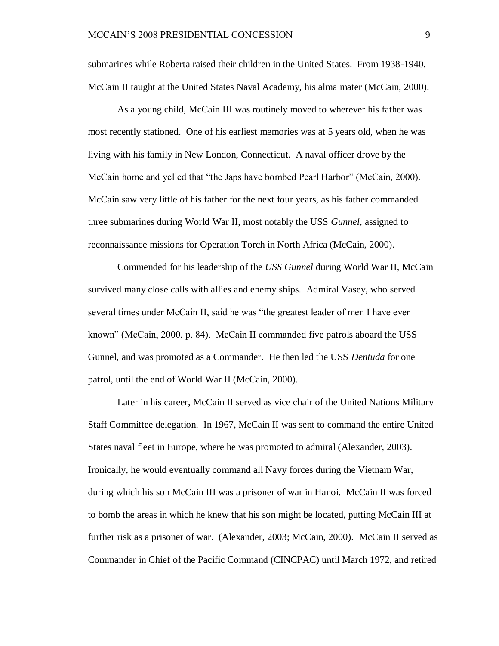submarines while Roberta raised their children in the United States. From 1938-1940, McCain II taught at the United States Naval Academy, his alma mater (McCain, 2000).

As a young child, McCain III was routinely moved to wherever his father was most recently stationed. One of his earliest memories was at 5 years old, when he was living with his family in New London, Connecticut. A naval officer drove by the McCain home and yelled that "the Japs have bombed Pearl Harbor" (McCain, 2000). McCain saw very little of his father for the next four years, as his father commanded three submarines during World War II, most notably the USS *Gunnel*, assigned to reconnaissance missions for Operation Torch in North Africa (McCain, 2000).

Commended for his leadership of the *USS Gunnel* during World War II, McCain survived many close calls with allies and enemy ships. Admiral Vasey, who served several times under McCain II, said he was "the greatest leader of men I have ever known" (McCain, 2000, p. 84). McCain II commanded five patrols aboard the USS Gunnel, and was promoted as a Commander. He then led the USS *Dentuda* for one patrol, until the end of World War II (McCain, 2000).

Later in his career, McCain II served as vice chair of the United Nations Military Staff Committee delegation. In 1967, McCain II was sent to command the entire United States naval fleet in Europe, where he was promoted to admiral (Alexander, 2003). Ironically, he would eventually command all Navy forces during the Vietnam War, during which his son McCain III was a prisoner of war in Hanoi. McCain II was forced to bomb the areas in which he knew that his son might be located, putting McCain III at further risk as a prisoner of war. (Alexander, 2003; McCain, 2000). McCain II served as Commander in Chief of the Pacific Command (CINCPAC) until March 1972, and retired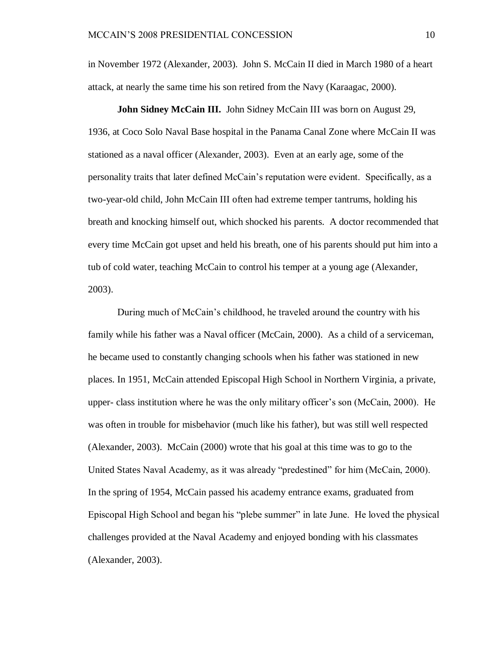in November 1972 (Alexander, 2003). John S. McCain II died in March 1980 of a heart attack, at nearly the same time his son retired from the Navy (Karaagac, 2000).

**John Sidney McCain III.** John Sidney McCain III was born on August 29, 1936, at Coco Solo Naval Base hospital in the Panama Canal Zone where McCain II was stationed as a naval officer (Alexander, 2003). Even at an early age, some of the personality traits that later defined McCain"s reputation were evident. Specifically, as a two-year-old child, John McCain III often had extreme temper tantrums, holding his breath and knocking himself out, which shocked his parents. A doctor recommended that every time McCain got upset and held his breath, one of his parents should put him into a tub of cold water, teaching McCain to control his temper at a young age (Alexander, 2003).

During much of McCain"s childhood, he traveled around the country with his family while his father was a Naval officer (McCain, 2000). As a child of a serviceman, he became used to constantly changing schools when his father was stationed in new places. In 1951, McCain attended Episcopal High School in Northern Virginia, a private, upper- class institution where he was the only military officer"s son (McCain, 2000). He was often in trouble for misbehavior (much like his father), but was still well respected (Alexander, 2003). McCain (2000) wrote that his goal at this time was to go to the United States Naval Academy, as it was already "predestined" for him (McCain, 2000). In the spring of 1954, McCain passed his academy entrance exams, graduated from Episcopal High School and began his "plebe summer" in late June. He loved the physical challenges provided at the Naval Academy and enjoyed bonding with his classmates (Alexander, 2003).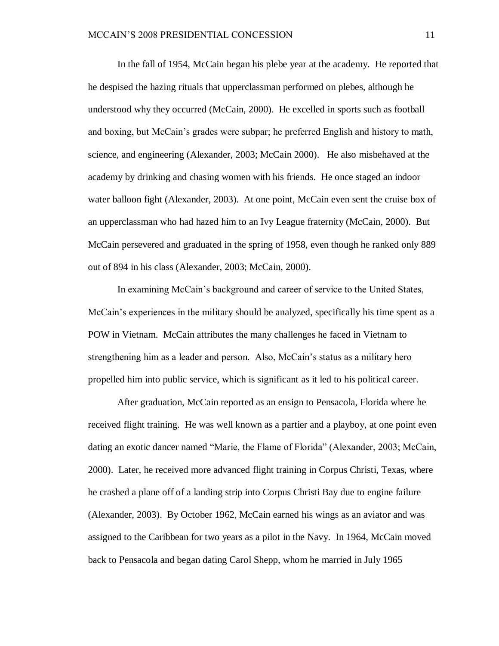In the fall of 1954, McCain began his plebe year at the academy. He reported that he despised the hazing rituals that upperclassman performed on plebes, although he understood why they occurred (McCain, 2000). He excelled in sports such as football and boxing, but McCain"s grades were subpar; he preferred English and history to math, science, and engineering (Alexander, 2003; McCain 2000). He also misbehaved at the academy by drinking and chasing women with his friends. He once staged an indoor water balloon fight (Alexander, 2003). At one point, McCain even sent the cruise box of an upperclassman who had hazed him to an Ivy League fraternity (McCain, 2000). But McCain persevered and graduated in the spring of 1958, even though he ranked only 889 out of 894 in his class (Alexander, 2003; McCain, 2000).

In examining McCain"s background and career of service to the United States, McCain"s experiences in the military should be analyzed, specifically his time spent as a POW in Vietnam. McCain attributes the many challenges he faced in Vietnam to strengthening him as a leader and person. Also, McCain"s status as a military hero propelled him into public service, which is significant as it led to his political career.

After graduation, McCain reported as an ensign to Pensacola, Florida where he received flight training. He was well known as a partier and a playboy, at one point even dating an exotic dancer named "Marie, the Flame of Florida" (Alexander, 2003; McCain, 2000). Later, he received more advanced flight training in Corpus Christi, Texas, where he crashed a plane off of a landing strip into Corpus Christi Bay due to engine failure (Alexander, 2003). By October 1962, McCain earned his wings as an aviator and was assigned to the Caribbean for two years as a pilot in the Navy. In 1964, McCain moved back to Pensacola and began dating Carol Shepp, whom he married in July 1965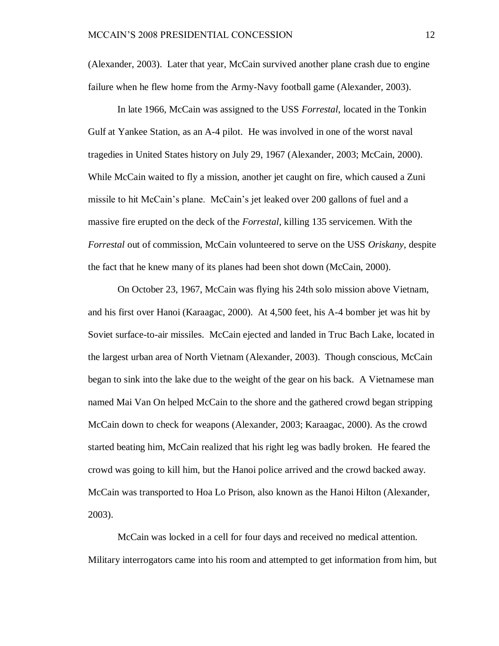(Alexander, 2003). Later that year, McCain survived another plane crash due to engine failure when he flew home from the Army-Navy football game (Alexander, 2003).

In late 1966, McCain was assigned to the USS *Forrestal*, located in the Tonkin Gulf at Yankee Station, as an A-4 pilot. He was involved in one of the worst naval tragedies in United States history on July 29, 1967 (Alexander, 2003; McCain, 2000). While McCain waited to fly a mission, another jet caught on fire, which caused a Zuni missile to hit McCain"s plane. McCain"s jet leaked over 200 gallons of fuel and a massive fire erupted on the deck of the *Forrestal*, killing 135 servicemen. With the *Forrestal* out of commission, McCain volunteered to serve on the USS *Oriskany*, despite the fact that he knew many of its planes had been shot down (McCain, 2000).

 On October 23, 1967, McCain was flying his 24th solo mission above Vietnam, and his first over Hanoi (Karaagac, 2000). At 4,500 feet, his A-4 bomber jet was hit by Soviet surface-to-air missiles. McCain ejected and landed in Truc Bach Lake, located in the largest urban area of North Vietnam (Alexander, 2003). Though conscious, McCain began to sink into the lake due to the weight of the gear on his back. A Vietnamese man named Mai Van On helped McCain to the shore and the gathered crowd began stripping McCain down to check for weapons (Alexander, 2003; Karaagac, 2000). As the crowd started beating him, McCain realized that his right leg was badly broken. He feared the crowd was going to kill him, but the Hanoi police arrived and the crowd backed away. McCain was transported to Hoa Lo Prison, also known as the Hanoi Hilton (Alexander, 2003).

 McCain was locked in a cell for four days and received no medical attention. Military interrogators came into his room and attempted to get information from him, but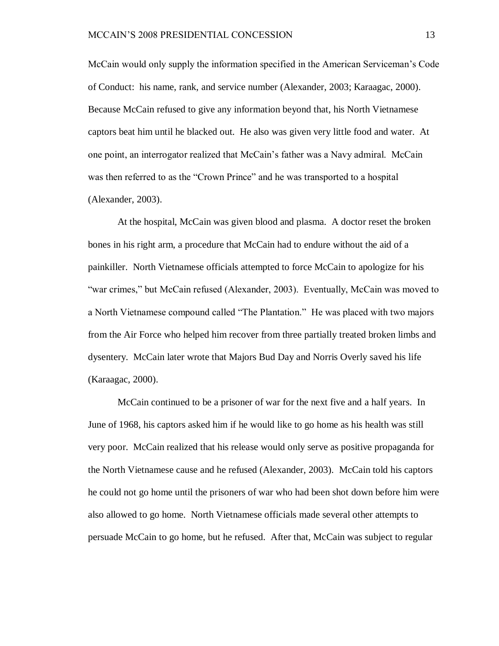McCain would only supply the information specified in the American Serviceman"s Code of Conduct: his name, rank, and service number (Alexander, 2003; Karaagac, 2000). Because McCain refused to give any information beyond that, his North Vietnamese captors beat him until he blacked out. He also was given very little food and water. At one point, an interrogator realized that McCain"s father was a Navy admiral. McCain was then referred to as the "Crown Prince" and he was transported to a hospital (Alexander, 2003).

 At the hospital, McCain was given blood and plasma. A doctor reset the broken bones in his right arm, a procedure that McCain had to endure without the aid of a painkiller. North Vietnamese officials attempted to force McCain to apologize for his "war crimes," but McCain refused (Alexander, 2003). Eventually, McCain was moved to a North Vietnamese compound called "The Plantation." He was placed with two majors from the Air Force who helped him recover from three partially treated broken limbs and dysentery. McCain later wrote that Majors Bud Day and Norris Overly saved his life (Karaagac, 2000).

 McCain continued to be a prisoner of war for the next five and a half years. In June of 1968, his captors asked him if he would like to go home as his health was still very poor. McCain realized that his release would only serve as positive propaganda for the North Vietnamese cause and he refused (Alexander, 2003). McCain told his captors he could not go home until the prisoners of war who had been shot down before him were also allowed to go home. North Vietnamese officials made several other attempts to persuade McCain to go home, but he refused. After that, McCain was subject to regular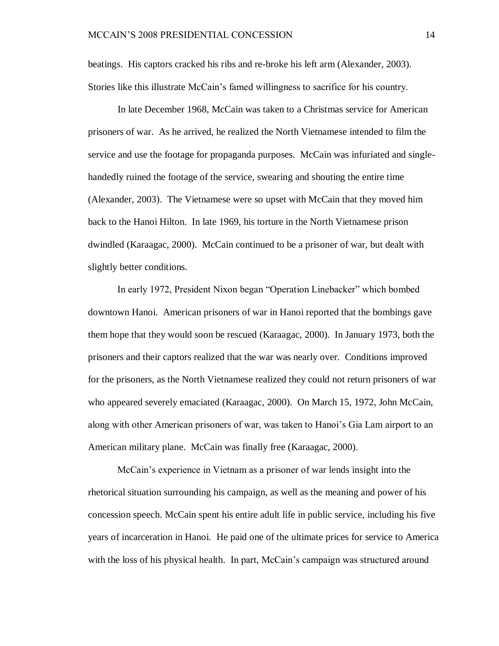beatings. His captors cracked his ribs and re-broke his left arm (Alexander, 2003). Stories like this illustrate McCain"s famed willingness to sacrifice for his country.

 In late December 1968, McCain was taken to a Christmas service for American prisoners of war. As he arrived, he realized the North Vietnamese intended to film the service and use the footage for propaganda purposes. McCain was infuriated and singlehandedly ruined the footage of the service, swearing and shouting the entire time (Alexander, 2003). The Vietnamese were so upset with McCain that they moved him back to the Hanoi Hilton. In late 1969, his torture in the North Vietnamese prison dwindled (Karaagac, 2000). McCain continued to be a prisoner of war, but dealt with slightly better conditions.

In early 1972, President Nixon began "Operation Linebacker" which bombed downtown Hanoi. American prisoners of war in Hanoi reported that the bombings gave them hope that they would soon be rescued (Karaagac, 2000). In January 1973, both the prisoners and their captors realized that the war was nearly over. Conditions improved for the prisoners, as the North Vietnamese realized they could not return prisoners of war who appeared severely emaciated (Karaagac, 2000). On March 15, 1972, John McCain, along with other American prisoners of war, was taken to Hanoi"s Gia Lam airport to an American military plane. McCain was finally free (Karaagac, 2000).

McCain"s experience in Vietnam as a prisoner of war lends insight into the rhetorical situation surrounding his campaign, as well as the meaning and power of his concession speech. McCain spent his entire adult life in public service, including his five years of incarceration in Hanoi. He paid one of the ultimate prices for service to America with the loss of his physical health. In part, McCain's campaign was structured around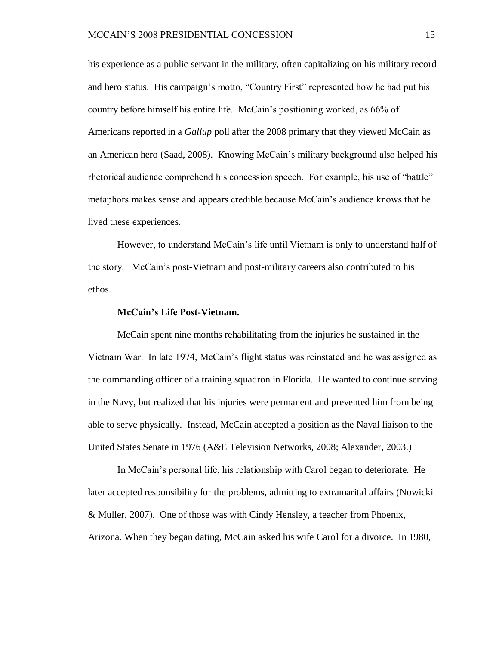his experience as a public servant in the military, often capitalizing on his military record and hero status. His campaign"s motto, "Country First" represented how he had put his country before himself his entire life. McCain"s positioning worked, as 66% of Americans reported in a *Gallup* poll after the 2008 primary that they viewed McCain as an American hero (Saad, 2008). Knowing McCain"s military background also helped his rhetorical audience comprehend his concession speech. For example, his use of "battle" metaphors makes sense and appears credible because McCain"s audience knows that he lived these experiences.

However, to understand McCain"s life until Vietnam is only to understand half of the story. McCain"s post-Vietnam and post-military careers also contributed to his ethos.

### **McCain's Life Post-Vietnam.**

McCain spent nine months rehabilitating from the injuries he sustained in the Vietnam War. In late 1974, McCain"s flight status was reinstated and he was assigned as the commanding officer of a training squadron in Florida. He wanted to continue serving in the Navy, but realized that his injuries were permanent and prevented him from being able to serve physically. Instead, McCain accepted a position as the Naval liaison to the United States Senate in 1976 (A&E Television Networks, 2008; Alexander, 2003.)

In McCain"s personal life, his relationship with Carol began to deteriorate. He later accepted responsibility for the problems, admitting to extramarital affairs (Nowicki & Muller, 2007). One of those was with Cindy Hensley, a teacher from Phoenix, Arizona. When they began dating, McCain asked his wife Carol for a divorce. In 1980,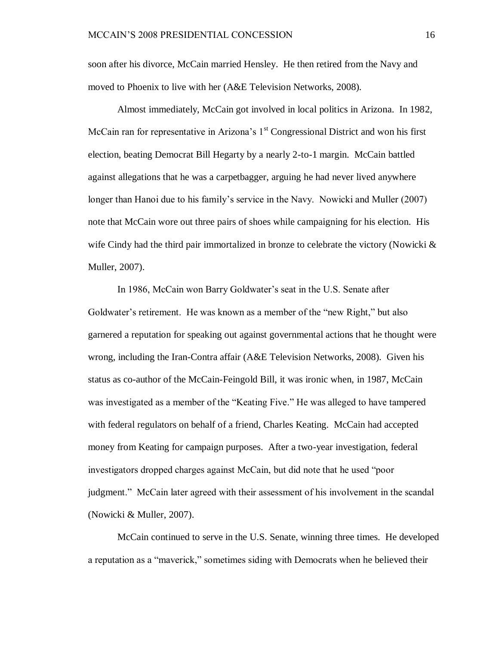soon after his divorce, McCain married Hensley. He then retired from the Navy and moved to Phoenix to live with her (A&E Television Networks, 2008).

Almost immediately, McCain got involved in local politics in Arizona. In 1982, McCain ran for representative in Arizona's  $1<sup>st</sup>$  Congressional District and won his first election, beating Democrat Bill Hegarty by a nearly 2-to-1 margin. McCain battled against allegations that he was a carpetbagger, arguing he had never lived anywhere longer than Hanoi due to his family's service in the Navy. Nowicki and Muller (2007) note that McCain wore out three pairs of shoes while campaigning for his election. His wife Cindy had the third pair immortalized in bronze to celebrate the victory (Nowicki  $\&$ Muller, 2007).

In 1986, McCain won Barry Goldwater's seat in the U.S. Senate after Goldwater"s retirement. He was known as a member of the "new Right," but also garnered a reputation for speaking out against governmental actions that he thought were wrong, including the Iran-Contra affair (A&E Television Networks, 2008). Given his status as co-author of the McCain-Feingold Bill, it was ironic when, in 1987, McCain was investigated as a member of the "Keating Five." He was alleged to have tampered with federal regulators on behalf of a friend, Charles Keating. McCain had accepted money from Keating for campaign purposes. After a two-year investigation, federal investigators dropped charges against McCain, but did note that he used "poor judgment." McCain later agreed with their assessment of his involvement in the scandal (Nowicki & Muller, 2007).

McCain continued to serve in the U.S. Senate, winning three times. He developed a reputation as a "maverick," sometimes siding with Democrats when he believed their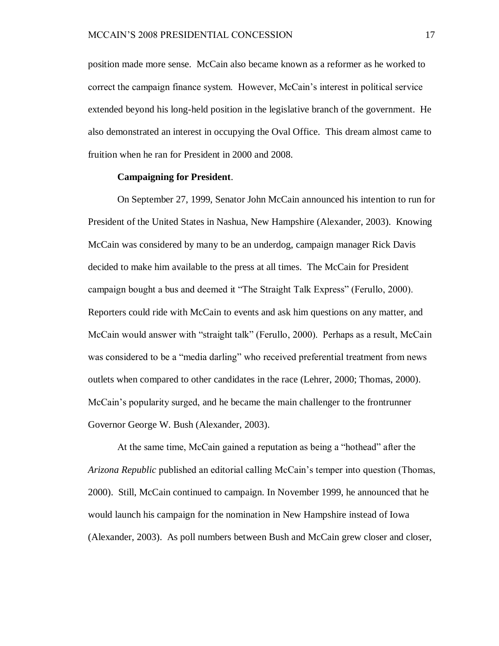position made more sense. McCain also became known as a reformer as he worked to correct the campaign finance system. However, McCain"s interest in political service extended beyond his long-held position in the legislative branch of the government. He also demonstrated an interest in occupying the Oval Office. This dream almost came to fruition when he ran for President in 2000 and 2008.

#### **Campaigning for President**.

On September 27, 1999, Senator John McCain announced his intention to run for President of the United States in Nashua, New Hampshire (Alexander, 2003). Knowing McCain was considered by many to be an underdog, campaign manager Rick Davis decided to make him available to the press at all times. The McCain for President campaign bought a bus and deemed it "The Straight Talk Express" (Ferullo, 2000). Reporters could ride with McCain to events and ask him questions on any matter, and McCain would answer with "straight talk" (Ferullo, 2000). Perhaps as a result, McCain was considered to be a "media darling" who received preferential treatment from news outlets when compared to other candidates in the race (Lehrer, 2000; Thomas, 2000). McCain"s popularity surged, and he became the main challenger to the frontrunner Governor George W. Bush (Alexander, 2003).

At the same time, McCain gained a reputation as being a "hothead" after the *Arizona Republic* published an editorial calling McCain"s temper into question (Thomas, 2000). Still, McCain continued to campaign. In November 1999, he announced that he would launch his campaign for the nomination in New Hampshire instead of Iowa (Alexander, 2003). As poll numbers between Bush and McCain grew closer and closer,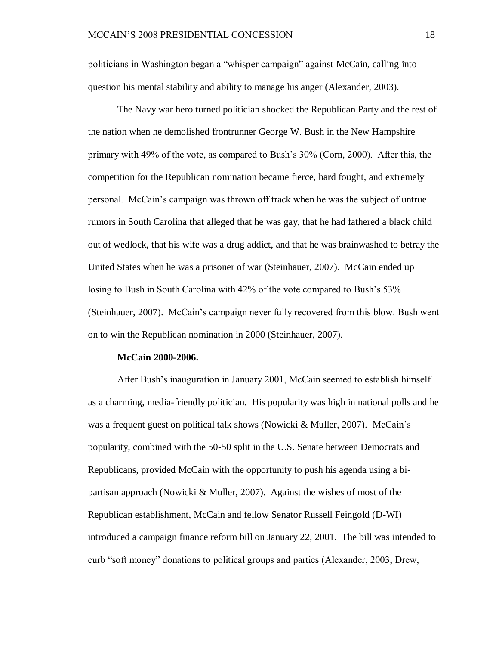politicians in Washington began a "whisper campaign" against McCain, calling into question his mental stability and ability to manage his anger (Alexander, 2003).

The Navy war hero turned politician shocked the Republican Party and the rest of the nation when he demolished frontrunner George W. Bush in the New Hampshire primary with 49% of the vote, as compared to Bush"s 30% (Corn, 2000). After this, the competition for the Republican nomination became fierce, hard fought, and extremely personal. McCain"s campaign was thrown off track when he was the subject of untrue rumors in South Carolina that alleged that he was gay, that he had fathered a black child out of wedlock, that his wife was a drug addict, and that he was brainwashed to betray the United States when he was a prisoner of war (Steinhauer, 2007). McCain ended up losing to Bush in South Carolina with 42% of the vote compared to Bush's 53% (Steinhauer, 2007). McCain"s campaign never fully recovered from this blow. Bush went on to win the Republican nomination in 2000 (Steinhauer, 2007).

#### **McCain 2000-2006.**

After Bush's inauguration in January 2001, McCain seemed to establish himself as a charming, media-friendly politician. His popularity was high in national polls and he was a frequent guest on political talk shows (Nowicki & Muller, 2007). McCain's popularity, combined with the 50-50 split in the U.S. Senate between Democrats and Republicans, provided McCain with the opportunity to push his agenda using a bipartisan approach (Nowicki & Muller, 2007). Against the wishes of most of the Republican establishment, McCain and fellow Senator Russell Feingold (D-WI) introduced a campaign finance reform bill on January 22, 2001. The bill was intended to curb "soft money" donations to political groups and parties (Alexander, 2003; Drew,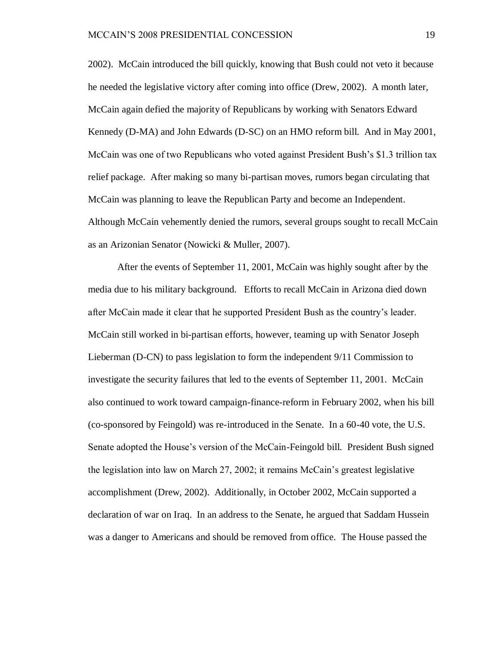2002). McCain introduced the bill quickly, knowing that Bush could not veto it because he needed the legislative victory after coming into office (Drew, 2002). A month later, McCain again defied the majority of Republicans by working with Senators Edward Kennedy (D-MA) and John Edwards (D-SC) on an HMO reform bill. And in May 2001, McCain was one of two Republicans who voted against President Bush"s \$1.3 trillion tax relief package. After making so many bi-partisan moves, rumors began circulating that McCain was planning to leave the Republican Party and become an Independent. Although McCain vehemently denied the rumors, several groups sought to recall McCain as an Arizonian Senator (Nowicki & Muller, 2007).

After the events of September 11, 2001, McCain was highly sought after by the media due to his military background. Efforts to recall McCain in Arizona died down after McCain made it clear that he supported President Bush as the country"s leader. McCain still worked in bi-partisan efforts, however, teaming up with Senator Joseph Lieberman (D-CN) to pass legislation to form the independent 9/11 Commission to investigate the security failures that led to the events of September 11, 2001. McCain also continued to work toward campaign-finance-reform in February 2002, when his bill (co-sponsored by Feingold) was re-introduced in the Senate. In a 60-40 vote, the U.S. Senate adopted the House"s version of the McCain-Feingold bill. President Bush signed the legislation into law on March 27, 2002; it remains McCain"s greatest legislative accomplishment (Drew, 2002). Additionally, in October 2002, McCain supported a declaration of war on Iraq. In an address to the Senate, he argued that Saddam Hussein was a danger to Americans and should be removed from office. The House passed the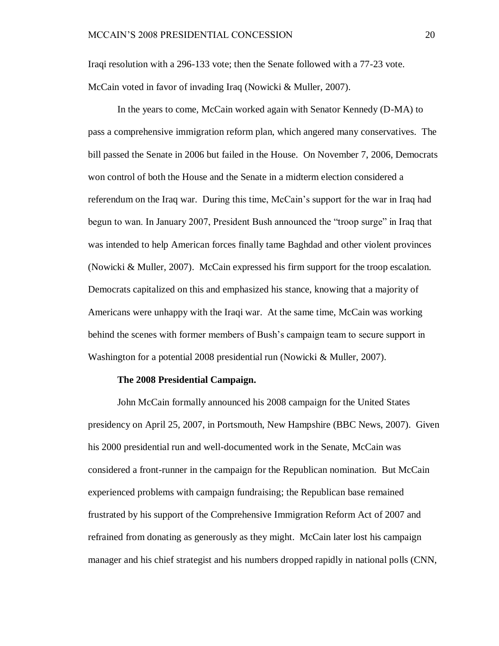Iraqi resolution with a 296-133 vote; then the Senate followed with a 77-23 vote. McCain voted in favor of invading Iraq (Nowicki & Muller, 2007).

In the years to come, McCain worked again with Senator Kennedy (D-MA) to pass a comprehensive immigration reform plan, which angered many conservatives. The bill passed the Senate in 2006 but failed in the House. On November 7, 2006, Democrats won control of both the House and the Senate in a midterm election considered a referendum on the Iraq war. During this time, McCain"s support for the war in Iraq had begun to wan. In January 2007, President Bush announced the "troop surge" in Iraq that was intended to help American forces finally tame Baghdad and other violent provinces (Nowicki & Muller, 2007). McCain expressed his firm support for the troop escalation. Democrats capitalized on this and emphasized his stance, knowing that a majority of Americans were unhappy with the Iraqi war. At the same time, McCain was working behind the scenes with former members of Bush"s campaign team to secure support in Washington for a potential 2008 presidential run (Nowicki & Muller, 2007).

#### **The 2008 Presidential Campaign.**

John McCain formally announced his 2008 campaign for the United States presidency on April 25, 2007, in Portsmouth, New Hampshire (BBC News, 2007). Given his 2000 presidential run and well-documented work in the Senate, McCain was considered a front-runner in the campaign for the Republican nomination. But McCain experienced problems with campaign fundraising; the Republican base remained frustrated by his support of the Comprehensive Immigration Reform Act of 2007 and refrained from donating as generously as they might. McCain later lost his campaign manager and his chief strategist and his numbers dropped rapidly in national polls (CNN,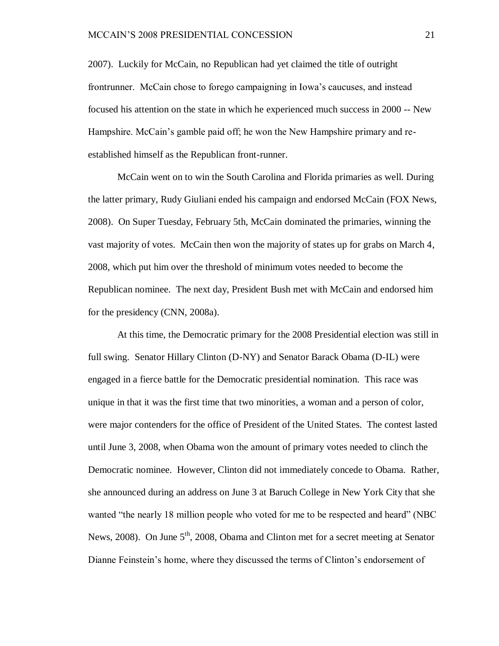2007). Luckily for McCain, no Republican had yet claimed the title of outright frontrunner. McCain chose to forego campaigning in Iowa"s caucuses, and instead focused his attention on the state in which he experienced much success in 2000 -- New Hampshire. McCain"s gamble paid off; he won the New Hampshire primary and reestablished himself as the Republican front-runner.

McCain went on to win the South Carolina and Florida primaries as well. During the latter primary, Rudy Giuliani ended his campaign and endorsed McCain (FOX News, 2008). On Super Tuesday, February 5th, McCain dominated the primaries, winning the vast majority of votes. McCain then won the majority of states up for grabs on March 4, 2008, which put him over the threshold of minimum votes needed to become the Republican nominee. The next day, President Bush met with McCain and endorsed him for the presidency (CNN, 2008a).

At this time, the Democratic primary for the 2008 Presidential election was still in full swing. Senator Hillary Clinton (D-NY) and Senator Barack Obama (D-IL) were engaged in a fierce battle for the Democratic presidential nomination. This race was unique in that it was the first time that two minorities, a woman and a person of color, were major contenders for the office of President of the United States. The contest lasted until June 3, 2008, when Obama won the amount of primary votes needed to clinch the Democratic nominee. However, Clinton did not immediately concede to Obama. Rather, she announced during an address on June 3 at Baruch College in New York City that she wanted "the nearly 18 million people who voted for me to be respected and heard" (NBC News, 2008). On June 5<sup>th</sup>, 2008, Obama and Clinton met for a secret meeting at Senator Dianne Feinstein"s home, where they discussed the terms of Clinton"s endorsement of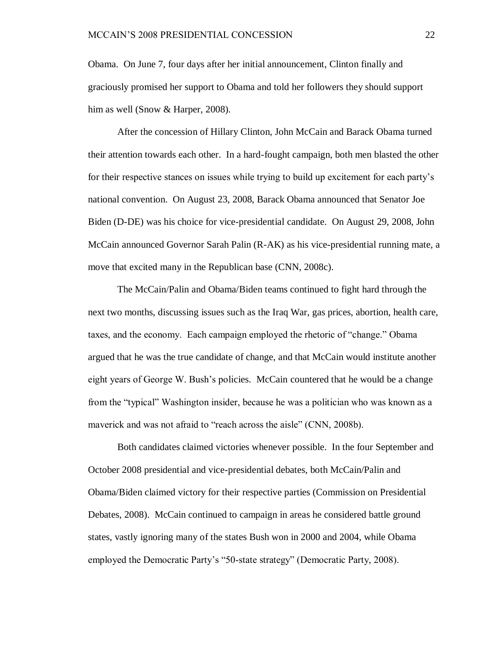Obama. On June 7, four days after her initial announcement, Clinton finally and graciously promised her support to Obama and told her followers they should support him as well (Snow & Harper, 2008).

After the concession of Hillary Clinton, John McCain and Barack Obama turned their attention towards each other. In a hard-fought campaign, both men blasted the other for their respective stances on issues while trying to build up excitement for each party"s national convention. On August 23, 2008, Barack Obama announced that Senator Joe Biden (D-DE) was his choice for vice-presidential candidate. On August 29, 2008, John McCain announced Governor Sarah Palin (R-AK) as his vice-presidential running mate, a move that excited many in the Republican base (CNN, 2008c).

The McCain/Palin and Obama/Biden teams continued to fight hard through the next two months, discussing issues such as the Iraq War, gas prices, abortion, health care, taxes, and the economy. Each campaign employed the rhetoric of "change." Obama argued that he was the true candidate of change, and that McCain would institute another eight years of George W. Bush"s policies. McCain countered that he would be a change from the "typical" Washington insider, because he was a politician who was known as a maverick and was not afraid to "reach across the aisle" (CNN, 2008b).

Both candidates claimed victories whenever possible. In the four September and October 2008 presidential and vice-presidential debates, both McCain/Palin and Obama/Biden claimed victory for their respective parties (Commission on Presidential Debates, 2008). McCain continued to campaign in areas he considered battle ground states, vastly ignoring many of the states Bush won in 2000 and 2004, while Obama employed the Democratic Party's "50-state strategy" (Democratic Party, 2008).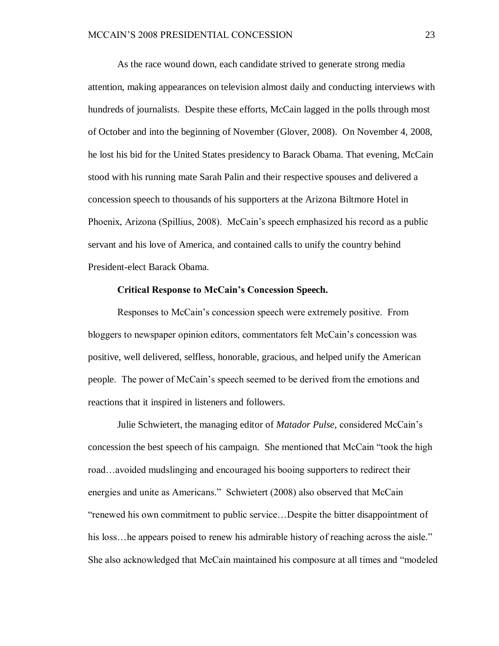As the race wound down, each candidate strived to generate strong media attention, making appearances on television almost daily and conducting interviews with hundreds of journalists. Despite these efforts, McCain lagged in the polls through most of October and into the beginning of November (Glover, 2008). On November 4, 2008, he lost his bid for the United States presidency to Barack Obama. That evening, McCain stood with his running mate Sarah Palin and their respective spouses and delivered a concession speech to thousands of his supporters at the Arizona Biltmore Hotel in Phoenix, Arizona (Spillius, 2008). McCain"s speech emphasized his record as a public servant and his love of America, and contained calls to unify the country behind President-elect Barack Obama.

### **Critical Response to McCain's Concession Speech.**

Responses to McCain"s concession speech were extremely positive. From bloggers to newspaper opinion editors, commentators felt McCain"s concession was positive, well delivered, selfless, honorable, gracious, and helped unify the American people. The power of McCain"s speech seemed to be derived from the emotions and reactions that it inspired in listeners and followers.

Julie Schwietert, the managing editor of *Matador Pulse*, considered McCain"s concession the best speech of his campaign. She mentioned that McCain "took the high road…avoided mudslinging and encouraged his booing supporters to redirect their energies and unite as Americans." Schwietert (2008) also observed that McCain "renewed his own commitment to public service…Despite the bitter disappointment of his loss... he appears poised to renew his admirable history of reaching across the aisle." She also acknowledged that McCain maintained his composure at all times and "modeled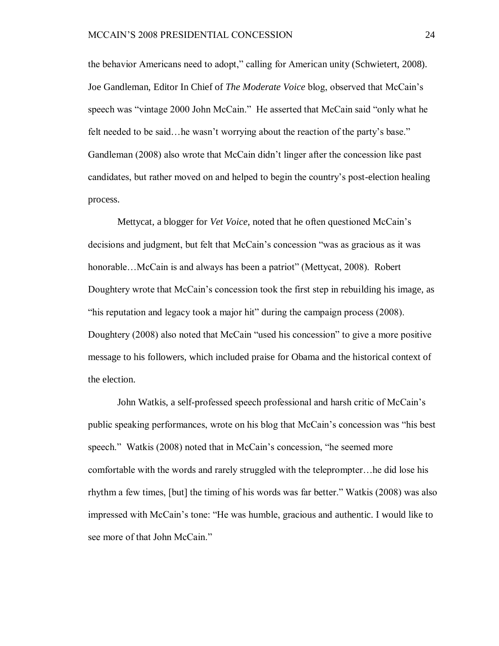the behavior Americans need to adopt," calling for American unity (Schwietert, 2008). Joe Gandleman, Editor In Chief of *The Moderate Voice* blog, observed that McCain"s speech was "vintage 2000 John McCain." He asserted that McCain said "only what he felt needed to be said...he wasn't worrying about the reaction of the party's base." Gandleman (2008) also wrote that McCain didn"t linger after the concession like past candidates, but rather moved on and helped to begin the country"s post-election healing process.

Mettycat, a blogger for *Vet Voice*, noted that he often questioned McCain"s decisions and judgment, but felt that McCain"s concession "was as gracious as it was honorable…McCain is and always has been a patriot" (Mettycat, 2008). Robert Doughtery wrote that McCain's concession took the first step in rebuilding his image, as "his reputation and legacy took a major hit" during the campaign process (2008). Doughtery (2008) also noted that McCain "used his concession" to give a more positive message to his followers, which included praise for Obama and the historical context of the election.

John Watkis, a self-professed speech professional and harsh critic of McCain"s public speaking performances, wrote on his blog that McCain"s concession was "his best speech." Watkis (2008) noted that in McCain"s concession, "he seemed more comfortable with the words and rarely struggled with the teleprompter…he did lose his rhythm a few times, [but] the timing of his words was far better." Watkis (2008) was also impressed with McCain"s tone: "He was humble, gracious and authentic. I would like to see more of that John McCain."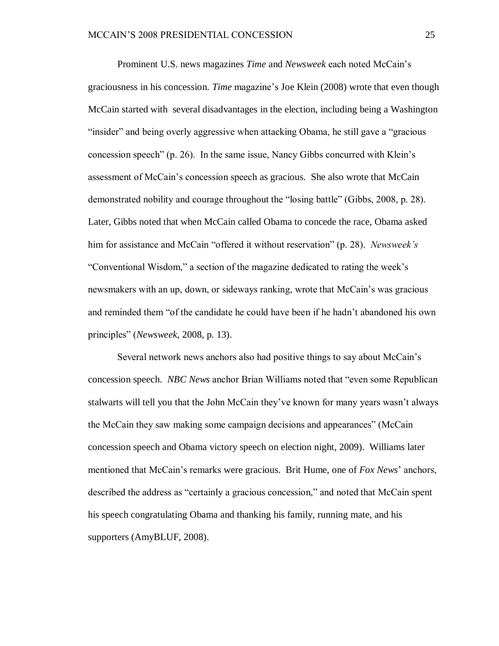Prominent U.S. news magazines *Time* and *Newsweek* each noted McCain"s graciousness in his concession. *Time* magazine"s Joe Klein (2008) wrote that even though McCain started with several disadvantages in the election, including being a Washington "insider" and being overly aggressive when attacking Obama, he still gave a "gracious concession speech" (p. 26). In the same issue, Nancy Gibbs concurred with Klein"s assessment of McCain"s concession speech as gracious. She also wrote that McCain demonstrated nobility and courage throughout the "losing battle" (Gibbs, 2008, p. 28). Later, Gibbs noted that when McCain called Obama to concede the race, Obama asked him for assistance and McCain "offered it without reservation" (p. 28). *Newsweek's* "Conventional Wisdom," a section of the magazine dedicated to rating the week"s newsmakers with an up, down, or sideways ranking, wrote that McCain"s was gracious and reminded them "of the candidate he could have been if he hadn"t abandoned his own principles" (*Newsweek*, 2008, p. 13).

Several network news anchors also had positive things to say about McCain"s concession speech. *NBC News* anchor Brian Williams noted that "even some Republican stalwarts will tell you that the John McCain they"ve known for many years wasn"t always the McCain they saw making some campaign decisions and appearances" (McCain concession speech and Obama victory speech on election night, 2009). Williams later mentioned that McCain"s remarks were gracious. Brit Hume, one of *Fox News*" anchors, described the address as "certainly a gracious concession," and noted that McCain spent his speech congratulating Obama and thanking his family, running mate, and his supporters (AmyBLUF, 2008).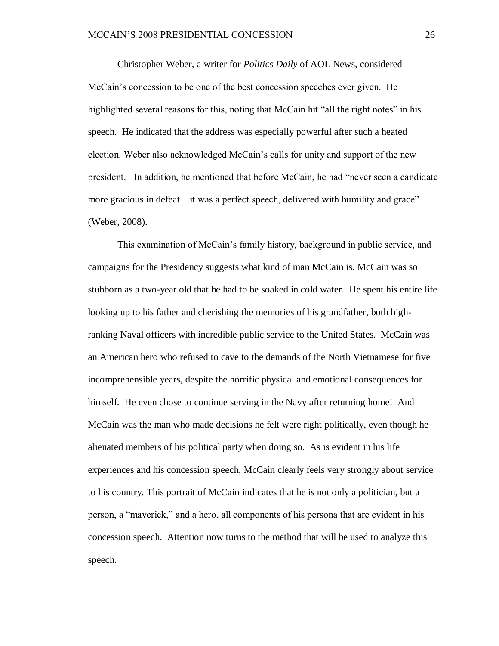Christopher Weber, a writer for *Politics Daily* of AOL News, considered McCain"s concession to be one of the best concession speeches ever given. He highlighted several reasons for this, noting that McCain hit "all the right notes" in his speech. He indicated that the address was especially powerful after such a heated election. Weber also acknowledged McCain"s calls for unity and support of the new president. In addition, he mentioned that before McCain, he had "never seen a candidate more gracious in defeat…it was a perfect speech, delivered with humility and grace" (Weber, 2008).

This examination of McCain"s family history, background in public service, and campaigns for the Presidency suggests what kind of man McCain is. McCain was so stubborn as a two-year old that he had to be soaked in cold water. He spent his entire life looking up to his father and cherishing the memories of his grandfather, both highranking Naval officers with incredible public service to the United States. McCain was an American hero who refused to cave to the demands of the North Vietnamese for five incomprehensible years, despite the horrific physical and emotional consequences for himself. He even chose to continue serving in the Navy after returning home! And McCain was the man who made decisions he felt were right politically, even though he alienated members of his political party when doing so. As is evident in his life experiences and his concession speech, McCain clearly feels very strongly about service to his country. This portrait of McCain indicates that he is not only a politician, but a person, a "maverick," and a hero, all components of his persona that are evident in his concession speech. Attention now turns to the method that will be used to analyze this speech.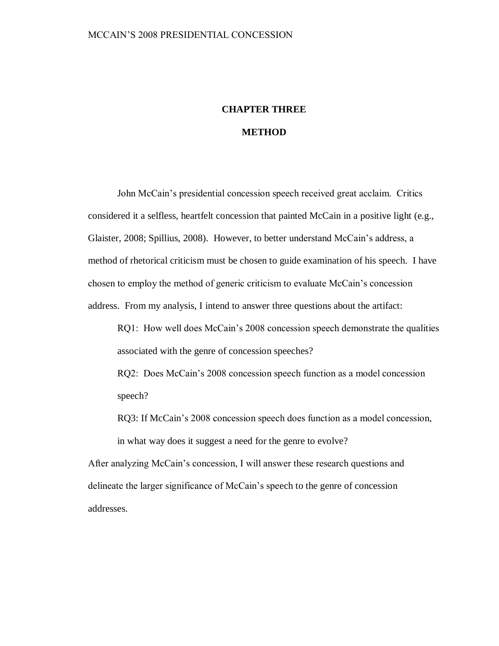## **CHAPTER THREE**

## **METHOD**

John McCain"s presidential concession speech received great acclaim. Critics considered it a selfless, heartfelt concession that painted McCain in a positive light (e.g., Glaister, 2008; Spillius, 2008). However, to better understand McCain"s address, a method of rhetorical criticism must be chosen to guide examination of his speech. I have chosen to employ the method of generic criticism to evaluate McCain"s concession address. From my analysis, I intend to answer three questions about the artifact:

RQ1: How well does McCain's 2008 concession speech demonstrate the qualities associated with the genre of concession speeches?

RQ2: Does McCain"s 2008 concession speech function as a model concession speech?

RQ3: If McCain"s 2008 concession speech does function as a model concession, in what way does it suggest a need for the genre to evolve?

After analyzing McCain"s concession, I will answer these research questions and delineate the larger significance of McCain"s speech to the genre of concession addresses.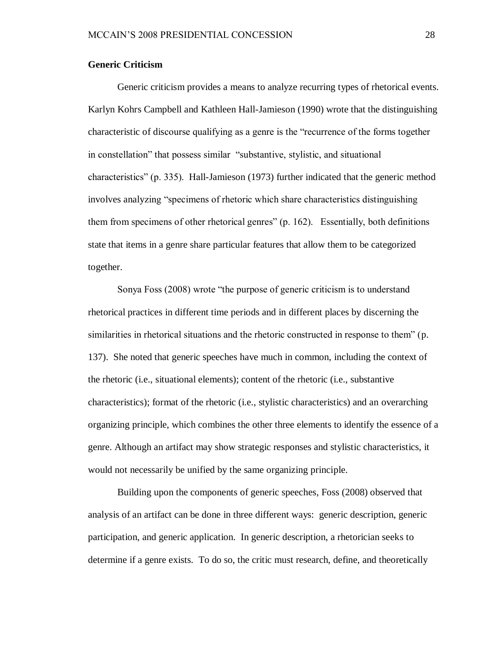### **Generic Criticism**

Generic criticism provides a means to analyze recurring types of rhetorical events. Karlyn Kohrs Campbell and Kathleen Hall-Jamieson (1990) wrote that the distinguishing characteristic of discourse qualifying as a genre is the "recurrence of the forms together in constellation" that possess similar "substantive, stylistic, and situational characteristics" (p. 335). Hall-Jamieson (1973) further indicated that the generic method involves analyzing "specimens of rhetoric which share characteristics distinguishing them from specimens of other rhetorical genres" (p. 162). Essentially, both definitions state that items in a genre share particular features that allow them to be categorized together.

Sonya Foss (2008) wrote "the purpose of generic criticism is to understand rhetorical practices in different time periods and in different places by discerning the similarities in rhetorical situations and the rhetoric constructed in response to them" (p. 137). She noted that generic speeches have much in common, including the context of the rhetoric (i.e., situational elements); content of the rhetoric (i.e., substantive characteristics); format of the rhetoric (i.e., stylistic characteristics) and an overarching organizing principle, which combines the other three elements to identify the essence of a genre. Although an artifact may show strategic responses and stylistic characteristics, it would not necessarily be unified by the same organizing principle.

Building upon the components of generic speeches, Foss (2008) observed that analysis of an artifact can be done in three different ways: generic description, generic participation, and generic application. In generic description, a rhetorician seeks to determine if a genre exists. To do so, the critic must research, define, and theoretically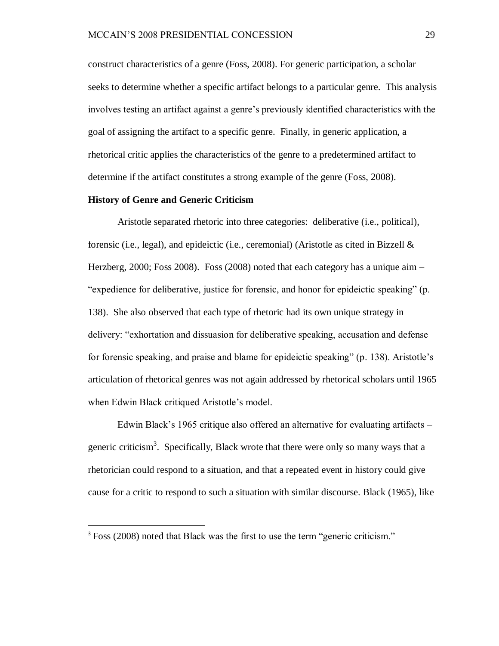construct characteristics of a genre (Foss, 2008). For generic participation, a scholar seeks to determine whether a specific artifact belongs to a particular genre. This analysis involves testing an artifact against a genre"s previously identified characteristics with the goal of assigning the artifact to a specific genre. Finally, in generic application, a rhetorical critic applies the characteristics of the genre to a predetermined artifact to determine if the artifact constitutes a strong example of the genre (Foss, 2008).

## **History of Genre and Generic Criticism**

 $\overline{\phantom{a}}$ 

 Aristotle separated rhetoric into three categories: deliberative (i.e., political), forensic (i.e., legal), and epideictic (i.e., ceremonial) (Aristotle as cited in Bizzell  $\&$ Herzberg, 2000; Foss 2008). Foss (2008) noted that each category has a unique aim – "expedience for deliberative, justice for forensic, and honor for epideictic speaking" (p. 138). She also observed that each type of rhetoric had its own unique strategy in delivery: "exhortation and dissuasion for deliberative speaking, accusation and defense for forensic speaking, and praise and blame for epideictic speaking" (p. 138). Aristotle"s articulation of rhetorical genres was not again addressed by rhetorical scholars until 1965 when Edwin Black critiqued Aristotle's model.

Edwin Black"s 1965 critique also offered an alternative for evaluating artifacts – generic criticism<sup>3</sup>. Specifically, Black wrote that there were only so many ways that a rhetorician could respond to a situation, and that a repeated event in history could give cause for a critic to respond to such a situation with similar discourse. Black (1965), like

<sup>&</sup>lt;sup>3</sup> Foss (2008) noted that Black was the first to use the term "generic criticism."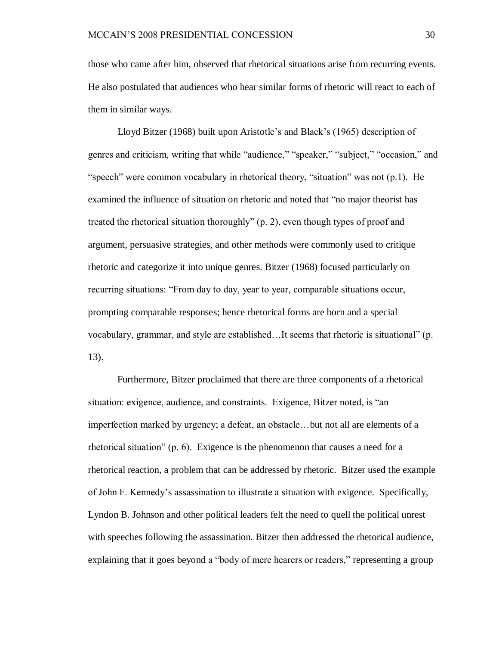those who came after him, observed that rhetorical situations arise from recurring events. He also postulated that audiences who hear similar forms of rhetoric will react to each of them in similar ways.

 Lloyd Bitzer (1968) built upon Aristotle"s and Black"s (1965) description of genres and criticism, writing that while "audience," "speaker," "subject," "occasion," and "speech" were common vocabulary in rhetorical theory, "situation" was not (p.1). He examined the influence of situation on rhetoric and noted that "no major theorist has treated the rhetorical situation thoroughly" (p. 2), even though types of proof and argument, persuasive strategies, and other methods were commonly used to critique rhetoric and categorize it into unique genres. Bitzer (1968) focused particularly on recurring situations: "From day to day, year to year, comparable situations occur, prompting comparable responses; hence rhetorical forms are born and a special vocabulary, grammar, and style are established…It seems that rhetoric is situational" (p. 13).

Furthermore, Bitzer proclaimed that there are three components of a rhetorical situation: exigence, audience, and constraints. Exigence, Bitzer noted, is "an imperfection marked by urgency; a defeat, an obstacle…but not all are elements of a rhetorical situation" (p. 6). Exigence is the phenomenon that causes a need for a rhetorical reaction, a problem that can be addressed by rhetoric. Bitzer used the example of John F. Kennedy"s assassination to illustrate a situation with exigence. Specifically, Lyndon B. Johnson and other political leaders felt the need to quell the political unrest with speeches following the assassination. Bitzer then addressed the rhetorical audience, explaining that it goes beyond a "body of mere hearers or readers," representing a group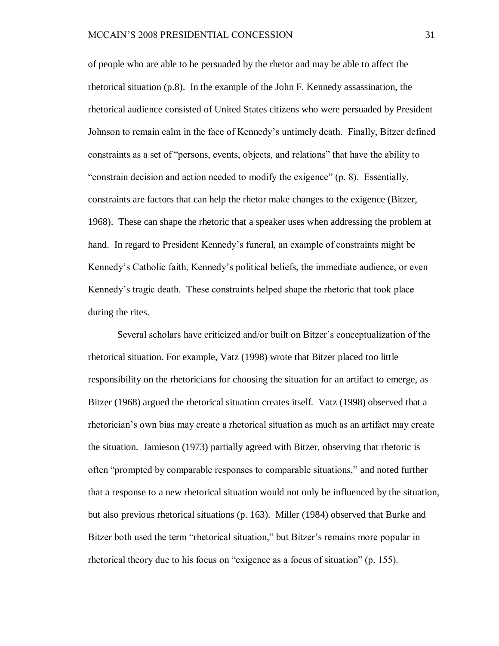of people who are able to be persuaded by the rhetor and may be able to affect the rhetorical situation (p.8). In the example of the John F. Kennedy assassination, the rhetorical audience consisted of United States citizens who were persuaded by President Johnson to remain calm in the face of Kennedy"s untimely death. Finally, Bitzer defined constraints as a set of "persons, events, objects, and relations" that have the ability to "constrain decision and action needed to modify the exigence" (p. 8). Essentially, constraints are factors that can help the rhetor make changes to the exigence (Bitzer, 1968). These can shape the rhetoric that a speaker uses when addressing the problem at hand. In regard to President Kennedy"s funeral, an example of constraints might be Kennedy"s Catholic faith, Kennedy"s political beliefs, the immediate audience, or even Kennedy"s tragic death. These constraints helped shape the rhetoric that took place during the rites.

Several scholars have criticized and/or built on Bitzer"s conceptualization of the rhetorical situation. For example, Vatz (1998) wrote that Bitzer placed too little responsibility on the rhetoricians for choosing the situation for an artifact to emerge, as Bitzer (1968) argued the rhetorical situation creates itself. Vatz (1998) observed that a rhetorician"s own bias may create a rhetorical situation as much as an artifact may create the situation. Jamieson (1973) partially agreed with Bitzer, observing that rhetoric is often "prompted by comparable responses to comparable situations," and noted further that a response to a new rhetorical situation would not only be influenced by the situation, but also previous rhetorical situations (p. 163). Miller (1984) observed that Burke and Bitzer both used the term "rhetorical situation," but Bitzer"s remains more popular in rhetorical theory due to his focus on "exigence as a focus of situation" (p. 155).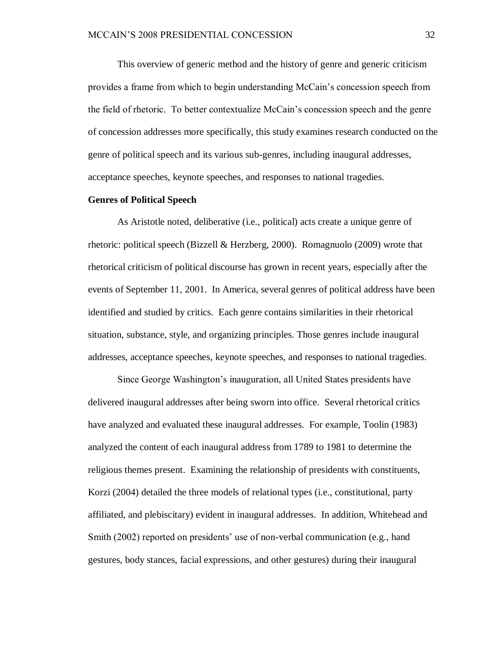This overview of generic method and the history of genre and generic criticism provides a frame from which to begin understanding McCain"s concession speech from the field of rhetoric. To better contextualize McCain"s concession speech and the genre of concession addresses more specifically, this study examines research conducted on the genre of political speech and its various sub-genres, including inaugural addresses, acceptance speeches, keynote speeches, and responses to national tragedies.

## **Genres of Political Speech**

As Aristotle noted, deliberative (i.e., political) acts create a unique genre of rhetoric: political speech (Bizzell & Herzberg, 2000). Romagnuolo (2009) wrote that rhetorical criticism of political discourse has grown in recent years, especially after the events of September 11, 2001. In America, several genres of political address have been identified and studied by critics. Each genre contains similarities in their rhetorical situation, substance, style, and organizing principles. Those genres include inaugural addresses, acceptance speeches, keynote speeches, and responses to national tragedies.

Since George Washington"s inauguration, all United States presidents have delivered inaugural addresses after being sworn into office. Several rhetorical critics have analyzed and evaluated these inaugural addresses. For example, Toolin (1983) analyzed the content of each inaugural address from 1789 to 1981 to determine the religious themes present. Examining the relationship of presidents with constituents, Korzi (2004) detailed the three models of relational types (i.e., constitutional, party affiliated, and plebiscitary) evident in inaugural addresses. In addition, Whitehead and Smith (2002) reported on presidents' use of non-verbal communication (e.g., hand gestures, body stances, facial expressions, and other gestures) during their inaugural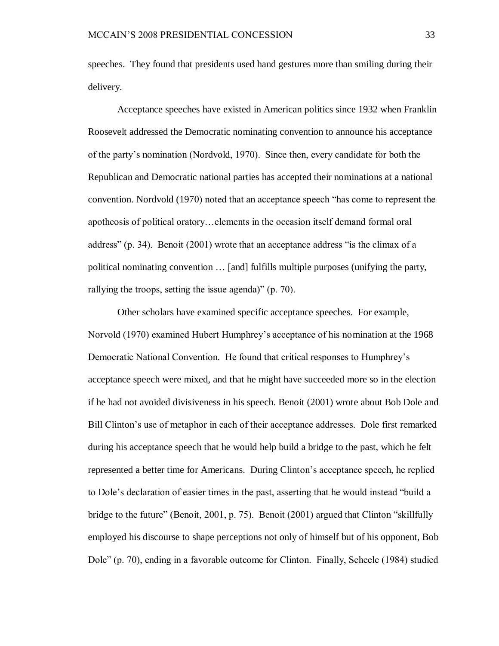speeches. They found that presidents used hand gestures more than smiling during their delivery.

Acceptance speeches have existed in American politics since 1932 when Franklin Roosevelt addressed the Democratic nominating convention to announce his acceptance of the party"s nomination (Nordvold, 1970). Since then, every candidate for both the Republican and Democratic national parties has accepted their nominations at a national convention. Nordvold (1970) noted that an acceptance speech "has come to represent the apotheosis of political oratory…elements in the occasion itself demand formal oral address" (p. 34). Benoit (2001) wrote that an acceptance address "is the climax of a political nominating convention … [and] fulfills multiple purposes (unifying the party, rallying the troops, setting the issue agenda)" (p. 70).

Other scholars have examined specific acceptance speeches. For example, Norvold (1970) examined Hubert Humphrey"s acceptance of his nomination at the 1968 Democratic National Convention. He found that critical responses to Humphrey"s acceptance speech were mixed, and that he might have succeeded more so in the election if he had not avoided divisiveness in his speech. Benoit (2001) wrote about Bob Dole and Bill Clinton"s use of metaphor in each of their acceptance addresses. Dole first remarked during his acceptance speech that he would help build a bridge to the past, which he felt represented a better time for Americans. During Clinton"s acceptance speech, he replied to Dole"s declaration of easier times in the past, asserting that he would instead "build a bridge to the future" (Benoit, 2001, p. 75). Benoit (2001) argued that Clinton "skillfully employed his discourse to shape perceptions not only of himself but of his opponent, Bob Dole" (p. 70), ending in a favorable outcome for Clinton. Finally, Scheele (1984) studied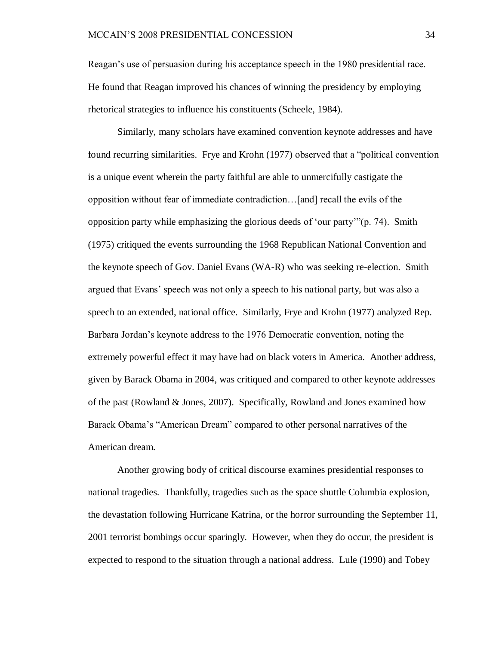Reagan"s use of persuasion during his acceptance speech in the 1980 presidential race. He found that Reagan improved his chances of winning the presidency by employing rhetorical strategies to influence his constituents (Scheele, 1984).

Similarly, many scholars have examined convention keynote addresses and have found recurring similarities. Frye and Krohn (1977) observed that a "political convention is a unique event wherein the party faithful are able to unmercifully castigate the opposition without fear of immediate contradiction…[and] recall the evils of the opposition party while emphasizing the glorious deeds of "our party""(p. 74). Smith (1975) critiqued the events surrounding the 1968 Republican National Convention and the keynote speech of Gov. Daniel Evans (WA-R) who was seeking re-election. Smith argued that Evans" speech was not only a speech to his national party, but was also a speech to an extended, national office. Similarly, Frye and Krohn (1977) analyzed Rep. Barbara Jordan"s keynote address to the 1976 Democratic convention, noting the extremely powerful effect it may have had on black voters in America. Another address, given by Barack Obama in 2004, was critiqued and compared to other keynote addresses of the past (Rowland & Jones, 2007). Specifically, Rowland and Jones examined how Barack Obama"s "American Dream" compared to other personal narratives of the American dream.

Another growing body of critical discourse examines presidential responses to national tragedies. Thankfully, tragedies such as the space shuttle Columbia explosion, the devastation following Hurricane Katrina, or the horror surrounding the September 11, 2001 terrorist bombings occur sparingly. However, when they do occur, the president is expected to respond to the situation through a national address. Lule (1990) and Tobey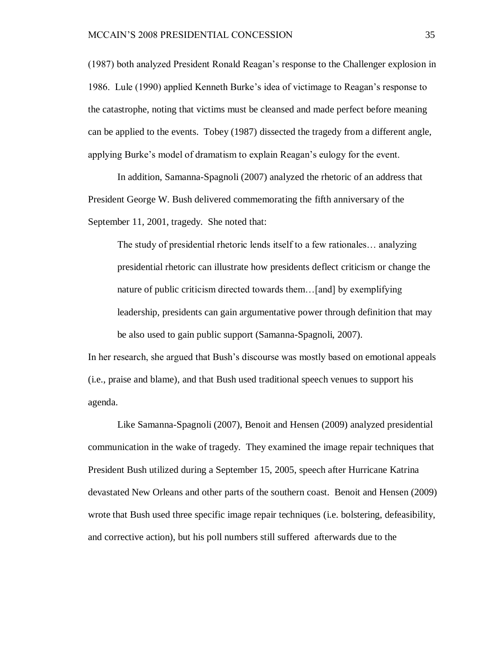(1987) both analyzed President Ronald Reagan"s response to the Challenger explosion in 1986. Lule (1990) applied Kenneth Burke"s idea of victimage to Reagan"s response to the catastrophe, noting that victims must be cleansed and made perfect before meaning can be applied to the events. Tobey (1987) dissected the tragedy from a different angle, applying Burke"s model of dramatism to explain Reagan"s eulogy for the event.

In addition, Samanna-Spagnoli (2007) analyzed the rhetoric of an address that President George W. Bush delivered commemorating the fifth anniversary of the September 11, 2001, tragedy. She noted that:

The study of presidential rhetoric lends itself to a few rationales… analyzing presidential rhetoric can illustrate how presidents deflect criticism or change the nature of public criticism directed towards them…[and] by exemplifying leadership, presidents can gain argumentative power through definition that may be also used to gain public support (Samanna-Spagnoli, 2007).

In her research, she argued that Bush"s discourse was mostly based on emotional appeals (i.e., praise and blame), and that Bush used traditional speech venues to support his agenda.

Like Samanna-Spagnoli (2007), Benoit and Hensen (2009) analyzed presidential communication in the wake of tragedy. They examined the image repair techniques that President Bush utilized during a September 15, 2005, speech after Hurricane Katrina devastated New Orleans and other parts of the southern coast. Benoit and Hensen (2009) wrote that Bush used three specific image repair techniques (i.e. bolstering, defeasibility, and corrective action), but his poll numbers still suffered afterwards due to the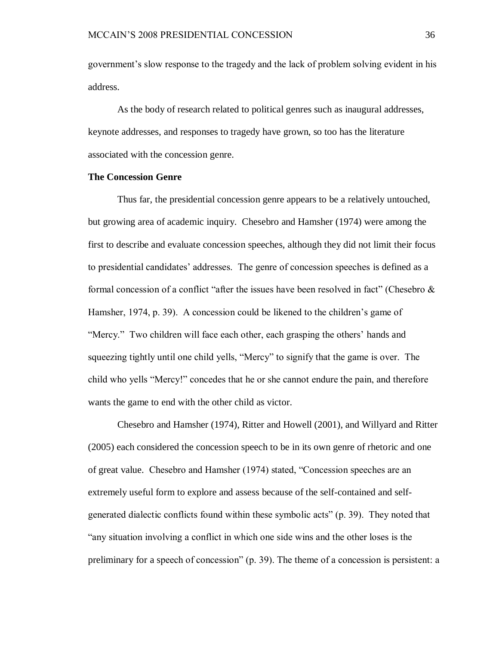government"s slow response to the tragedy and the lack of problem solving evident in his address.

As the body of research related to political genres such as inaugural addresses, keynote addresses, and responses to tragedy have grown, so too has the literature associated with the concession genre.

## **The Concession Genre**

Thus far, the presidential concession genre appears to be a relatively untouched, but growing area of academic inquiry. Chesebro and Hamsher (1974) were among the first to describe and evaluate concession speeches, although they did not limit their focus to presidential candidates" addresses. The genre of concession speeches is defined as a formal concession of a conflict "after the issues have been resolved in fact" (Chesebro  $\&$ Hamsher, 1974, p. 39). A concession could be likened to the children"s game of "Mercy." Two children will face each other, each grasping the others' hands and squeezing tightly until one child yells, "Mercy" to signify that the game is over. The child who yells "Mercy!" concedes that he or she cannot endure the pain, and therefore wants the game to end with the other child as victor.

Chesebro and Hamsher (1974), Ritter and Howell (2001), and Willyard and Ritter (2005) each considered the concession speech to be in its own genre of rhetoric and one of great value. Chesebro and Hamsher (1974) stated, "Concession speeches are an extremely useful form to explore and assess because of the self-contained and selfgenerated dialectic conflicts found within these symbolic acts" (p. 39). They noted that "any situation involving a conflict in which one side wins and the other loses is the preliminary for a speech of concession" (p. 39). The theme of a concession is persistent: a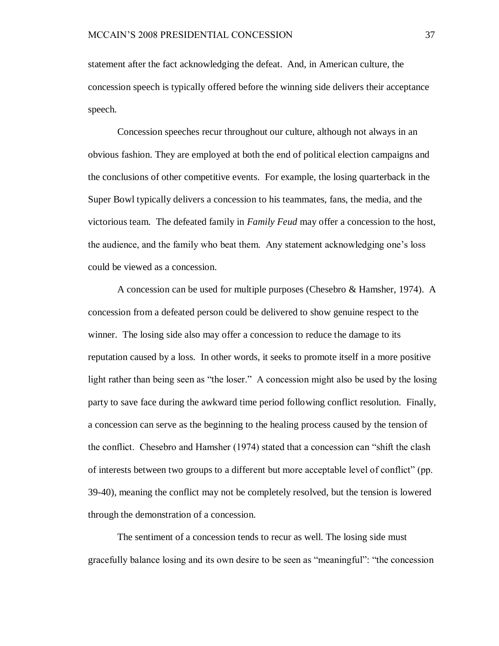statement after the fact acknowledging the defeat. And, in American culture, the concession speech is typically offered before the winning side delivers their acceptance speech.

Concession speeches recur throughout our culture, although not always in an obvious fashion. They are employed at both the end of political election campaigns and the conclusions of other competitive events. For example, the losing quarterback in the Super Bowl typically delivers a concession to his teammates, fans, the media, and the victorious team. The defeated family in *Family Feud* may offer a concession to the host, the audience, and the family who beat them. Any statement acknowledging one"s loss could be viewed as a concession.

A concession can be used for multiple purposes (Chesebro & Hamsher, 1974). A concession from a defeated person could be delivered to show genuine respect to the winner. The losing side also may offer a concession to reduce the damage to its reputation caused by a loss. In other words, it seeks to promote itself in a more positive light rather than being seen as "the loser." A concession might also be used by the losing party to save face during the awkward time period following conflict resolution. Finally, a concession can serve as the beginning to the healing process caused by the tension of the conflict. Chesebro and Hamsher (1974) stated that a concession can "shift the clash of interests between two groups to a different but more acceptable level of conflict" (pp. 39-40), meaning the conflict may not be completely resolved, but the tension is lowered through the demonstration of a concession.

The sentiment of a concession tends to recur as well. The losing side must gracefully balance losing and its own desire to be seen as "meaningful": "the concession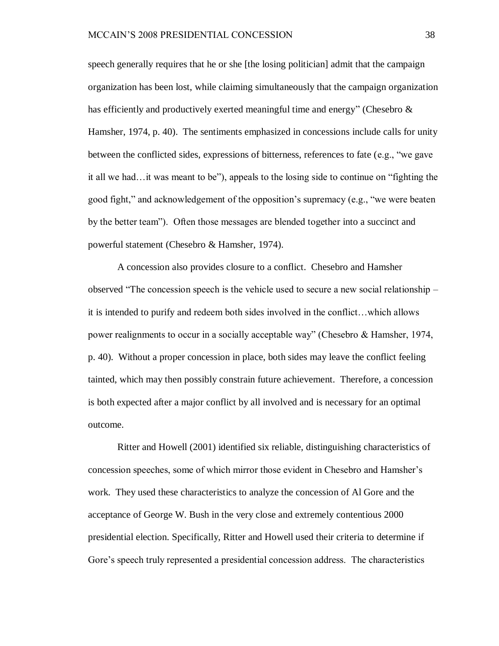speech generally requires that he or she [the losing politician] admit that the campaign organization has been lost, while claiming simultaneously that the campaign organization has efficiently and productively exerted meaningful time and energy" (Chesebro  $\&$ Hamsher, 1974, p. 40). The sentiments emphasized in concessions include calls for unity between the conflicted sides, expressions of bitterness, references to fate (e.g., "we gave it all we had…it was meant to be"), appeals to the losing side to continue on "fighting the good fight," and acknowledgement of the opposition"s supremacy (e.g., "we were beaten by the better team"). Often those messages are blended together into a succinct and powerful statement (Chesebro & Hamsher, 1974).

A concession also provides closure to a conflict. Chesebro and Hamsher observed "The concession speech is the vehicle used to secure a new social relationship – it is intended to purify and redeem both sides involved in the conflict…which allows power realignments to occur in a socially acceptable way" (Chesebro & Hamsher, 1974, p. 40). Without a proper concession in place, both sides may leave the conflict feeling tainted, which may then possibly constrain future achievement. Therefore, a concession is both expected after a major conflict by all involved and is necessary for an optimal outcome.

Ritter and Howell (2001) identified six reliable, distinguishing characteristics of concession speeches, some of which mirror those evident in Chesebro and Hamsher"s work. They used these characteristics to analyze the concession of Al Gore and the acceptance of George W. Bush in the very close and extremely contentious 2000 presidential election. Specifically, Ritter and Howell used their criteria to determine if Gore"s speech truly represented a presidential concession address. The characteristics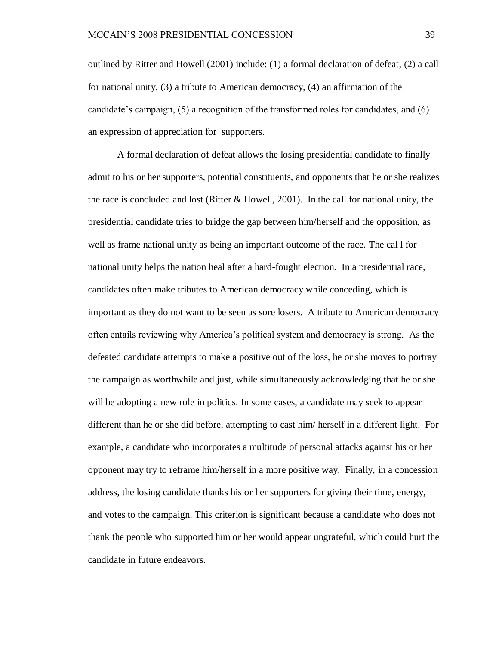outlined by Ritter and Howell (2001) include: (1) a formal declaration of defeat, (2) a call for national unity, (3) a tribute to American democracy, (4) an affirmation of the candidate's campaign,  $(5)$  a recognition of the transformed roles for candidates, and  $(6)$ an expression of appreciation for supporters.

A formal declaration of defeat allows the losing presidential candidate to finally admit to his or her supporters, potential constituents, and opponents that he or she realizes the race is concluded and lost (Ritter & Howell, 2001). In the call for national unity, the presidential candidate tries to bridge the gap between him/herself and the opposition, as well as frame national unity as being an important outcome of the race. The cal l for national unity helps the nation heal after a hard-fought election. In a presidential race, candidates often make tributes to American democracy while conceding, which is important as they do not want to be seen as sore losers. A tribute to American democracy often entails reviewing why America"s political system and democracy is strong. As the defeated candidate attempts to make a positive out of the loss, he or she moves to portray the campaign as worthwhile and just, while simultaneously acknowledging that he or she will be adopting a new role in politics. In some cases, a candidate may seek to appear different than he or she did before, attempting to cast him/ herself in a different light. For example, a candidate who incorporates a multitude of personal attacks against his or her opponent may try to reframe him/herself in a more positive way. Finally, in a concession address, the losing candidate thanks his or her supporters for giving their time, energy, and votes to the campaign. This criterion is significant because a candidate who does not thank the people who supported him or her would appear ungrateful, which could hurt the candidate in future endeavors.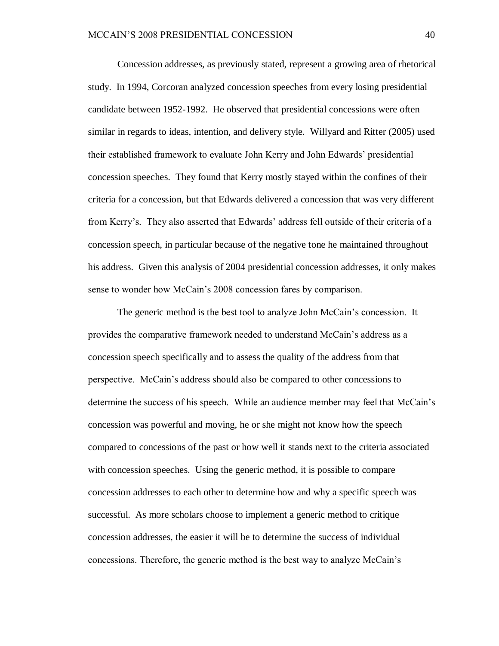Concession addresses, as previously stated, represent a growing area of rhetorical study. In 1994, Corcoran analyzed concession speeches from every losing presidential candidate between 1952-1992. He observed that presidential concessions were often similar in regards to ideas, intention, and delivery style. Willyard and Ritter (2005) used their established framework to evaluate John Kerry and John Edwards" presidential concession speeches. They found that Kerry mostly stayed within the confines of their criteria for a concession, but that Edwards delivered a concession that was very different from Kerry"s. They also asserted that Edwards" address fell outside of their criteria of a concession speech, in particular because of the negative tone he maintained throughout his address. Given this analysis of 2004 presidential concession addresses, it only makes sense to wonder how McCain"s 2008 concession fares by comparison.

The generic method is the best tool to analyze John McCain"s concession. It provides the comparative framework needed to understand McCain"s address as a concession speech specifically and to assess the quality of the address from that perspective. McCain"s address should also be compared to other concessions to determine the success of his speech. While an audience member may feel that McCain"s concession was powerful and moving, he or she might not know how the speech compared to concessions of the past or how well it stands next to the criteria associated with concession speeches. Using the generic method, it is possible to compare concession addresses to each other to determine how and why a specific speech was successful. As more scholars choose to implement a generic method to critique concession addresses, the easier it will be to determine the success of individual concessions. Therefore, the generic method is the best way to analyze McCain"s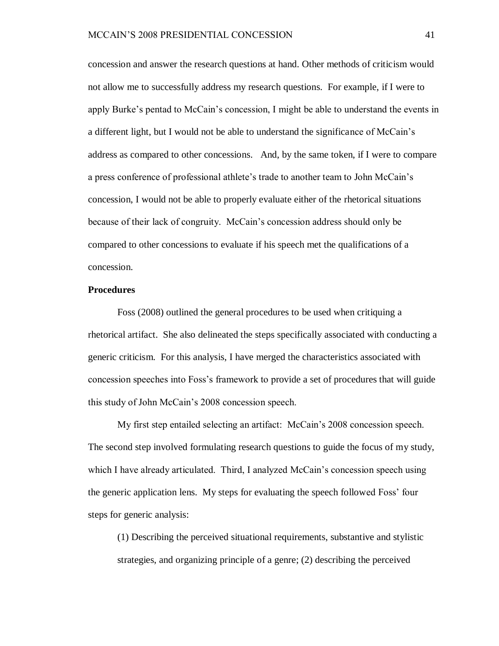concession and answer the research questions at hand. Other methods of criticism would not allow me to successfully address my research questions. For example, if I were to apply Burke"s pentad to McCain"s concession, I might be able to understand the events in a different light, but I would not be able to understand the significance of McCain"s address as compared to other concessions. And, by the same token, if I were to compare a press conference of professional athlete"s trade to another team to John McCain"s concession, I would not be able to properly evaluate either of the rhetorical situations because of their lack of congruity. McCain"s concession address should only be compared to other concessions to evaluate if his speech met the qualifications of a concession.

#### **Procedures**

Foss (2008) outlined the general procedures to be used when critiquing a rhetorical artifact. She also delineated the steps specifically associated with conducting a generic criticism. For this analysis, I have merged the characteristics associated with concession speeches into Foss"s framework to provide a set of procedures that will guide this study of John McCain"s 2008 concession speech.

My first step entailed selecting an artifact: McCain"s 2008 concession speech. The second step involved formulating research questions to guide the focus of my study, which I have already articulated. Third, I analyzed McCain's concession speech using the generic application lens. My steps for evaluating the speech followed Foss" four steps for generic analysis:

(1) Describing the perceived situational requirements, substantive and stylistic strategies, and organizing principle of a genre; (2) describing the perceived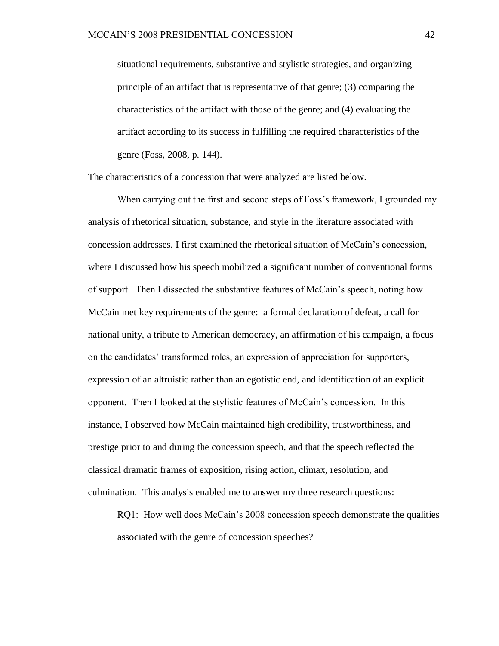situational requirements, substantive and stylistic strategies, and organizing principle of an artifact that is representative of that genre; (3) comparing the characteristics of the artifact with those of the genre; and (4) evaluating the artifact according to its success in fulfilling the required characteristics of the genre (Foss, 2008, p. 144).

The characteristics of a concession that were analyzed are listed below.

When carrying out the first and second steps of Foss's framework, I grounded my analysis of rhetorical situation, substance, and style in the literature associated with concession addresses. I first examined the rhetorical situation of McCain"s concession, where I discussed how his speech mobilized a significant number of conventional forms of support. Then I dissected the substantive features of McCain"s speech, noting how McCain met key requirements of the genre: a formal declaration of defeat, a call for national unity, a tribute to American democracy, an affirmation of his campaign, a focus on the candidates" transformed roles, an expression of appreciation for supporters, expression of an altruistic rather than an egotistic end, and identification of an explicit opponent. Then I looked at the stylistic features of McCain"s concession. In this instance, I observed how McCain maintained high credibility, trustworthiness, and prestige prior to and during the concession speech, and that the speech reflected the classical dramatic frames of exposition, rising action, climax, resolution, and culmination. This analysis enabled me to answer my three research questions:

RQ1: How well does McCain"s 2008 concession speech demonstrate the qualities associated with the genre of concession speeches?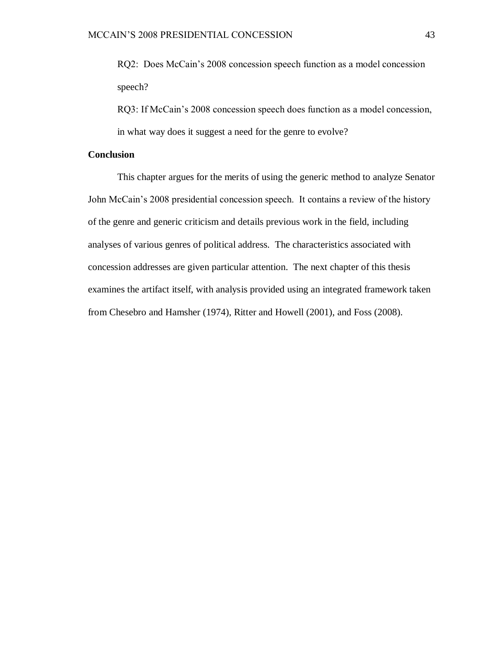RQ2: Does McCain"s 2008 concession speech function as a model concession speech?

RQ3: If McCain"s 2008 concession speech does function as a model concession, in what way does it suggest a need for the genre to evolve?

## **Conclusion**

This chapter argues for the merits of using the generic method to analyze Senator John McCain"s 2008 presidential concession speech. It contains a review of the history of the genre and generic criticism and details previous work in the field, including analyses of various genres of political address. The characteristics associated with concession addresses are given particular attention. The next chapter of this thesis examines the artifact itself, with analysis provided using an integrated framework taken from Chesebro and Hamsher (1974), Ritter and Howell (2001), and Foss (2008).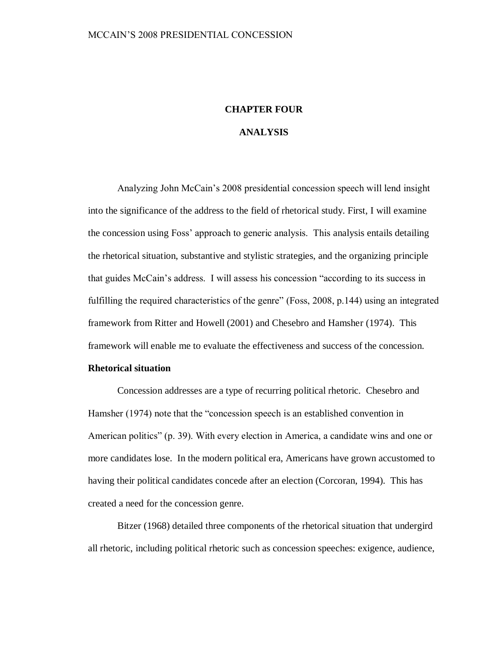# **CHAPTER FOUR**

## **ANALYSIS**

Analyzing John McCain"s 2008 presidential concession speech will lend insight into the significance of the address to the field of rhetorical study. First, I will examine the concession using Foss" approach to generic analysis. This analysis entails detailing the rhetorical situation, substantive and stylistic strategies, and the organizing principle that guides McCain"s address. I will assess his concession "according to its success in fulfilling the required characteristics of the genre" (Foss, 2008, p.144) using an integrated framework from Ritter and Howell (2001) and Chesebro and Hamsher (1974). This framework will enable me to evaluate the effectiveness and success of the concession.

# **Rhetorical situation**

Concession addresses are a type of recurring political rhetoric. Chesebro and Hamsher (1974) note that the "concession speech is an established convention in American politics" (p. 39). With every election in America, a candidate wins and one or more candidates lose. In the modern political era, Americans have grown accustomed to having their political candidates concede after an election (Corcoran, 1994). This has created a need for the concession genre.

Bitzer (1968) detailed three components of the rhetorical situation that undergird all rhetoric, including political rhetoric such as concession speeches: exigence, audience,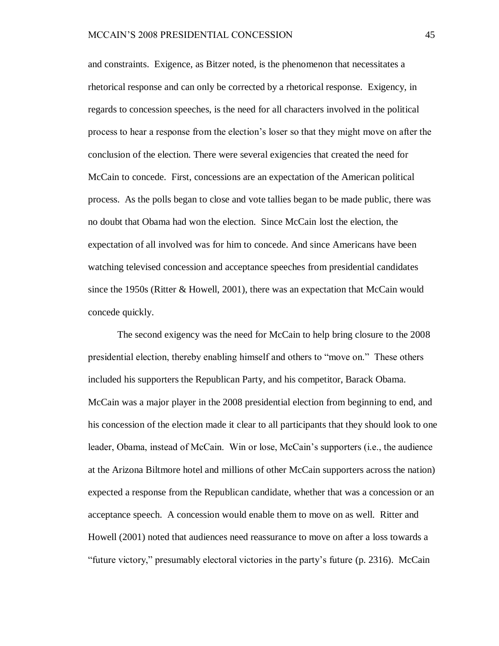and constraints. Exigence, as Bitzer noted, is the phenomenon that necessitates a rhetorical response and can only be corrected by a rhetorical response. Exigency, in regards to concession speeches, is the need for all characters involved in the political process to hear a response from the election"s loser so that they might move on after the conclusion of the election. There were several exigencies that created the need for McCain to concede. First, concessions are an expectation of the American political process. As the polls began to close and vote tallies began to be made public, there was no doubt that Obama had won the election. Since McCain lost the election, the expectation of all involved was for him to concede. And since Americans have been watching televised concession and acceptance speeches from presidential candidates since the 1950s (Ritter & Howell, 2001), there was an expectation that McCain would concede quickly.

The second exigency was the need for McCain to help bring closure to the 2008 presidential election, thereby enabling himself and others to "move on." These others included his supporters the Republican Party, and his competitor, Barack Obama. McCain was a major player in the 2008 presidential election from beginning to end, and his concession of the election made it clear to all participants that they should look to one leader, Obama, instead of McCain. Win or lose, McCain"s supporters (i.e., the audience at the Arizona Biltmore hotel and millions of other McCain supporters across the nation) expected a response from the Republican candidate, whether that was a concession or an acceptance speech. A concession would enable them to move on as well. Ritter and Howell (2001) noted that audiences need reassurance to move on after a loss towards a "future victory," presumably electoral victories in the party"s future (p. 2316). McCain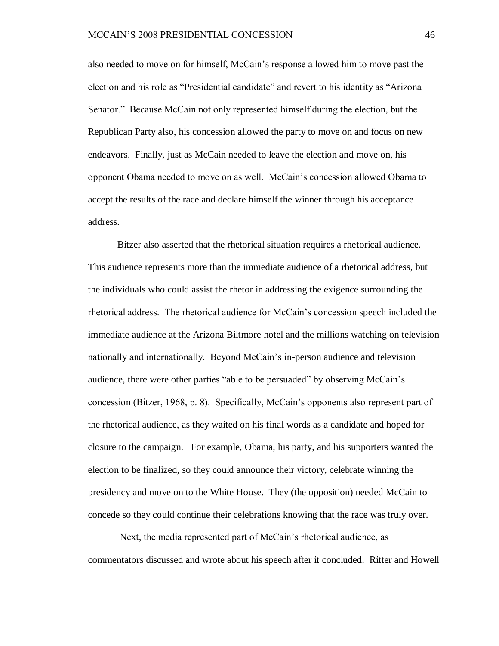also needed to move on for himself, McCain"s response allowed him to move past the election and his role as "Presidential candidate" and revert to his identity as "Arizona Senator." Because McCain not only represented himself during the election, but the Republican Party also, his concession allowed the party to move on and focus on new endeavors. Finally, just as McCain needed to leave the election and move on, his opponent Obama needed to move on as well. McCain"s concession allowed Obama to accept the results of the race and declare himself the winner through his acceptance address.

Bitzer also asserted that the rhetorical situation requires a rhetorical audience. This audience represents more than the immediate audience of a rhetorical address, but the individuals who could assist the rhetor in addressing the exigence surrounding the rhetorical address. The rhetorical audience for McCain"s concession speech included the immediate audience at the Arizona Biltmore hotel and the millions watching on television nationally and internationally. Beyond McCain"s in-person audience and television audience, there were other parties "able to be persuaded" by observing McCain"s concession (Bitzer, 1968, p. 8). Specifically, McCain"s opponents also represent part of the rhetorical audience, as they waited on his final words as a candidate and hoped for closure to the campaign. For example, Obama, his party, and his supporters wanted the election to be finalized, so they could announce their victory, celebrate winning the presidency and move on to the White House. They (the opposition) needed McCain to concede so they could continue their celebrations knowing that the race was truly over.

Next, the media represented part of McCain"s rhetorical audience, as commentators discussed and wrote about his speech after it concluded. Ritter and Howell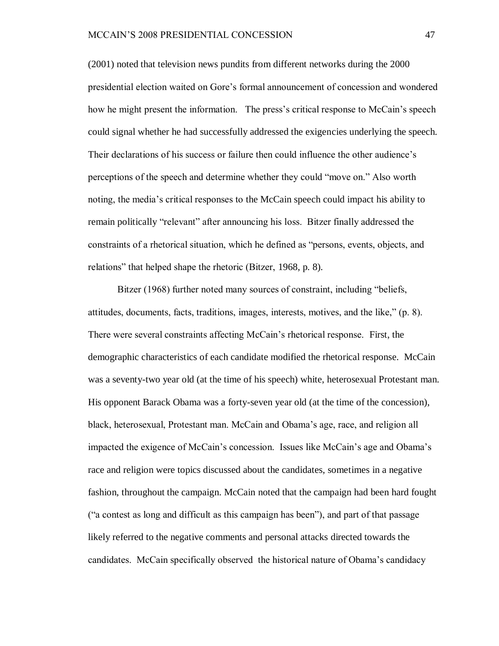(2001) noted that television news pundits from different networks during the 2000 presidential election waited on Gore"s formal announcement of concession and wondered how he might present the information. The press's critical response to McCain's speech could signal whether he had successfully addressed the exigencies underlying the speech. Their declarations of his success or failure then could influence the other audience"s perceptions of the speech and determine whether they could "move on." Also worth noting, the media"s critical responses to the McCain speech could impact his ability to remain politically "relevant" after announcing his loss. Bitzer finally addressed the constraints of a rhetorical situation, which he defined as "persons, events, objects, and relations" that helped shape the rhetoric (Bitzer, 1968, p. 8).

Bitzer (1968) further noted many sources of constraint, including "beliefs, attitudes, documents, facts, traditions, images, interests, motives, and the like," (p. 8). There were several constraints affecting McCain"s rhetorical response. First, the demographic characteristics of each candidate modified the rhetorical response. McCain was a seventy-two year old (at the time of his speech) white, heterosexual Protestant man. His opponent Barack Obama was a forty-seven year old (at the time of the concession), black, heterosexual, Protestant man. McCain and Obama"s age, race, and religion all impacted the exigence of McCain"s concession. Issues like McCain"s age and Obama"s race and religion were topics discussed about the candidates, sometimes in a negative fashion, throughout the campaign. McCain noted that the campaign had been hard fought ("a contest as long and difficult as this campaign has been"), and part of that passage likely referred to the negative comments and personal attacks directed towards the candidates. McCain specifically observed the historical nature of Obama"s candidacy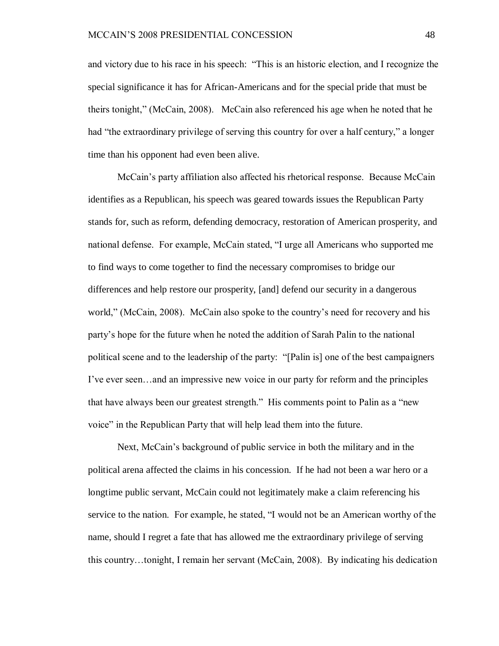and victory due to his race in his speech: "This is an historic election, and I recognize the special significance it has for African-Americans and for the special pride that must be theirs tonight," (McCain, 2008). McCain also referenced his age when he noted that he had "the extraordinary privilege of serving this country for over a half century," a longer time than his opponent had even been alive.

McCain"s party affiliation also affected his rhetorical response. Because McCain identifies as a Republican, his speech was geared towards issues the Republican Party stands for, such as reform, defending democracy, restoration of American prosperity, and national defense. For example, McCain stated, "I urge all Americans who supported me to find ways to come together to find the necessary compromises to bridge our differences and help restore our prosperity, [and] defend our security in a dangerous world," (McCain, 2008). McCain also spoke to the country"s need for recovery and his party"s hope for the future when he noted the addition of Sarah Palin to the national political scene and to the leadership of the party: "[Palin is] one of the best campaigners I"ve ever seen…and an impressive new voice in our party for reform and the principles that have always been our greatest strength." His comments point to Palin as a "new voice" in the Republican Party that will help lead them into the future.

Next, McCain"s background of public service in both the military and in the political arena affected the claims in his concession. If he had not been a war hero or a longtime public servant, McCain could not legitimately make a claim referencing his service to the nation. For example, he stated, "I would not be an American worthy of the name, should I regret a fate that has allowed me the extraordinary privilege of serving this country…tonight, I remain her servant (McCain, 2008). By indicating his dedication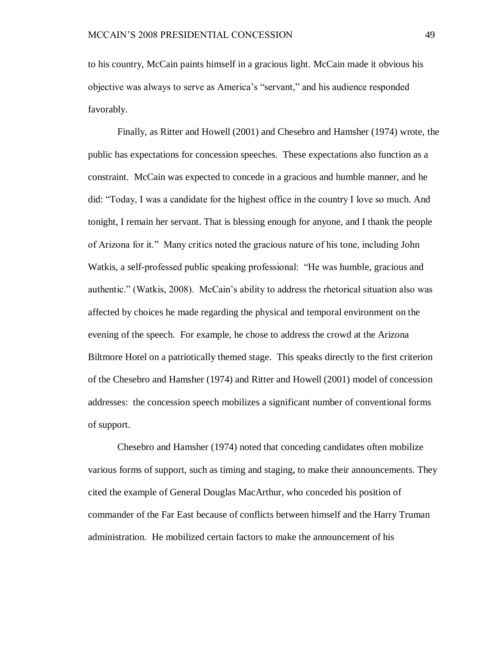to his country, McCain paints himself in a gracious light. McCain made it obvious his objective was always to serve as America"s "servant," and his audience responded favorably.

Finally, as Ritter and Howell (2001) and Chesebro and Hamsher (1974) wrote, the public has expectations for concession speeches. These expectations also function as a constraint. McCain was expected to concede in a gracious and humble manner, and he did: "Today, I was a candidate for the highest office in the country I love so much. And tonight, I remain her servant. That is blessing enough for anyone, and I thank the people of Arizona for it." Many critics noted the gracious nature of his tone, including John Watkis, a self-professed public speaking professional: "He was humble, gracious and authentic." (Watkis, 2008). McCain"s ability to address the rhetorical situation also was affected by choices he made regarding the physical and temporal environment on the evening of the speech. For example, he chose to address the crowd at the Arizona Biltmore Hotel on a patriotically themed stage. This speaks directly to the first criterion of the Chesebro and Hamsher (1974) and Ritter and Howell (2001) model of concession addresses: the concession speech mobilizes a significant number of conventional forms of support.

Chesebro and Hamsher (1974) noted that conceding candidates often mobilize various forms of support, such as timing and staging, to make their announcements. They cited the example of General Douglas MacArthur, who conceded his position of commander of the Far East because of conflicts between himself and the Harry Truman administration. He mobilized certain factors to make the announcement of his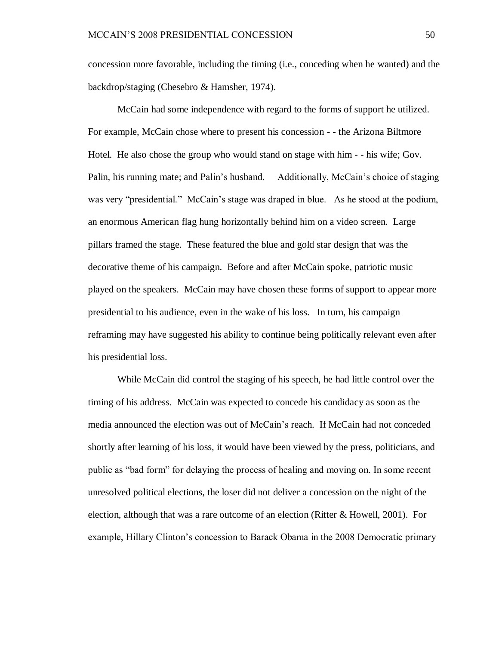concession more favorable, including the timing (i.e., conceding when he wanted) and the backdrop/staging (Chesebro & Hamsher, 1974).

McCain had some independence with regard to the forms of support he utilized. For example, McCain chose where to present his concession - - the Arizona Biltmore Hotel. He also chose the group who would stand on stage with him - - his wife; Gov. Palin, his running mate; and Palin"s husband. Additionally, McCain"s choice of staging was very "presidential." McCain's stage was draped in blue. As he stood at the podium, an enormous American flag hung horizontally behind him on a video screen. Large pillars framed the stage. These featured the blue and gold star design that was the decorative theme of his campaign. Before and after McCain spoke, patriotic music played on the speakers. McCain may have chosen these forms of support to appear more presidential to his audience, even in the wake of his loss. In turn, his campaign reframing may have suggested his ability to continue being politically relevant even after his presidential loss.

While McCain did control the staging of his speech, he had little control over the timing of his address. McCain was expected to concede his candidacy as soon as the media announced the election was out of McCain"s reach. If McCain had not conceded shortly after learning of his loss, it would have been viewed by the press, politicians, and public as "bad form" for delaying the process of healing and moving on. In some recent unresolved political elections, the loser did not deliver a concession on the night of the election, although that was a rare outcome of an election (Ritter & Howell, 2001). For example, Hillary Clinton"s concession to Barack Obama in the 2008 Democratic primary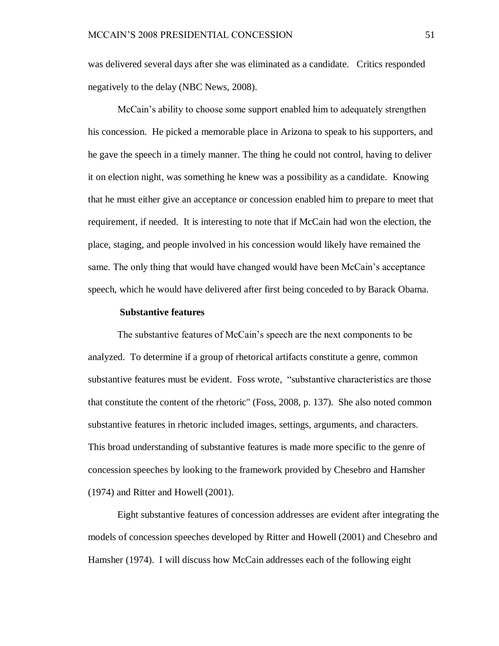was delivered several days after she was eliminated as a candidate. Critics responded negatively to the delay (NBC News, 2008).

 McCain"s ability to choose some support enabled him to adequately strengthen his concession. He picked a memorable place in Arizona to speak to his supporters, and he gave the speech in a timely manner. The thing he could not control, having to deliver it on election night, was something he knew was a possibility as a candidate. Knowing that he must either give an acceptance or concession enabled him to prepare to meet that requirement, if needed. It is interesting to note that if McCain had won the election, the place, staging, and people involved in his concession would likely have remained the same. The only thing that would have changed would have been McCain"s acceptance speech, which he would have delivered after first being conceded to by Barack Obama.

#### **Substantive features**

The substantive features of McCain"s speech are the next components to be analyzed. To determine if a group of rhetorical artifacts constitute a genre, common substantive features must be evident. Foss wrote, "substantive characteristics are those that constitute the content of the rhetoric" (Foss, 2008, p. 137). She also noted common substantive features in rhetoric included images, settings, arguments, and characters. This broad understanding of substantive features is made more specific to the genre of concession speeches by looking to the framework provided by Chesebro and Hamsher (1974) and Ritter and Howell (2001).

Eight substantive features of concession addresses are evident after integrating the models of concession speeches developed by Ritter and Howell (2001) and Chesebro and Hamsher (1974). I will discuss how McCain addresses each of the following eight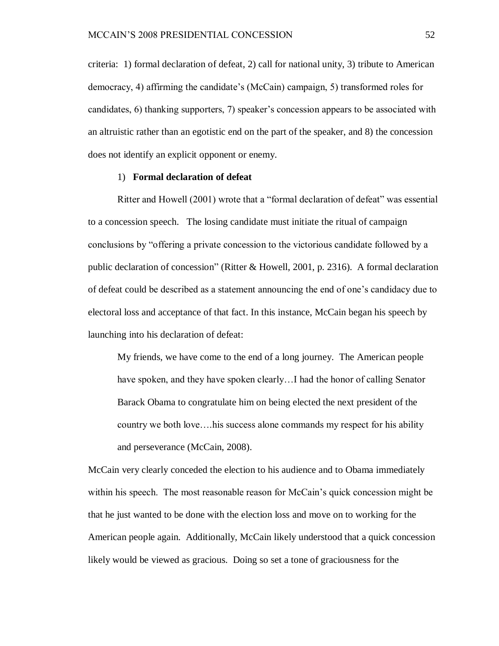criteria: 1) formal declaration of defeat, 2) call for national unity, 3) tribute to American democracy, 4) affirming the candidate's (McCain) campaign, 5) transformed roles for candidates, 6) thanking supporters, 7) speaker's concession appears to be associated with an altruistic rather than an egotistic end on the part of the speaker, and 8) the concession does not identify an explicit opponent or enemy.

# 1) **Formal declaration of defeat**

Ritter and Howell (2001) wrote that a "formal declaration of defeat" was essential to a concession speech. The losing candidate must initiate the ritual of campaign conclusions by "offering a private concession to the victorious candidate followed by a public declaration of concession" (Ritter & Howell, 2001, p. 2316). A formal declaration of defeat could be described as a statement announcing the end of one"s candidacy due to electoral loss and acceptance of that fact. In this instance, McCain began his speech by launching into his declaration of defeat:

My friends, we have come to the end of a long journey. The American people have spoken, and they have spoken clearly…I had the honor of calling Senator Barack Obama to congratulate him on being elected the next president of the country we both love….his success alone commands my respect for his ability and perseverance (McCain, 2008).

McCain very clearly conceded the election to his audience and to Obama immediately within his speech. The most reasonable reason for McCain's quick concession might be that he just wanted to be done with the election loss and move on to working for the American people again. Additionally, McCain likely understood that a quick concession likely would be viewed as gracious. Doing so set a tone of graciousness for the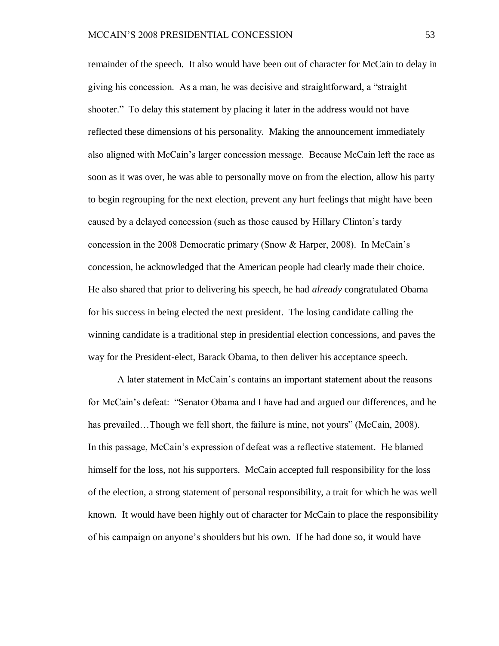remainder of the speech. It also would have been out of character for McCain to delay in giving his concession. As a man, he was decisive and straightforward, a "straight shooter." To delay this statement by placing it later in the address would not have reflected these dimensions of his personality. Making the announcement immediately also aligned with McCain"s larger concession message. Because McCain left the race as soon as it was over, he was able to personally move on from the election, allow his party to begin regrouping for the next election, prevent any hurt feelings that might have been caused by a delayed concession (such as those caused by Hillary Clinton"s tardy concession in the 2008 Democratic primary (Snow & Harper, 2008). In McCain"s concession, he acknowledged that the American people had clearly made their choice. He also shared that prior to delivering his speech, he had *already* congratulated Obama for his success in being elected the next president. The losing candidate calling the winning candidate is a traditional step in presidential election concessions, and paves the way for the President-elect, Barack Obama, to then deliver his acceptance speech.

A later statement in McCain"s contains an important statement about the reasons for McCain"s defeat: "Senator Obama and I have had and argued our differences, and he has prevailed…Though we fell short, the failure is mine, not yours" (McCain, 2008). In this passage, McCain"s expression of defeat was a reflective statement. He blamed himself for the loss, not his supporters. McCain accepted full responsibility for the loss of the election, a strong statement of personal responsibility, a trait for which he was well known. It would have been highly out of character for McCain to place the responsibility of his campaign on anyone"s shoulders but his own. If he had done so, it would have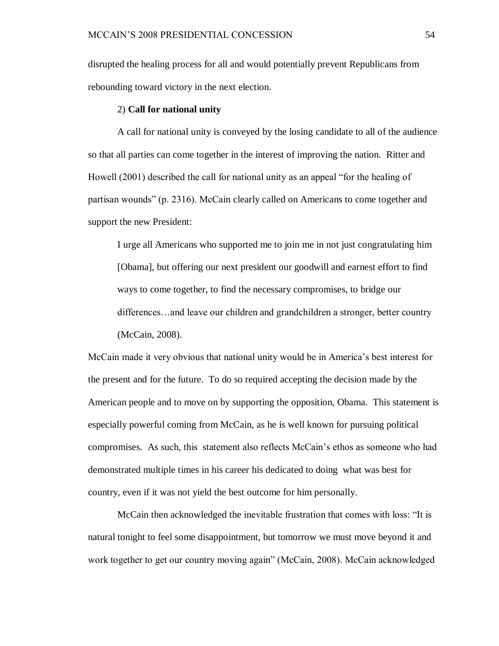disrupted the healing process for all and would potentially prevent Republicans from rebounding toward victory in the next election.

## 2) **Call for national unity**

A call for national unity is conveyed by the losing candidate to all of the audience so that all parties can come together in the interest of improving the nation. Ritter and Howell (2001) described the call for national unity as an appeal "for the healing of partisan wounds" (p. 2316). McCain clearly called on Americans to come together and support the new President:

I urge all Americans who supported me to join me in not just congratulating him [Obama], but offering our next president our goodwill and earnest effort to find ways to come together, to find the necessary compromises, to bridge our differences…and leave our children and grandchildren a stronger, better country (McCain, 2008).

McCain made it very obvious that national unity would be in America"s best interest for the present and for the future. To do so required accepting the decision made by the American people and to move on by supporting the opposition, Obama. This statement is especially powerful coming from McCain, as he is well known for pursuing political compromises. As such, this statement also reflects McCain"s ethos as someone who had demonstrated multiple times in his career his dedicated to doing what was best for country, even if it was not yield the best outcome for him personally.

McCain then acknowledged the inevitable frustration that comes with loss: "It is natural tonight to feel some disappointment, but tomorrow we must move beyond it and work together to get our country moving again" (McCain, 2008). McCain acknowledged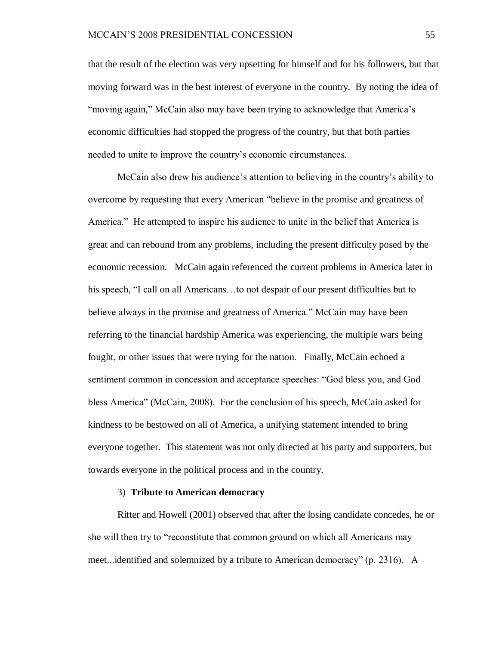that the result of the election was very upsetting for himself and for his followers, but that moving forward was in the best interest of everyone in the country. By noting the idea of "moving again," McCain also may have been trying to acknowledge that America"s economic difficulties had stopped the progress of the country, but that both parties needed to unite to improve the country"s economic circumstances.

McCain also drew his audience"s attention to believing in the country"s ability to overcome by requesting that every American "believe in the promise and greatness of America." He attempted to inspire his audience to unite in the belief that America is great and can rebound from any problems, including the present difficulty posed by the economic recession. McCain again referenced the current problems in America later in his speech, "I call on all Americans...to not despair of our present difficulties but to believe always in the promise and greatness of America." McCain may have been referring to the financial hardship America was experiencing, the multiple wars being fought, or other issues that were trying for the nation. Finally, McCain echoed a sentiment common in concession and acceptance speeches: "God bless you, and God bless America" (McCain, 2008). For the conclusion of his speech, McCain asked for kindness to be bestowed on all of America, a unifying statement intended to bring everyone together. This statement was not only directed at his party and supporters, but towards everyone in the political process and in the country.

#### 3) **Tribute to American democracy**

Ritter and Howell (2001) observed that after the losing candidate concedes, he or she will then try to "reconstitute that common ground on which all Americans may meet...identified and solemnized by a tribute to American democracy" (p. 2316). A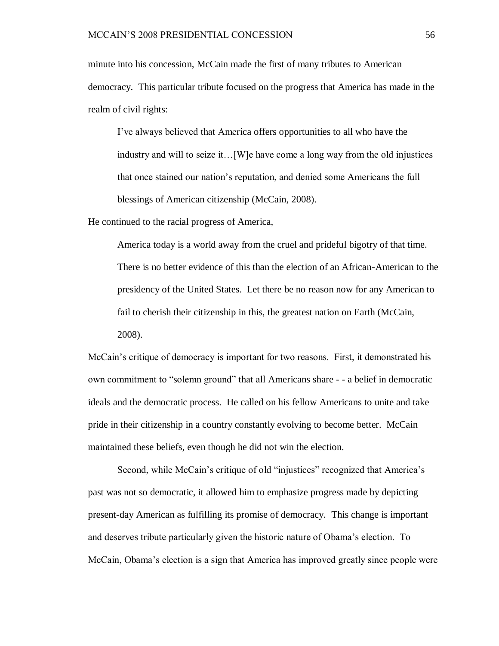minute into his concession, McCain made the first of many tributes to American democracy. This particular tribute focused on the progress that America has made in the realm of civil rights:

I"ve always believed that America offers opportunities to all who have the industry and will to seize it…[W]e have come a long way from the old injustices that once stained our nation"s reputation, and denied some Americans the full blessings of American citizenship (McCain, 2008).

He continued to the racial progress of America,

America today is a world away from the cruel and prideful bigotry of that time. There is no better evidence of this than the election of an African-American to the presidency of the United States. Let there be no reason now for any American to fail to cherish their citizenship in this, the greatest nation on Earth (McCain, 2008).

McCain"s critique of democracy is important for two reasons. First, it demonstrated his own commitment to "solemn ground" that all Americans share - - a belief in democratic ideals and the democratic process. He called on his fellow Americans to unite and take pride in their citizenship in a country constantly evolving to become better. McCain maintained these beliefs, even though he did not win the election.

Second, while McCain"s critique of old "injustices" recognized that America"s past was not so democratic, it allowed him to emphasize progress made by depicting present-day American as fulfilling its promise of democracy. This change is important and deserves tribute particularly given the historic nature of Obama"s election. To McCain, Obama"s election is a sign that America has improved greatly since people were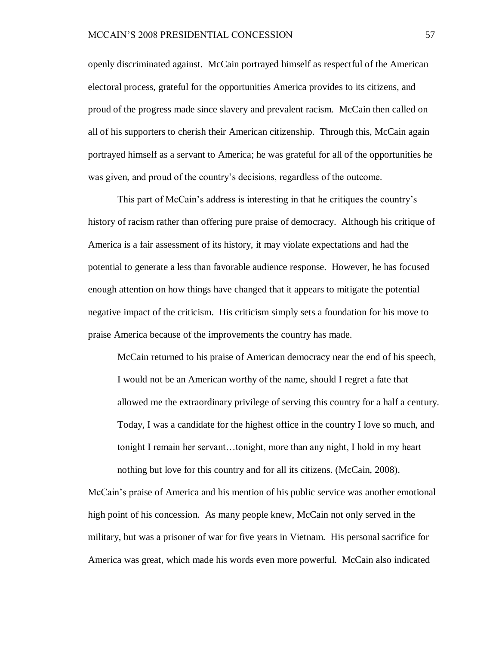openly discriminated against. McCain portrayed himself as respectful of the American electoral process, grateful for the opportunities America provides to its citizens, and proud of the progress made since slavery and prevalent racism. McCain then called on all of his supporters to cherish their American citizenship. Through this, McCain again portrayed himself as a servant to America; he was grateful for all of the opportunities he was given, and proud of the country's decisions, regardless of the outcome.

This part of McCain"s address is interesting in that he critiques the country"s history of racism rather than offering pure praise of democracy. Although his critique of America is a fair assessment of its history, it may violate expectations and had the potential to generate a less than favorable audience response. However, he has focused enough attention on how things have changed that it appears to mitigate the potential negative impact of the criticism. His criticism simply sets a foundation for his move to praise America because of the improvements the country has made.

McCain returned to his praise of American democracy near the end of his speech, I would not be an American worthy of the name, should I regret a fate that allowed me the extraordinary privilege of serving this country for a half a century. Today, I was a candidate for the highest office in the country I love so much, and tonight I remain her servant…tonight, more than any night, I hold in my heart nothing but love for this country and for all its citizens. (McCain, 2008).

McCain"s praise of America and his mention of his public service was another emotional high point of his concession. As many people knew, McCain not only served in the military, but was a prisoner of war for five years in Vietnam. His personal sacrifice for America was great, which made his words even more powerful. McCain also indicated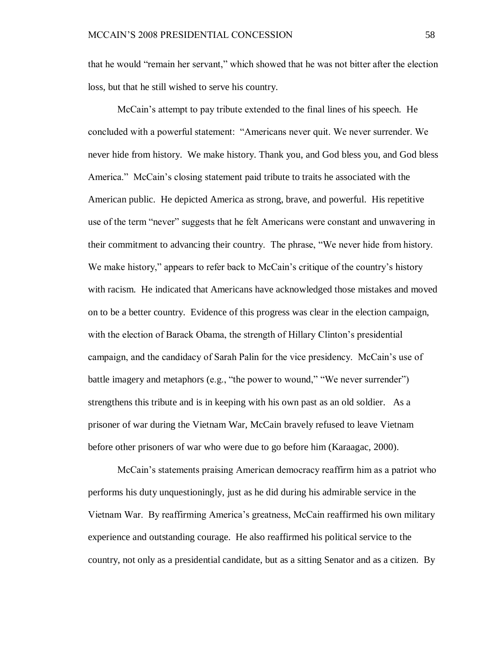that he would "remain her servant," which showed that he was not bitter after the election loss, but that he still wished to serve his country.

McCain"s attempt to pay tribute extended to the final lines of his speech. He concluded with a powerful statement: "Americans never quit. We never surrender. We never hide from history. We make history. Thank you, and God bless you, and God bless America." McCain"s closing statement paid tribute to traits he associated with the American public. He depicted America as strong, brave, and powerful. His repetitive use of the term "never" suggests that he felt Americans were constant and unwavering in their commitment to advancing their country. The phrase, "We never hide from history. We make history," appears to refer back to McCain's critique of the country's history with racism. He indicated that Americans have acknowledged those mistakes and moved on to be a better country. Evidence of this progress was clear in the election campaign, with the election of Barack Obama, the strength of Hillary Clinton"s presidential campaign, and the candidacy of Sarah Palin for the vice presidency. McCain"s use of battle imagery and metaphors (e.g., "the power to wound," "We never surrender") strengthens this tribute and is in keeping with his own past as an old soldier. As a prisoner of war during the Vietnam War, McCain bravely refused to leave Vietnam before other prisoners of war who were due to go before him (Karaagac, 2000).

McCain"s statements praising American democracy reaffirm him as a patriot who performs his duty unquestioningly, just as he did during his admirable service in the Vietnam War. By reaffirming America"s greatness, McCain reaffirmed his own military experience and outstanding courage. He also reaffirmed his political service to the country, not only as a presidential candidate, but as a sitting Senator and as a citizen. By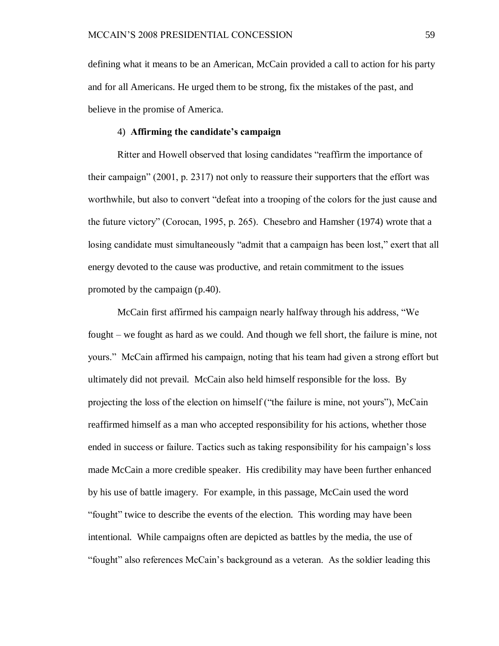defining what it means to be an American, McCain provided a call to action for his party and for all Americans. He urged them to be strong, fix the mistakes of the past, and believe in the promise of America.

## 4) **Affirming the candidate's campaign**

Ritter and Howell observed that losing candidates "reaffirm the importance of their campaign" (2001, p. 2317) not only to reassure their supporters that the effort was worthwhile, but also to convert "defeat into a trooping of the colors for the just cause and the future victory" (Corocan, 1995, p. 265). Chesebro and Hamsher (1974) wrote that a losing candidate must simultaneously "admit that a campaign has been lost," exert that all energy devoted to the cause was productive, and retain commitment to the issues promoted by the campaign (p.40).

McCain first affirmed his campaign nearly halfway through his address, "We fought – we fought as hard as we could. And though we fell short, the failure is mine, not yours." McCain affirmed his campaign, noting that his team had given a strong effort but ultimately did not prevail. McCain also held himself responsible for the loss. By projecting the loss of the election on himself ("the failure is mine, not yours"), McCain reaffirmed himself as a man who accepted responsibility for his actions, whether those ended in success or failure. Tactics such as taking responsibility for his campaign"s loss made McCain a more credible speaker. His credibility may have been further enhanced by his use of battle imagery. For example, in this passage, McCain used the word "fought" twice to describe the events of the election. This wording may have been intentional. While campaigns often are depicted as battles by the media, the use of "fought" also references McCain"s background as a veteran. As the soldier leading this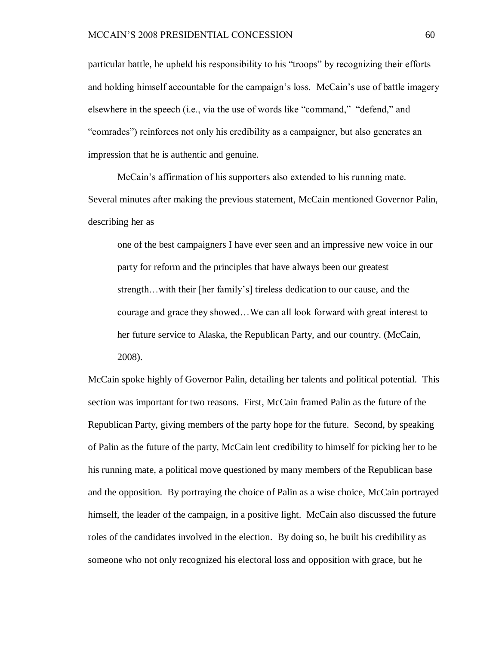particular battle, he upheld his responsibility to his "troops" by recognizing their efforts and holding himself accountable for the campaign's loss. McCain's use of battle imagery elsewhere in the speech (i.e., via the use of words like "command," "defend," and "comrades") reinforces not only his credibility as a campaigner, but also generates an impression that he is authentic and genuine.

McCain"s affirmation of his supporters also extended to his running mate. Several minutes after making the previous statement, McCain mentioned Governor Palin, describing her as

one of the best campaigners I have ever seen and an impressive new voice in our party for reform and the principles that have always been our greatest strength…with their [her family"s] tireless dedication to our cause, and the courage and grace they showed…We can all look forward with great interest to her future service to Alaska, the Republican Party, and our country. (McCain, 2008).

McCain spoke highly of Governor Palin, detailing her talents and political potential. This section was important for two reasons. First, McCain framed Palin as the future of the Republican Party, giving members of the party hope for the future. Second, by speaking of Palin as the future of the party, McCain lent credibility to himself for picking her to be his running mate, a political move questioned by many members of the Republican base and the opposition. By portraying the choice of Palin as a wise choice, McCain portrayed himself, the leader of the campaign, in a positive light. McCain also discussed the future roles of the candidates involved in the election. By doing so, he built his credibility as someone who not only recognized his electoral loss and opposition with grace, but he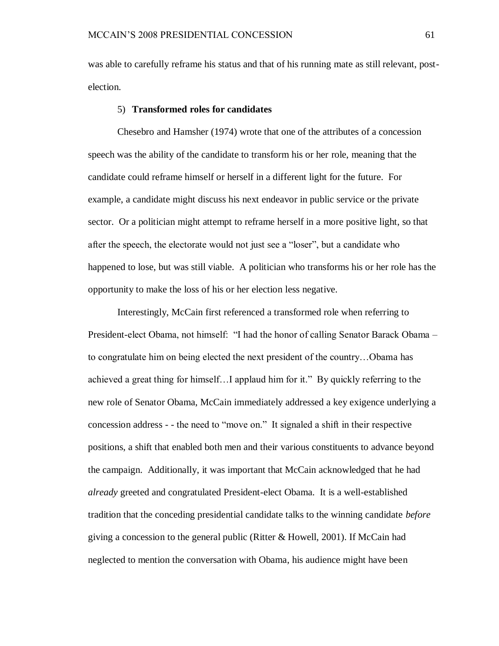was able to carefully reframe his status and that of his running mate as still relevant, postelection.

## 5) **Transformed roles for candidates**

Chesebro and Hamsher (1974) wrote that one of the attributes of a concession speech was the ability of the candidate to transform his or her role, meaning that the candidate could reframe himself or herself in a different light for the future. For example, a candidate might discuss his next endeavor in public service or the private sector. Or a politician might attempt to reframe herself in a more positive light, so that after the speech, the electorate would not just see a "loser", but a candidate who happened to lose, but was still viable. A politician who transforms his or her role has the opportunity to make the loss of his or her election less negative.

Interestingly, McCain first referenced a transformed role when referring to President-elect Obama, not himself: "I had the honor of calling Senator Barack Obama – to congratulate him on being elected the next president of the country…Obama has achieved a great thing for himself…I applaud him for it." By quickly referring to the new role of Senator Obama, McCain immediately addressed a key exigence underlying a concession address - - the need to "move on." It signaled a shift in their respective positions, a shift that enabled both men and their various constituents to advance beyond the campaign. Additionally, it was important that McCain acknowledged that he had *already* greeted and congratulated President-elect Obama. It is a well-established tradition that the conceding presidential candidate talks to the winning candidate *before* giving a concession to the general public (Ritter  $&$  Howell, 2001). If McCain had neglected to mention the conversation with Obama, his audience might have been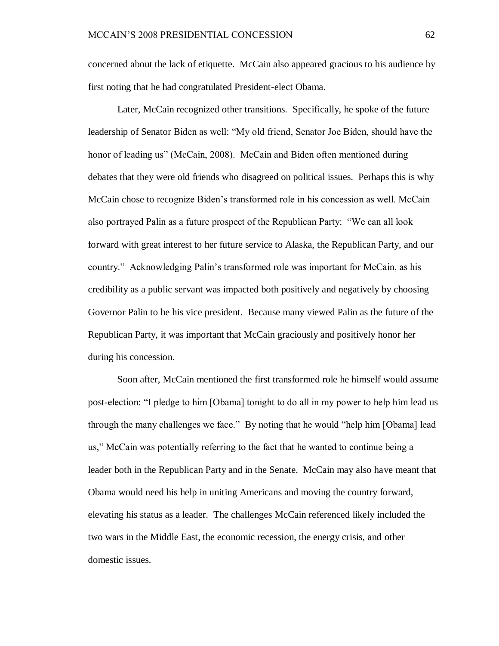concerned about the lack of etiquette. McCain also appeared gracious to his audience by first noting that he had congratulated President-elect Obama.

Later, McCain recognized other transitions. Specifically, he spoke of the future leadership of Senator Biden as well: "My old friend, Senator Joe Biden, should have the honor of leading us" (McCain, 2008). McCain and Biden often mentioned during debates that they were old friends who disagreed on political issues. Perhaps this is why McCain chose to recognize Biden"s transformed role in his concession as well. McCain also portrayed Palin as a future prospect of the Republican Party: "We can all look forward with great interest to her future service to Alaska, the Republican Party, and our country." Acknowledging Palin"s transformed role was important for McCain, as his credibility as a public servant was impacted both positively and negatively by choosing Governor Palin to be his vice president. Because many viewed Palin as the future of the Republican Party, it was important that McCain graciously and positively honor her during his concession.

Soon after, McCain mentioned the first transformed role he himself would assume post-election: "I pledge to him [Obama] tonight to do all in my power to help him lead us through the many challenges we face." By noting that he would "help him [Obama] lead us," McCain was potentially referring to the fact that he wanted to continue being a leader both in the Republican Party and in the Senate. McCain may also have meant that Obama would need his help in uniting Americans and moving the country forward, elevating his status as a leader. The challenges McCain referenced likely included the two wars in the Middle East, the economic recession, the energy crisis, and other domestic issues.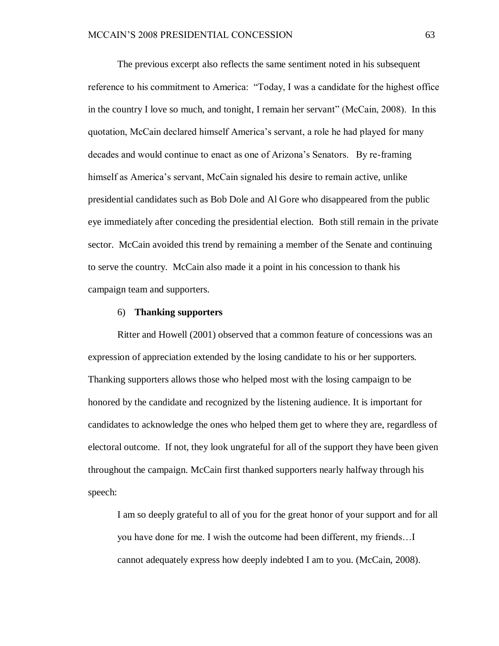The previous excerpt also reflects the same sentiment noted in his subsequent reference to his commitment to America: "Today, I was a candidate for the highest office in the country I love so much, and tonight, I remain her servant" (McCain, 2008). In this quotation, McCain declared himself America"s servant, a role he had played for many decades and would continue to enact as one of Arizona"s Senators. By re-framing himself as America's servant, McCain signaled his desire to remain active, unlike presidential candidates such as Bob Dole and Al Gore who disappeared from the public eye immediately after conceding the presidential election. Both still remain in the private sector. McCain avoided this trend by remaining a member of the Senate and continuing to serve the country. McCain also made it a point in his concession to thank his campaign team and supporters.

## 6) **Thanking supporters**

Ritter and Howell (2001) observed that a common feature of concessions was an expression of appreciation extended by the losing candidate to his or her supporters. Thanking supporters allows those who helped most with the losing campaign to be honored by the candidate and recognized by the listening audience. It is important for candidates to acknowledge the ones who helped them get to where they are, regardless of electoral outcome. If not, they look ungrateful for all of the support they have been given throughout the campaign. McCain first thanked supporters nearly halfway through his speech:

I am so deeply grateful to all of you for the great honor of your support and for all you have done for me. I wish the outcome had been different, my friends…I cannot adequately express how deeply indebted I am to you. (McCain, 2008).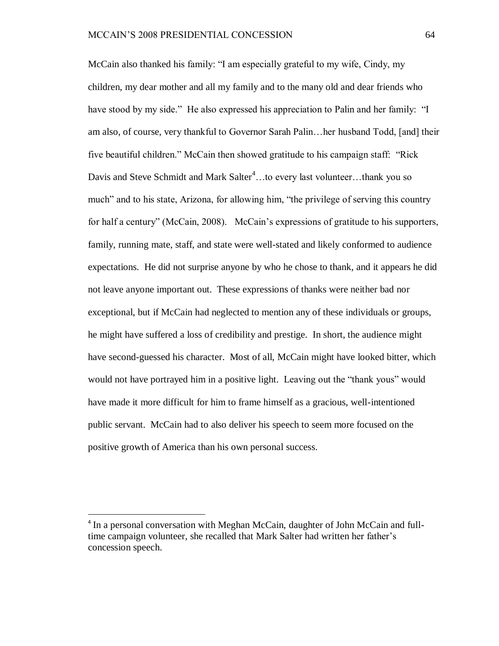McCain also thanked his family: "I am especially grateful to my wife, Cindy, my children, my dear mother and all my family and to the many old and dear friends who have stood by my side." He also expressed his appreciation to Palin and her family: "I am also, of course, very thankful to Governor Sarah Palin…her husband Todd, [and] their five beautiful children." McCain then showed gratitude to his campaign staff: "Rick Davis and Steve Schmidt and Mark Salter<sup>4</sup>...to every last volunteer...thank you so much" and to his state, Arizona, for allowing him, "the privilege of serving this country for half a century" (McCain, 2008). McCain's expressions of gratitude to his supporters, family, running mate, staff, and state were well-stated and likely conformed to audience expectations. He did not surprise anyone by who he chose to thank, and it appears he did not leave anyone important out. These expressions of thanks were neither bad nor exceptional, but if McCain had neglected to mention any of these individuals or groups, he might have suffered a loss of credibility and prestige. In short, the audience might have second-guessed his character. Most of all, McCain might have looked bitter, which would not have portrayed him in a positive light. Leaving out the "thank yous" would have made it more difficult for him to frame himself as a gracious, well-intentioned public servant. McCain had to also deliver his speech to seem more focused on the positive growth of America than his own personal success.

 $\overline{a}$ 

<sup>&</sup>lt;sup>4</sup> In a personal conversation with Meghan McCain, daughter of John McCain and fulltime campaign volunteer, she recalled that Mark Salter had written her father"s concession speech.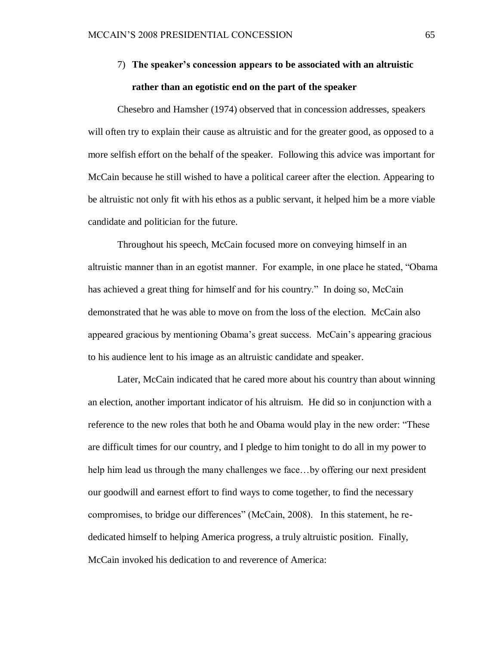# 7) **The speaker's concession appears to be associated with an altruistic rather than an egotistic end on the part of the speaker**

Chesebro and Hamsher (1974) observed that in concession addresses, speakers will often try to explain their cause as altruistic and for the greater good, as opposed to a more selfish effort on the behalf of the speaker. Following this advice was important for McCain because he still wished to have a political career after the election. Appearing to be altruistic not only fit with his ethos as a public servant, it helped him be a more viable candidate and politician for the future.

Throughout his speech, McCain focused more on conveying himself in an altruistic manner than in an egotist manner. For example, in one place he stated, "Obama has achieved a great thing for himself and for his country." In doing so, McCain demonstrated that he was able to move on from the loss of the election. McCain also appeared gracious by mentioning Obama"s great success. McCain"s appearing gracious to his audience lent to his image as an altruistic candidate and speaker.

Later, McCain indicated that he cared more about his country than about winning an election, another important indicator of his altruism. He did so in conjunction with a reference to the new roles that both he and Obama would play in the new order: "These are difficult times for our country, and I pledge to him tonight to do all in my power to help him lead us through the many challenges we face…by offering our next president our goodwill and earnest effort to find ways to come together, to find the necessary compromises, to bridge our differences" (McCain, 2008). In this statement, he rededicated himself to helping America progress, a truly altruistic position. Finally, McCain invoked his dedication to and reverence of America: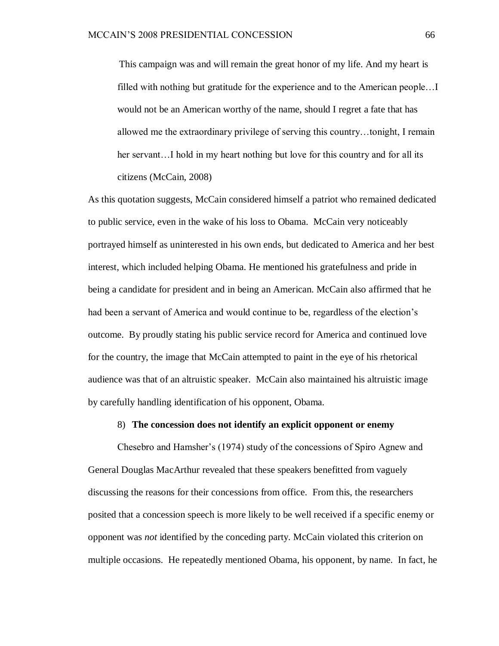This campaign was and will remain the great honor of my life. And my heart is filled with nothing but gratitude for the experience and to the American people…I would not be an American worthy of the name, should I regret a fate that has allowed me the extraordinary privilege of serving this country…tonight, I remain her servant…I hold in my heart nothing but love for this country and for all its citizens (McCain, 2008)

As this quotation suggests, McCain considered himself a patriot who remained dedicated to public service, even in the wake of his loss to Obama. McCain very noticeably portrayed himself as uninterested in his own ends, but dedicated to America and her best interest, which included helping Obama. He mentioned his gratefulness and pride in being a candidate for president and in being an American. McCain also affirmed that he had been a servant of America and would continue to be, regardless of the election"s outcome. By proudly stating his public service record for America and continued love for the country, the image that McCain attempted to paint in the eye of his rhetorical audience was that of an altruistic speaker. McCain also maintained his altruistic image by carefully handling identification of his opponent, Obama.

## 8) **The concession does not identify an explicit opponent or enemy**

Chesebro and Hamsher"s (1974) study of the concessions of Spiro Agnew and General Douglas MacArthur revealed that these speakers benefitted from vaguely discussing the reasons for their concessions from office. From this, the researchers posited that a concession speech is more likely to be well received if a specific enemy or opponent was *not* identified by the conceding party. McCain violated this criterion on multiple occasions. He repeatedly mentioned Obama, his opponent, by name. In fact, he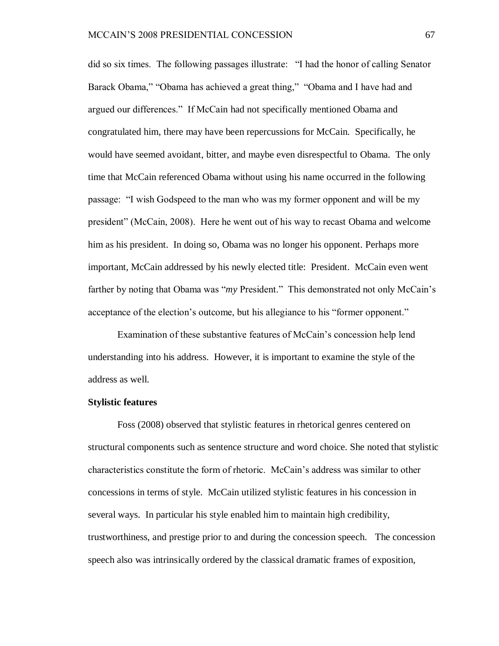did so six times. The following passages illustrate: "I had the honor of calling Senator Barack Obama," "Obama has achieved a great thing," "Obama and I have had and argued our differences." If McCain had not specifically mentioned Obama and congratulated him, there may have been repercussions for McCain. Specifically, he would have seemed avoidant, bitter, and maybe even disrespectful to Obama. The only time that McCain referenced Obama without using his name occurred in the following passage: "I wish Godspeed to the man who was my former opponent and will be my president" (McCain, 2008). Here he went out of his way to recast Obama and welcome him as his president. In doing so, Obama was no longer his opponent. Perhaps more important, McCain addressed by his newly elected title: President. McCain even went farther by noting that Obama was "*my* President." This demonstrated not only McCain"s acceptance of the election"s outcome, but his allegiance to his "former opponent."

Examination of these substantive features of McCain"s concession help lend understanding into his address. However, it is important to examine the style of the address as well.

#### **Stylistic features**

Foss (2008) observed that stylistic features in rhetorical genres centered on structural components such as sentence structure and word choice. She noted that stylistic characteristics constitute the form of rhetoric. McCain"s address was similar to other concessions in terms of style. McCain utilized stylistic features in his concession in several ways. In particular his style enabled him to maintain high credibility, trustworthiness, and prestige prior to and during the concession speech. The concession speech also was intrinsically ordered by the classical dramatic frames of exposition,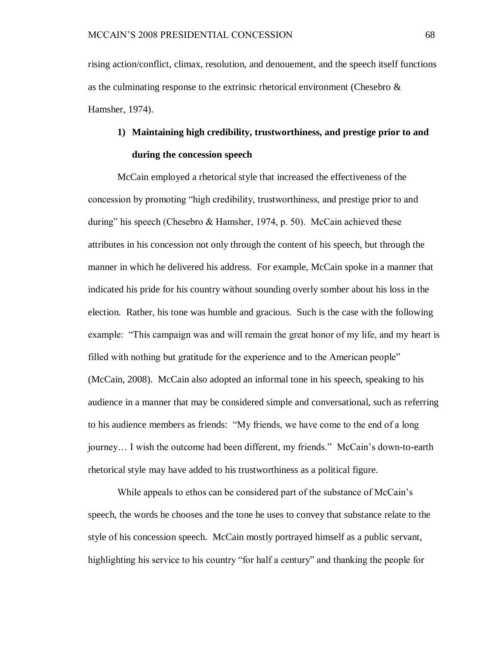rising action/conflict, climax, resolution, and denouement, and the speech itself functions as the culminating response to the extrinsic rhetorical environment (Chesebro & Hamsher, 1974).

# **1) Maintaining high credibility, trustworthiness, and prestige prior to and during the concession speech**

McCain employed a rhetorical style that increased the effectiveness of the concession by promoting "high credibility, trustworthiness, and prestige prior to and during" his speech (Chesebro & Hamsher, 1974, p. 50). McCain achieved these attributes in his concession not only through the content of his speech, but through the manner in which he delivered his address. For example, McCain spoke in a manner that indicated his pride for his country without sounding overly somber about his loss in the election. Rather, his tone was humble and gracious. Such is the case with the following example: "This campaign was and will remain the great honor of my life, and my heart is filled with nothing but gratitude for the experience and to the American people" (McCain, 2008). McCain also adopted an informal tone in his speech, speaking to his audience in a manner that may be considered simple and conversational, such as referring to his audience members as friends: "My friends, we have come to the end of a long journey… I wish the outcome had been different, my friends." McCain"s down-to-earth rhetorical style may have added to his trustworthiness as a political figure.

While appeals to ethos can be considered part of the substance of McCain's speech, the words he chooses and the tone he uses to convey that substance relate to the style of his concession speech. McCain mostly portrayed himself as a public servant, highlighting his service to his country "for half a century" and thanking the people for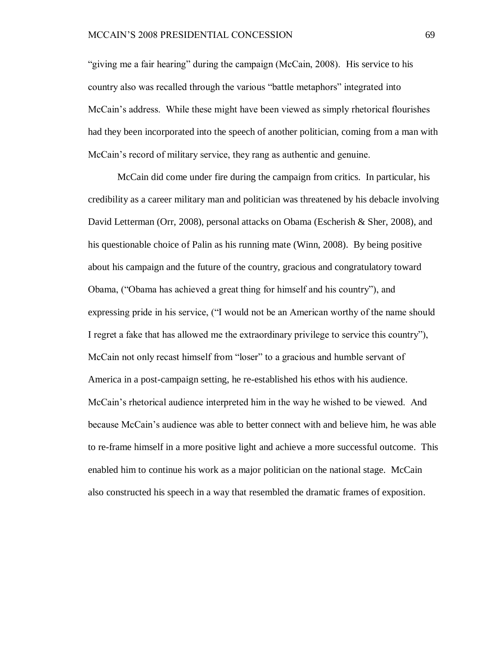"giving me a fair hearing" during the campaign (McCain, 2008). His service to his country also was recalled through the various "battle metaphors" integrated into McCain"s address. While these might have been viewed as simply rhetorical flourishes had they been incorporated into the speech of another politician, coming from a man with McCain"s record of military service, they rang as authentic and genuine.

McCain did come under fire during the campaign from critics. In particular, his credibility as a career military man and politician was threatened by his debacle involving David Letterman (Orr, 2008), personal attacks on Obama (Escherish & Sher, 2008), and his questionable choice of Palin as his running mate (Winn, 2008). By being positive about his campaign and the future of the country, gracious and congratulatory toward Obama, ("Obama has achieved a great thing for himself and his country"), and expressing pride in his service, ("I would not be an American worthy of the name should I regret a fake that has allowed me the extraordinary privilege to service this country"), McCain not only recast himself from "loser" to a gracious and humble servant of America in a post-campaign setting, he re-established his ethos with his audience. McCain"s rhetorical audience interpreted him in the way he wished to be viewed. And because McCain"s audience was able to better connect with and believe him, he was able to re-frame himself in a more positive light and achieve a more successful outcome. This enabled him to continue his work as a major politician on the national stage. McCain also constructed his speech in a way that resembled the dramatic frames of exposition.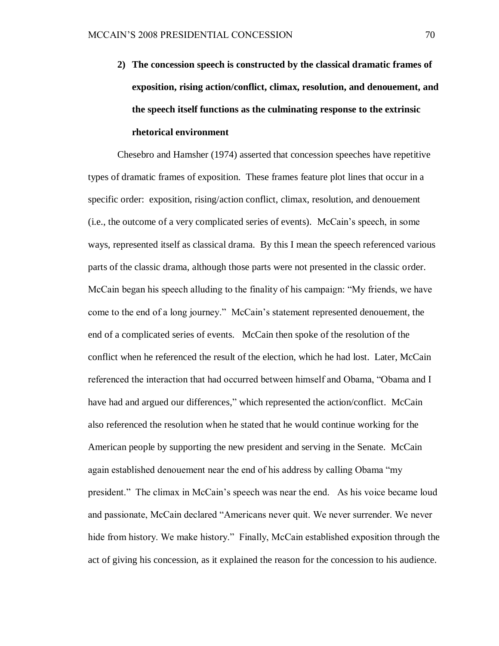**2) The concession speech is constructed by the classical dramatic frames of exposition, rising action/conflict, climax, resolution, and denouement, and the speech itself functions as the culminating response to the extrinsic rhetorical environment**

Chesebro and Hamsher (1974) asserted that concession speeches have repetitive types of dramatic frames of exposition. These frames feature plot lines that occur in a specific order: exposition, rising/action conflict, climax, resolution, and denouement (i.e., the outcome of a very complicated series of events). McCain"s speech, in some ways, represented itself as classical drama. By this I mean the speech referenced various parts of the classic drama, although those parts were not presented in the classic order. McCain began his speech alluding to the finality of his campaign: "My friends, we have come to the end of a long journey." McCain"s statement represented denouement, the end of a complicated series of events. McCain then spoke of the resolution of the conflict when he referenced the result of the election, which he had lost. Later, McCain referenced the interaction that had occurred between himself and Obama, "Obama and I have had and argued our differences," which represented the action/conflict. McCain also referenced the resolution when he stated that he would continue working for the American people by supporting the new president and serving in the Senate. McCain again established denouement near the end of his address by calling Obama "my president." The climax in McCain"s speech was near the end. As his voice became loud and passionate, McCain declared "Americans never quit. We never surrender. We never hide from history. We make history." Finally, McCain established exposition through the act of giving his concession, as it explained the reason for the concession to his audience.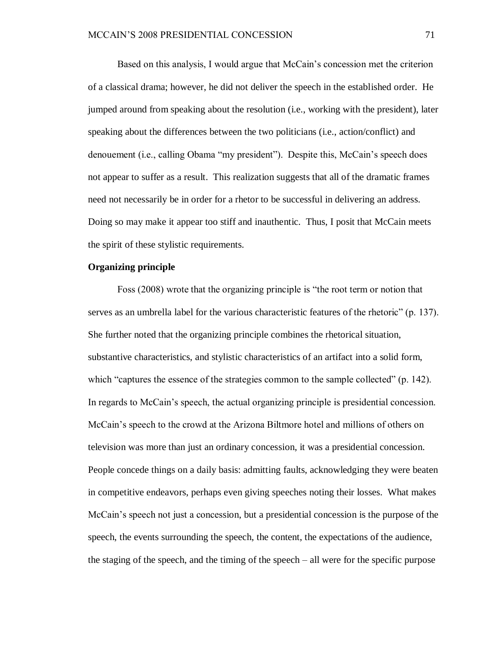Based on this analysis, I would argue that McCain"s concession met the criterion of a classical drama; however, he did not deliver the speech in the established order. He jumped around from speaking about the resolution (i.e., working with the president), later speaking about the differences between the two politicians (i.e., action/conflict) and denouement (i.e., calling Obama "my president"). Despite this, McCain"s speech does not appear to suffer as a result. This realization suggests that all of the dramatic frames need not necessarily be in order for a rhetor to be successful in delivering an address. Doing so may make it appear too stiff and inauthentic. Thus, I posit that McCain meets the spirit of these stylistic requirements.

#### **Organizing principle**

Foss (2008) wrote that the organizing principle is "the root term or notion that serves as an umbrella label for the various characteristic features of the rhetoric" (p. 137). She further noted that the organizing principle combines the rhetorical situation, substantive characteristics, and stylistic characteristics of an artifact into a solid form, which "captures the essence of the strategies common to the sample collected" (p. 142). In regards to McCain"s speech, the actual organizing principle is presidential concession. McCain"s speech to the crowd at the Arizona Biltmore hotel and millions of others on television was more than just an ordinary concession, it was a presidential concession. People concede things on a daily basis: admitting faults, acknowledging they were beaten in competitive endeavors, perhaps even giving speeches noting their losses. What makes McCain"s speech not just a concession, but a presidential concession is the purpose of the speech, the events surrounding the speech, the content, the expectations of the audience, the staging of the speech, and the timing of the speech – all were for the specific purpose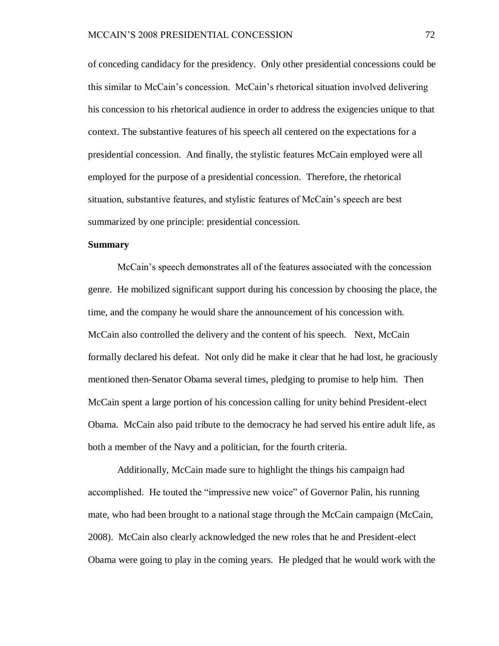of conceding candidacy for the presidency. Only other presidential concessions could be this similar to McCain"s concession. McCain"s rhetorical situation involved delivering his concession to his rhetorical audience in order to address the exigencies unique to that context. The substantive features of his speech all centered on the expectations for a presidential concession. And finally, the stylistic features McCain employed were all employed for the purpose of a presidential concession. Therefore, the rhetorical situation, substantive features, and stylistic features of McCain"s speech are best summarized by one principle: presidential concession.

#### **Summary**

McCain"s speech demonstrates all of the features associated with the concession genre. He mobilized significant support during his concession by choosing the place, the time, and the company he would share the announcement of his concession with. McCain also controlled the delivery and the content of his speech. Next, McCain formally declared his defeat. Not only did he make it clear that he had lost, he graciously mentioned then-Senator Obama several times, pledging to promise to help him. Then McCain spent a large portion of his concession calling for unity behind President-elect Obama. McCain also paid tribute to the democracy he had served his entire adult life, as both a member of the Navy and a politician, for the fourth criteria.

Additionally, McCain made sure to highlight the things his campaign had accomplished. He touted the "impressive new voice" of Governor Palin, his running mate, who had been brought to a national stage through the McCain campaign (McCain, 2008). McCain also clearly acknowledged the new roles that he and President-elect Obama were going to play in the coming years. He pledged that he would work with the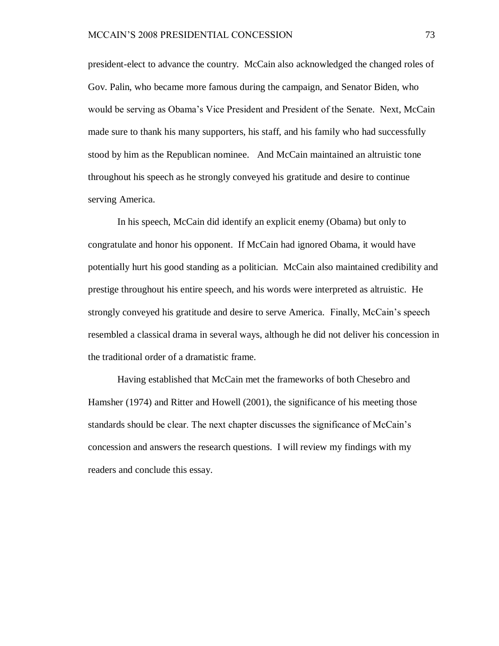president-elect to advance the country. McCain also acknowledged the changed roles of Gov. Palin, who became more famous during the campaign, and Senator Biden, who would be serving as Obama"s Vice President and President of the Senate. Next, McCain made sure to thank his many supporters, his staff, and his family who had successfully stood by him as the Republican nominee. And McCain maintained an altruistic tone throughout his speech as he strongly conveyed his gratitude and desire to continue serving America.

In his speech, McCain did identify an explicit enemy (Obama) but only to congratulate and honor his opponent. If McCain had ignored Obama, it would have potentially hurt his good standing as a politician. McCain also maintained credibility and prestige throughout his entire speech, and his words were interpreted as altruistic. He strongly conveyed his gratitude and desire to serve America. Finally, McCain"s speech resembled a classical drama in several ways, although he did not deliver his concession in the traditional order of a dramatistic frame.

Having established that McCain met the frameworks of both Chesebro and Hamsher (1974) and Ritter and Howell (2001), the significance of his meeting those standards should be clear. The next chapter discusses the significance of McCain"s concession and answers the research questions. I will review my findings with my readers and conclude this essay.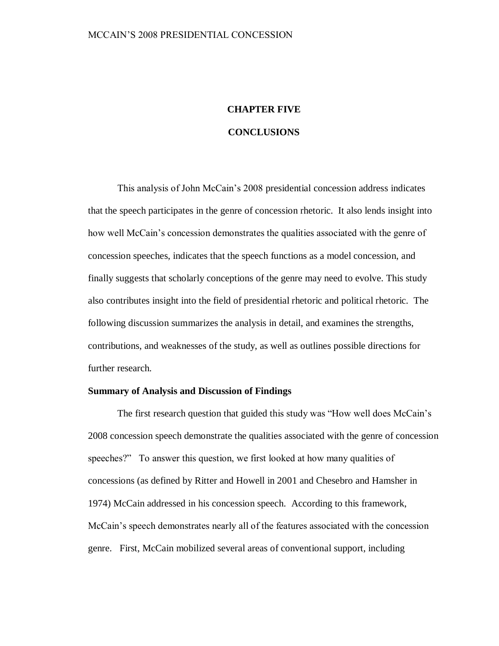## **CHAPTER FIVE**

### **CONCLUSIONS**

This analysis of John McCain"s 2008 presidential concession address indicates that the speech participates in the genre of concession rhetoric. It also lends insight into how well McCain's concession demonstrates the qualities associated with the genre of concession speeches, indicates that the speech functions as a model concession, and finally suggests that scholarly conceptions of the genre may need to evolve. This study also contributes insight into the field of presidential rhetoric and political rhetoric. The following discussion summarizes the analysis in detail, and examines the strengths, contributions, and weaknesses of the study, as well as outlines possible directions for further research.

#### **Summary of Analysis and Discussion of Findings**

The first research question that guided this study was "How well does McCain"s 2008 concession speech demonstrate the qualities associated with the genre of concession speeches?" To answer this question, we first looked at how many qualities of concessions (as defined by Ritter and Howell in 2001 and Chesebro and Hamsher in 1974) McCain addressed in his concession speech. According to this framework, McCain"s speech demonstrates nearly all of the features associated with the concession genre. First, McCain mobilized several areas of conventional support, including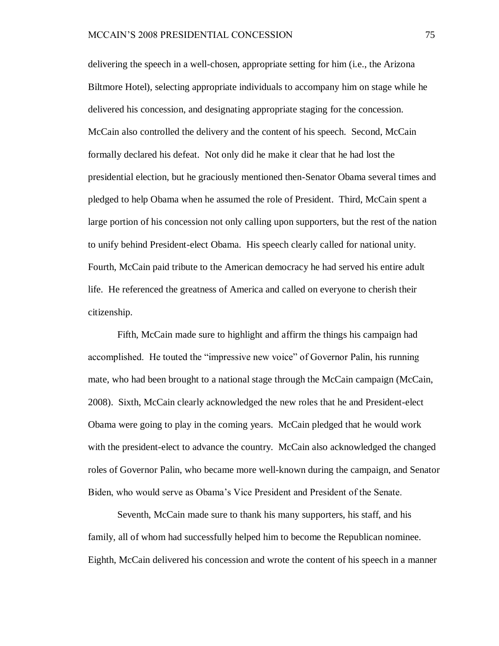delivering the speech in a well-chosen, appropriate setting for him (i.e., the Arizona Biltmore Hotel), selecting appropriate individuals to accompany him on stage while he delivered his concession, and designating appropriate staging for the concession. McCain also controlled the delivery and the content of his speech. Second, McCain formally declared his defeat. Not only did he make it clear that he had lost the presidential election, but he graciously mentioned then-Senator Obama several times and pledged to help Obama when he assumed the role of President. Third, McCain spent a large portion of his concession not only calling upon supporters, but the rest of the nation to unify behind President-elect Obama. His speech clearly called for national unity. Fourth, McCain paid tribute to the American democracy he had served his entire adult life. He referenced the greatness of America and called on everyone to cherish their citizenship.

Fifth, McCain made sure to highlight and affirm the things his campaign had accomplished. He touted the "impressive new voice" of Governor Palin, his running mate, who had been brought to a national stage through the McCain campaign (McCain, 2008). Sixth, McCain clearly acknowledged the new roles that he and President-elect Obama were going to play in the coming years. McCain pledged that he would work with the president-elect to advance the country. McCain also acknowledged the changed roles of Governor Palin, who became more well-known during the campaign, and Senator Biden, who would serve as Obama"s Vice President and President of the Senate.

Seventh, McCain made sure to thank his many supporters, his staff, and his family, all of whom had successfully helped him to become the Republican nominee. Eighth, McCain delivered his concession and wrote the content of his speech in a manner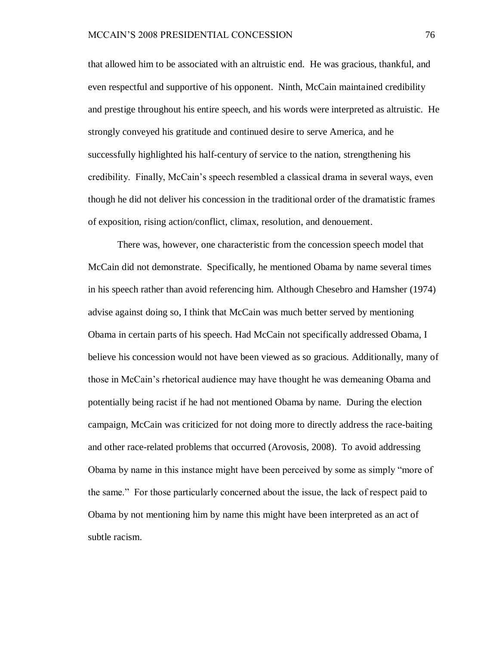that allowed him to be associated with an altruistic end. He was gracious, thankful, and even respectful and supportive of his opponent. Ninth, McCain maintained credibility and prestige throughout his entire speech, and his words were interpreted as altruistic. He strongly conveyed his gratitude and continued desire to serve America, and he successfully highlighted his half-century of service to the nation, strengthening his credibility. Finally, McCain"s speech resembled a classical drama in several ways, even though he did not deliver his concession in the traditional order of the dramatistic frames of exposition, rising action/conflict, climax, resolution, and denouement.

There was, however, one characteristic from the concession speech model that McCain did not demonstrate. Specifically, he mentioned Obama by name several times in his speech rather than avoid referencing him. Although Chesebro and Hamsher (1974) advise against doing so, I think that McCain was much better served by mentioning Obama in certain parts of his speech. Had McCain not specifically addressed Obama, I believe his concession would not have been viewed as so gracious. Additionally, many of those in McCain"s rhetorical audience may have thought he was demeaning Obama and potentially being racist if he had not mentioned Obama by name. During the election campaign, McCain was criticized for not doing more to directly address the race-baiting and other race-related problems that occurred (Arovosis, 2008). To avoid addressing Obama by name in this instance might have been perceived by some as simply "more of the same." For those particularly concerned about the issue, the lack of respect paid to Obama by not mentioning him by name this might have been interpreted as an act of subtle racism.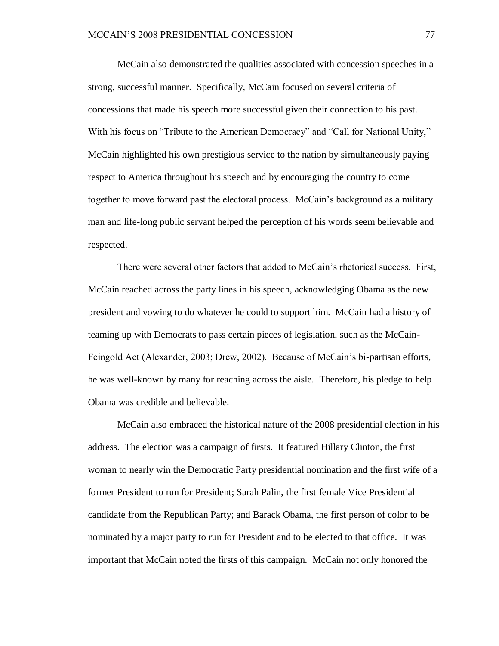McCain also demonstrated the qualities associated with concession speeches in a strong, successful manner. Specifically, McCain focused on several criteria of concessions that made his speech more successful given their connection to his past. With his focus on "Tribute to the American Democracy" and "Call for National Unity," McCain highlighted his own prestigious service to the nation by simultaneously paying respect to America throughout his speech and by encouraging the country to come together to move forward past the electoral process. McCain"s background as a military man and life-long public servant helped the perception of his words seem believable and respected.

There were several other factors that added to McCain"s rhetorical success. First, McCain reached across the party lines in his speech, acknowledging Obama as the new president and vowing to do whatever he could to support him. McCain had a history of teaming up with Democrats to pass certain pieces of legislation, such as the McCain-Feingold Act (Alexander, 2003; Drew, 2002). Because of McCain"s bi-partisan efforts, he was well-known by many for reaching across the aisle. Therefore, his pledge to help Obama was credible and believable.

McCain also embraced the historical nature of the 2008 presidential election in his address. The election was a campaign of firsts. It featured Hillary Clinton, the first woman to nearly win the Democratic Party presidential nomination and the first wife of a former President to run for President; Sarah Palin, the first female Vice Presidential candidate from the Republican Party; and Barack Obama, the first person of color to be nominated by a major party to run for President and to be elected to that office. It was important that McCain noted the firsts of this campaign. McCain not only honored the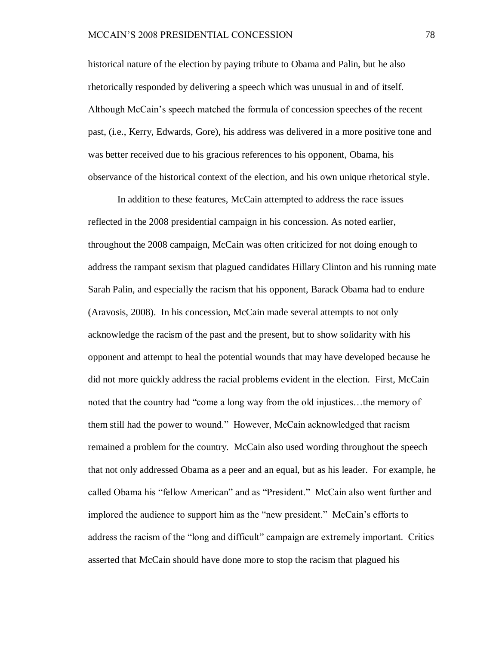historical nature of the election by paying tribute to Obama and Palin, but he also rhetorically responded by delivering a speech which was unusual in and of itself. Although McCain"s speech matched the formula of concession speeches of the recent past, (i.e., Kerry, Edwards, Gore), his address was delivered in a more positive tone and was better received due to his gracious references to his opponent, Obama, his observance of the historical context of the election, and his own unique rhetorical style.

In addition to these features, McCain attempted to address the race issues reflected in the 2008 presidential campaign in his concession. As noted earlier, throughout the 2008 campaign, McCain was often criticized for not doing enough to address the rampant sexism that plagued candidates Hillary Clinton and his running mate Sarah Palin, and especially the racism that his opponent, Barack Obama had to endure (Aravosis, 2008). In his concession, McCain made several attempts to not only acknowledge the racism of the past and the present, but to show solidarity with his opponent and attempt to heal the potential wounds that may have developed because he did not more quickly address the racial problems evident in the election. First, McCain noted that the country had "come a long way from the old injustices…the memory of them still had the power to wound." However, McCain acknowledged that racism remained a problem for the country. McCain also used wording throughout the speech that not only addressed Obama as a peer and an equal, but as his leader. For example, he called Obama his "fellow American" and as "President." McCain also went further and implored the audience to support him as the "new president." McCain"s efforts to address the racism of the "long and difficult" campaign are extremely important. Critics asserted that McCain should have done more to stop the racism that plagued his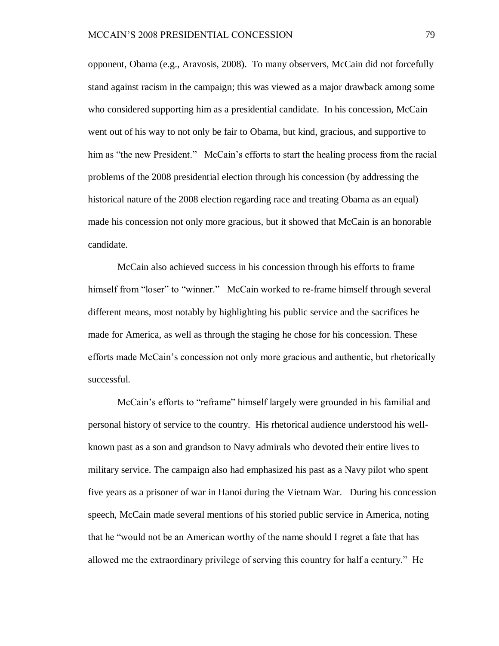opponent, Obama (e.g., Aravosis, 2008). To many observers, McCain did not forcefully stand against racism in the campaign; this was viewed as a major drawback among some who considered supporting him as a presidential candidate. In his concession, McCain went out of his way to not only be fair to Obama, but kind, gracious, and supportive to him as "the new President." McCain's efforts to start the healing process from the racial problems of the 2008 presidential election through his concession (by addressing the historical nature of the 2008 election regarding race and treating Obama as an equal) made his concession not only more gracious, but it showed that McCain is an honorable candidate.

McCain also achieved success in his concession through his efforts to frame himself from "loser" to "winner." McCain worked to re-frame himself through several different means, most notably by highlighting his public service and the sacrifices he made for America, as well as through the staging he chose for his concession. These efforts made McCain"s concession not only more gracious and authentic, but rhetorically successful.

McCain"s efforts to "reframe" himself largely were grounded in his familial and personal history of service to the country. His rhetorical audience understood his wellknown past as a son and grandson to Navy admirals who devoted their entire lives to military service. The campaign also had emphasized his past as a Navy pilot who spent five years as a prisoner of war in Hanoi during the Vietnam War. During his concession speech, McCain made several mentions of his storied public service in America, noting that he "would not be an American worthy of the name should I regret a fate that has allowed me the extraordinary privilege of serving this country for half a century." He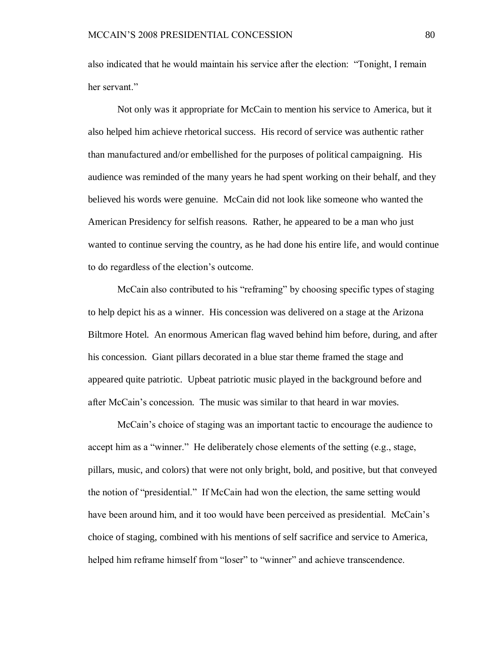also indicated that he would maintain his service after the election: "Tonight, I remain her servant."

Not only was it appropriate for McCain to mention his service to America, but it also helped him achieve rhetorical success. His record of service was authentic rather than manufactured and/or embellished for the purposes of political campaigning. His audience was reminded of the many years he had spent working on their behalf, and they believed his words were genuine. McCain did not look like someone who wanted the American Presidency for selfish reasons. Rather, he appeared to be a man who just wanted to continue serving the country, as he had done his entire life, and would continue to do regardless of the election"s outcome.

McCain also contributed to his "reframing" by choosing specific types of staging to help depict his as a winner. His concession was delivered on a stage at the Arizona Biltmore Hotel. An enormous American flag waved behind him before, during, and after his concession. Giant pillars decorated in a blue star theme framed the stage and appeared quite patriotic. Upbeat patriotic music played in the background before and after McCain"s concession. The music was similar to that heard in war movies.

McCain"s choice of staging was an important tactic to encourage the audience to accept him as a "winner." He deliberately chose elements of the setting (e.g., stage, pillars, music, and colors) that were not only bright, bold, and positive, but that conveyed the notion of "presidential." If McCain had won the election, the same setting would have been around him, and it too would have been perceived as presidential. McCain's choice of staging, combined with his mentions of self sacrifice and service to America, helped him reframe himself from "loser" to "winner" and achieve transcendence.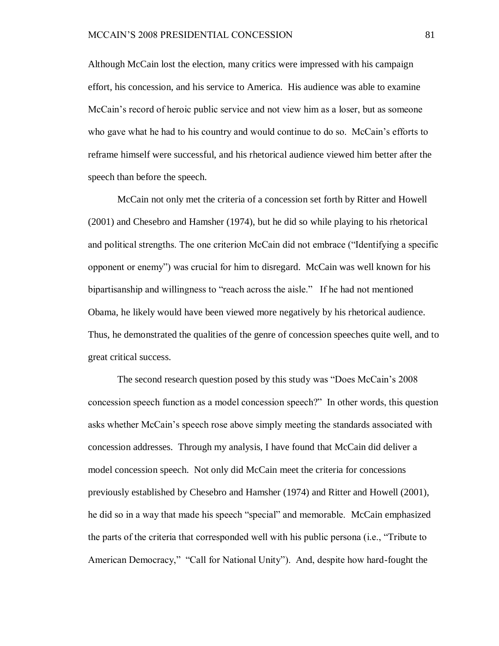Although McCain lost the election, many critics were impressed with his campaign effort, his concession, and his service to America. His audience was able to examine McCain"s record of heroic public service and not view him as a loser, but as someone who gave what he had to his country and would continue to do so. McCain"s efforts to reframe himself were successful, and his rhetorical audience viewed him better after the speech than before the speech.

McCain not only met the criteria of a concession set forth by Ritter and Howell (2001) and Chesebro and Hamsher (1974), but he did so while playing to his rhetorical and political strengths. The one criterion McCain did not embrace ("Identifying a specific opponent or enemy") was crucial for him to disregard. McCain was well known for his bipartisanship and willingness to "reach across the aisle." If he had not mentioned Obama, he likely would have been viewed more negatively by his rhetorical audience. Thus, he demonstrated the qualities of the genre of concession speeches quite well, and to great critical success.

The second research question posed by this study was "Does McCain"s 2008 concession speech function as a model concession speech?" In other words, this question asks whether McCain"s speech rose above simply meeting the standards associated with concession addresses. Through my analysis, I have found that McCain did deliver a model concession speech. Not only did McCain meet the criteria for concessions previously established by Chesebro and Hamsher (1974) and Ritter and Howell (2001), he did so in a way that made his speech "special" and memorable. McCain emphasized the parts of the criteria that corresponded well with his public persona (i.e., "Tribute to American Democracy," "Call for National Unity"). And, despite how hard-fought the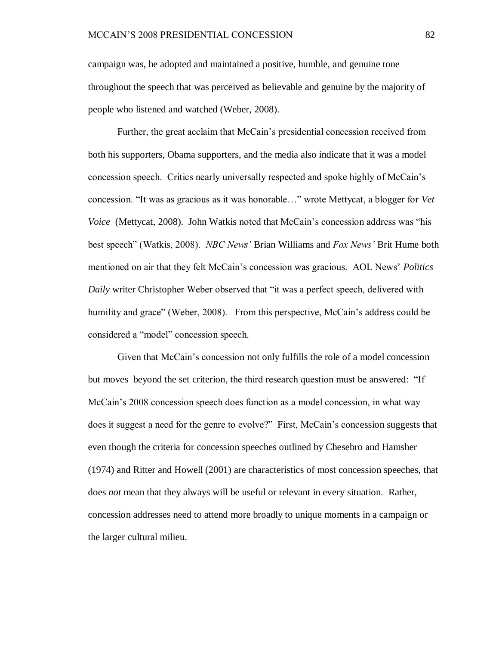campaign was, he adopted and maintained a positive, humble, and genuine tone throughout the speech that was perceived as believable and genuine by the majority of people who listened and watched (Weber, 2008).

Further, the great acclaim that McCain"s presidential concession received from both his supporters, Obama supporters, and the media also indicate that it was a model concession speech. Critics nearly universally respected and spoke highly of McCain"s concession. "It was as gracious as it was honorable…" wrote Mettycat, a blogger for *Vet Voice* (Mettycat, 2008). John Watkis noted that McCain's concession address was "his best speech" (Watkis, 2008). *NBC News'* Brian Williams and *Fox News'* Brit Hume both mentioned on air that they felt McCain"s concession was gracious. AOL News" *Politics Daily* writer Christopher Weber observed that "it was a perfect speech, delivered with humility and grace" (Weber, 2008). From this perspective, McCain's address could be considered a "model" concession speech.

Given that McCain"s concession not only fulfills the role of a model concession but moves beyond the set criterion, the third research question must be answered: "If McCain"s 2008 concession speech does function as a model concession, in what way does it suggest a need for the genre to evolve?" First, McCain"s concession suggests that even though the criteria for concession speeches outlined by Chesebro and Hamsher (1974) and Ritter and Howell (2001) are characteristics of most concession speeches, that does *not* mean that they always will be useful or relevant in every situation. Rather, concession addresses need to attend more broadly to unique moments in a campaign or the larger cultural milieu.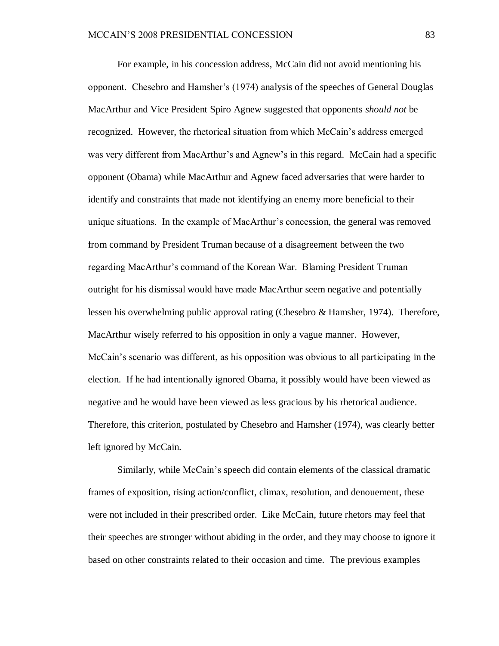For example, in his concession address, McCain did not avoid mentioning his opponent. Chesebro and Hamsher"s (1974) analysis of the speeches of General Douglas MacArthur and Vice President Spiro Agnew suggested that opponents *should not* be recognized. However, the rhetorical situation from which McCain"s address emerged was very different from MacArthur's and Agnew's in this regard. McCain had a specific opponent (Obama) while MacArthur and Agnew faced adversaries that were harder to identify and constraints that made not identifying an enemy more beneficial to their unique situations. In the example of MacArthur"s concession, the general was removed from command by President Truman because of a disagreement between the two regarding MacArthur"s command of the Korean War. Blaming President Truman outright for his dismissal would have made MacArthur seem negative and potentially lessen his overwhelming public approval rating (Chesebro & Hamsher, 1974). Therefore, MacArthur wisely referred to his opposition in only a vague manner. However, McCain"s scenario was different, as his opposition was obvious to all participating in the election. If he had intentionally ignored Obama, it possibly would have been viewed as negative and he would have been viewed as less gracious by his rhetorical audience. Therefore, this criterion, postulated by Chesebro and Hamsher (1974), was clearly better left ignored by McCain.

Similarly, while McCain"s speech did contain elements of the classical dramatic frames of exposition, rising action/conflict, climax, resolution, and denouement, these were not included in their prescribed order. Like McCain, future rhetors may feel that their speeches are stronger without abiding in the order, and they may choose to ignore it based on other constraints related to their occasion and time. The previous examples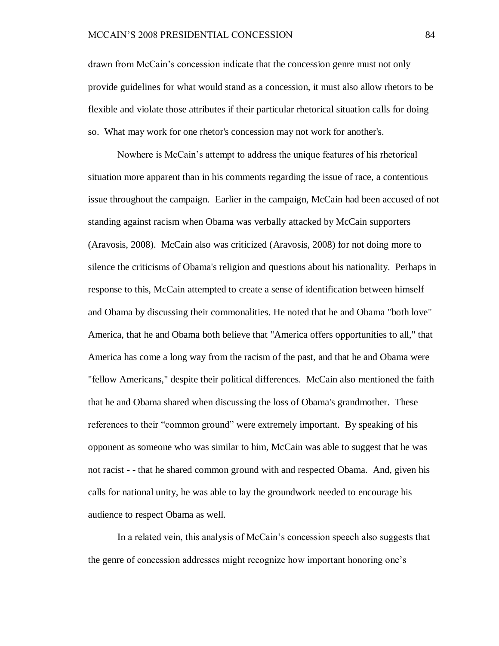drawn from McCain"s concession indicate that the concession genre must not only provide guidelines for what would stand as a concession, it must also allow rhetors to be flexible and violate those attributes if their particular rhetorical situation calls for doing so. What may work for one rhetor's concession may not work for another's.

Nowhere is McCain"s attempt to address the unique features of his rhetorical situation more apparent than in his comments regarding the issue of race, a contentious issue throughout the campaign. Earlier in the campaign, McCain had been accused of not standing against racism when Obama was verbally attacked by McCain supporters (Aravosis, 2008). McCain also was criticized (Aravosis, 2008) for not doing more to silence the criticisms of Obama's religion and questions about his nationality. Perhaps in response to this, McCain attempted to create a sense of identification between himself and Obama by discussing their commonalities. He noted that he and Obama "both love" America, that he and Obama both believe that "America offers opportunities to all," that America has come a long way from the racism of the past, and that he and Obama were "fellow Americans," despite their political differences. McCain also mentioned the faith that he and Obama shared when discussing the loss of Obama's grandmother. These references to their "common ground" were extremely important. By speaking of his opponent as someone who was similar to him, McCain was able to suggest that he was not racist - - that he shared common ground with and respected Obama. And, given his calls for national unity, he was able to lay the groundwork needed to encourage his audience to respect Obama as well.

In a related vein, this analysis of McCain"s concession speech also suggests that the genre of concession addresses might recognize how important honoring one"s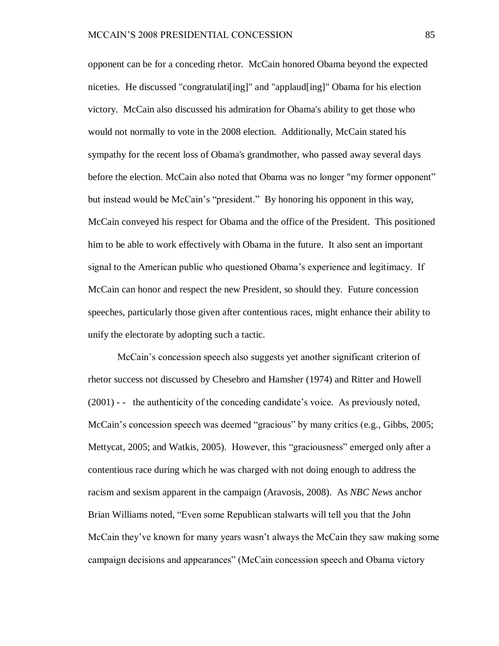opponent can be for a conceding rhetor. McCain honored Obama beyond the expected niceties. He discussed "congratulati[ing]" and "applaud[ing]" Obama for his election victory. McCain also discussed his admiration for Obama's ability to get those who would not normally to vote in the 2008 election. Additionally, McCain stated his sympathy for the recent loss of Obama's grandmother, who passed away several days before the election. McCain also noted that Obama was no longer "my former opponent" but instead would be McCain"s "president." By honoring his opponent in this way, McCain conveyed his respect for Obama and the office of the President. This positioned him to be able to work effectively with Obama in the future. It also sent an important signal to the American public who questioned Obama"s experience and legitimacy. If McCain can honor and respect the new President, so should they. Future concession speeches, particularly those given after contentious races, might enhance their ability to unify the electorate by adopting such a tactic.

McCain"s concession speech also suggests yet another significant criterion of rhetor success not discussed by Chesebro and Hamsher (1974) and Ritter and Howell (2001) - - the authenticity of the conceding candidate"s voice. As previously noted, McCain"s concession speech was deemed "gracious" by many critics (e.g., Gibbs, 2005; Mettycat, 2005; and Watkis, 2005). However, this "graciousness" emerged only after a contentious race during which he was charged with not doing enough to address the racism and sexism apparent in the campaign (Aravosis, 2008). As *NBC News* anchor Brian Williams noted, "Even some Republican stalwarts will tell you that the John McCain they"ve known for many years wasn"t always the McCain they saw making some campaign decisions and appearances" (McCain concession speech and Obama victory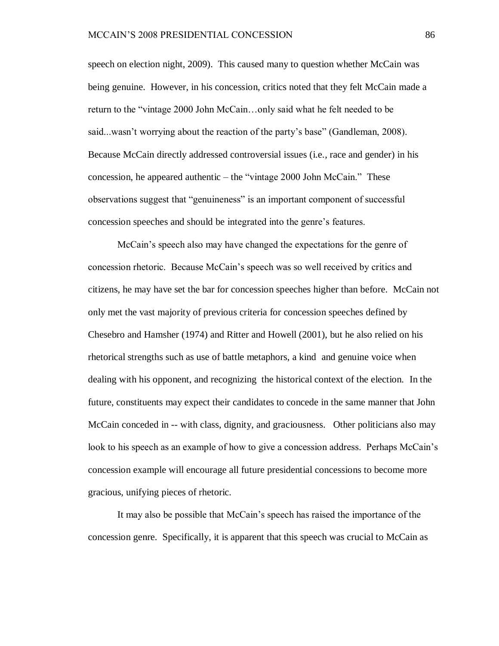speech on election night, 2009). This caused many to question whether McCain was being genuine. However, in his concession, critics noted that they felt McCain made a return to the "vintage 2000 John McCain…only said what he felt needed to be said...wasn"t worrying about the reaction of the party"s base" (Gandleman, 2008). Because McCain directly addressed controversial issues (i.e., race and gender) in his concession, he appeared authentic – the "vintage 2000 John McCain." These observations suggest that "genuineness" is an important component of successful concession speeches and should be integrated into the genre"s features.

McCain"s speech also may have changed the expectations for the genre of concession rhetoric. Because McCain"s speech was so well received by critics and citizens, he may have set the bar for concession speeches higher than before. McCain not only met the vast majority of previous criteria for concession speeches defined by Chesebro and Hamsher (1974) and Ritter and Howell (2001), but he also relied on his rhetorical strengths such as use of battle metaphors, a kind and genuine voice when dealing with his opponent, and recognizing the historical context of the election. In the future, constituents may expect their candidates to concede in the same manner that John McCain conceded in -- with class, dignity, and graciousness. Other politicians also may look to his speech as an example of how to give a concession address. Perhaps McCain's concession example will encourage all future presidential concessions to become more gracious, unifying pieces of rhetoric.

It may also be possible that McCain"s speech has raised the importance of the concession genre. Specifically, it is apparent that this speech was crucial to McCain as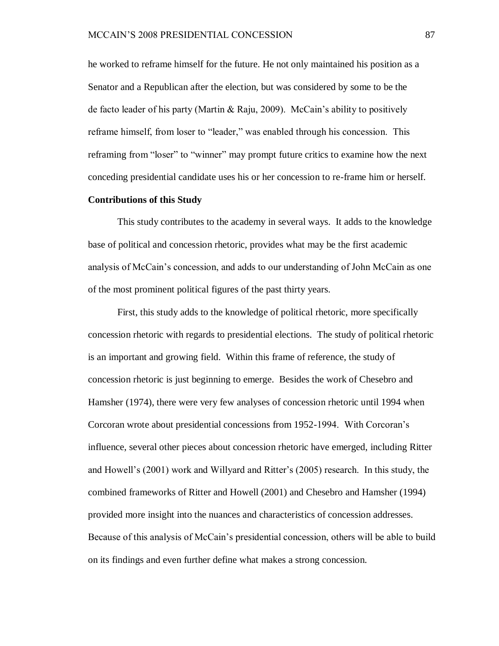he worked to reframe himself for the future. He not only maintained his position as a Senator and a Republican after the election, but was considered by some to be the de facto leader of his party (Martin & Raju, 2009). McCain's ability to positively reframe himself, from loser to "leader," was enabled through his concession. This reframing from "loser" to "winner" may prompt future critics to examine how the next conceding presidential candidate uses his or her concession to re-frame him or herself.

#### **Contributions of this Study**

This study contributes to the academy in several ways. It adds to the knowledge base of political and concession rhetoric, provides what may be the first academic analysis of McCain"s concession, and adds to our understanding of John McCain as one of the most prominent political figures of the past thirty years.

First, this study adds to the knowledge of political rhetoric, more specifically concession rhetoric with regards to presidential elections. The study of political rhetoric is an important and growing field. Within this frame of reference, the study of concession rhetoric is just beginning to emerge. Besides the work of Chesebro and Hamsher (1974), there were very few analyses of concession rhetoric until 1994 when Corcoran wrote about presidential concessions from 1952-1994. With Corcoran"s influence, several other pieces about concession rhetoric have emerged, including Ritter and Howell"s (2001) work and Willyard and Ritter"s (2005) research. In this study, the combined frameworks of Ritter and Howell (2001) and Chesebro and Hamsher (1994) provided more insight into the nuances and characteristics of concession addresses. Because of this analysis of McCain"s presidential concession, others will be able to build on its findings and even further define what makes a strong concession.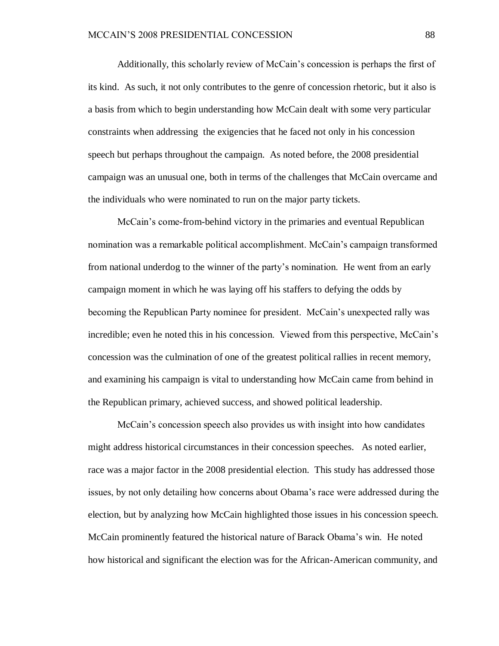Additionally, this scholarly review of McCain"s concession is perhaps the first of its kind. As such, it not only contributes to the genre of concession rhetoric, but it also is a basis from which to begin understanding how McCain dealt with some very particular constraints when addressing the exigencies that he faced not only in his concession speech but perhaps throughout the campaign. As noted before, the 2008 presidential campaign was an unusual one, both in terms of the challenges that McCain overcame and the individuals who were nominated to run on the major party tickets.

McCain"s come-from-behind victory in the primaries and eventual Republican nomination was a remarkable political accomplishment. McCain"s campaign transformed from national underdog to the winner of the party"s nomination. He went from an early campaign moment in which he was laying off his staffers to defying the odds by becoming the Republican Party nominee for president. McCain"s unexpected rally was incredible; even he noted this in his concession. Viewed from this perspective, McCain"s concession was the culmination of one of the greatest political rallies in recent memory, and examining his campaign is vital to understanding how McCain came from behind in the Republican primary, achieved success, and showed political leadership.

McCain"s concession speech also provides us with insight into how candidates might address historical circumstances in their concession speeches. As noted earlier, race was a major factor in the 2008 presidential election. This study has addressed those issues, by not only detailing how concerns about Obama"s race were addressed during the election, but by analyzing how McCain highlighted those issues in his concession speech. McCain prominently featured the historical nature of Barack Obama"s win. He noted how historical and significant the election was for the African-American community, and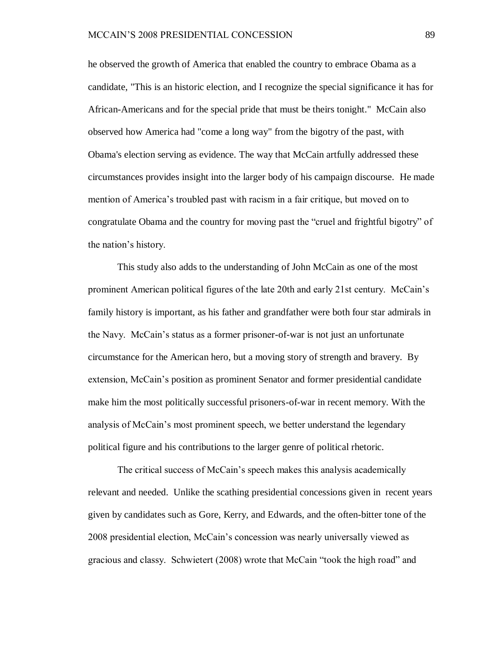he observed the growth of America that enabled the country to embrace Obama as a candidate, "This is an historic election, and I recognize the special significance it has for African-Americans and for the special pride that must be theirs tonight." McCain also observed how America had "come a long way" from the bigotry of the past, with Obama's election serving as evidence. The way that McCain artfully addressed these circumstances provides insight into the larger body of his campaign discourse. He made mention of America's troubled past with racism in a fair critique, but moved on to congratulate Obama and the country for moving past the "cruel and frightful bigotry" of the nation"s history.

This study also adds to the understanding of John McCain as one of the most prominent American political figures of the late 20th and early 21st century. McCain"s family history is important, as his father and grandfather were both four star admirals in the Navy. McCain"s status as a former prisoner-of-war is not just an unfortunate circumstance for the American hero, but a moving story of strength and bravery. By extension, McCain"s position as prominent Senator and former presidential candidate make him the most politically successful prisoners-of-war in recent memory. With the analysis of McCain"s most prominent speech, we better understand the legendary political figure and his contributions to the larger genre of political rhetoric.

The critical success of McCain"s speech makes this analysis academically relevant and needed. Unlike the scathing presidential concessions given in recent years given by candidates such as Gore, Kerry, and Edwards, and the often-bitter tone of the 2008 presidential election, McCain"s concession was nearly universally viewed as gracious and classy. Schwietert (2008) wrote that McCain "took the high road" and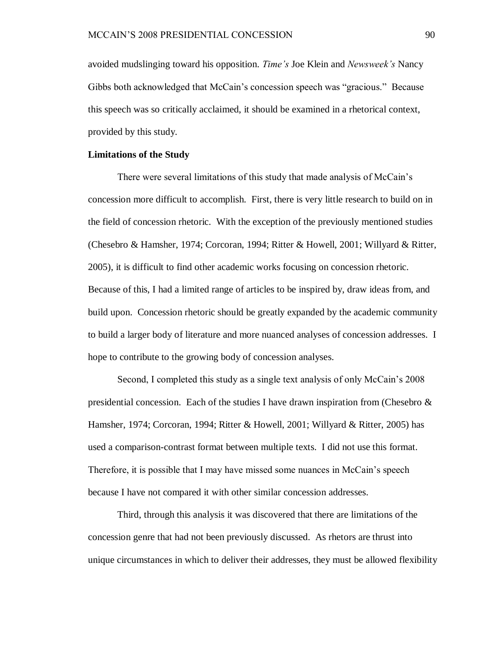avoided mudslinging toward his opposition. *Time's* Joe Klein and *Newsweek's* Nancy Gibbs both acknowledged that McCain"s concession speech was "gracious." Because this speech was so critically acclaimed, it should be examined in a rhetorical context, provided by this study.

#### **Limitations of the Study**

There were several limitations of this study that made analysis of McCain's concession more difficult to accomplish. First, there is very little research to build on in the field of concession rhetoric. With the exception of the previously mentioned studies (Chesebro & Hamsher, 1974; Corcoran, 1994; Ritter & Howell, 2001; Willyard & Ritter, 2005), it is difficult to find other academic works focusing on concession rhetoric. Because of this, I had a limited range of articles to be inspired by, draw ideas from, and build upon. Concession rhetoric should be greatly expanded by the academic community to build a larger body of literature and more nuanced analyses of concession addresses. I hope to contribute to the growing body of concession analyses.

Second, I completed this study as a single text analysis of only McCain"s 2008 presidential concession. Each of the studies I have drawn inspiration from (Chesebro  $\&$ Hamsher, 1974; Corcoran, 1994; Ritter & Howell, 2001; Willyard & Ritter, 2005) has used a comparison-contrast format between multiple texts. I did not use this format. Therefore, it is possible that I may have missed some nuances in McCain"s speech because I have not compared it with other similar concession addresses.

Third, through this analysis it was discovered that there are limitations of the concession genre that had not been previously discussed. As rhetors are thrust into unique circumstances in which to deliver their addresses, they must be allowed flexibility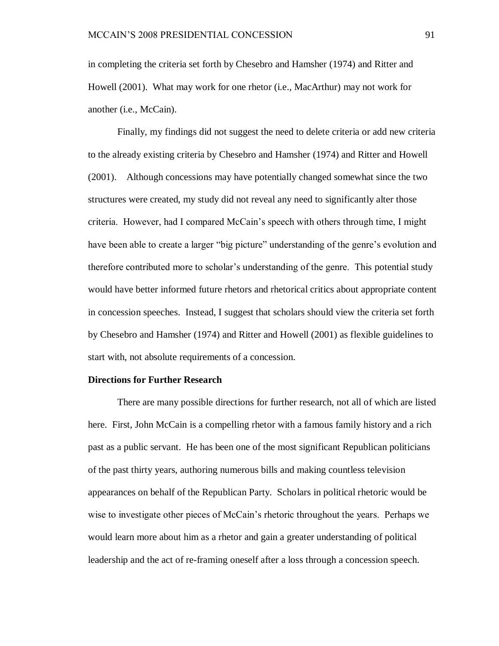in completing the criteria set forth by Chesebro and Hamsher (1974) and Ritter and Howell (2001). What may work for one rhetor (i.e., MacArthur) may not work for another (i.e., McCain).

Finally, my findings did not suggest the need to delete criteria or add new criteria to the already existing criteria by Chesebro and Hamsher (1974) and Ritter and Howell (2001). Although concessions may have potentially changed somewhat since the two structures were created, my study did not reveal any need to significantly alter those criteria. However, had I compared McCain"s speech with others through time, I might have been able to create a larger "big picture" understanding of the genre's evolution and therefore contributed more to scholar"s understanding of the genre. This potential study would have better informed future rhetors and rhetorical critics about appropriate content in concession speeches. Instead, I suggest that scholars should view the criteria set forth by Chesebro and Hamsher (1974) and Ritter and Howell (2001) as flexible guidelines to start with, not absolute requirements of a concession.

#### **Directions for Further Research**

There are many possible directions for further research, not all of which are listed here. First, John McCain is a compelling rhetor with a famous family history and a rich past as a public servant. He has been one of the most significant Republican politicians of the past thirty years, authoring numerous bills and making countless television appearances on behalf of the Republican Party. Scholars in political rhetoric would be wise to investigate other pieces of McCain"s rhetoric throughout the years. Perhaps we would learn more about him as a rhetor and gain a greater understanding of political leadership and the act of re-framing oneself after a loss through a concession speech.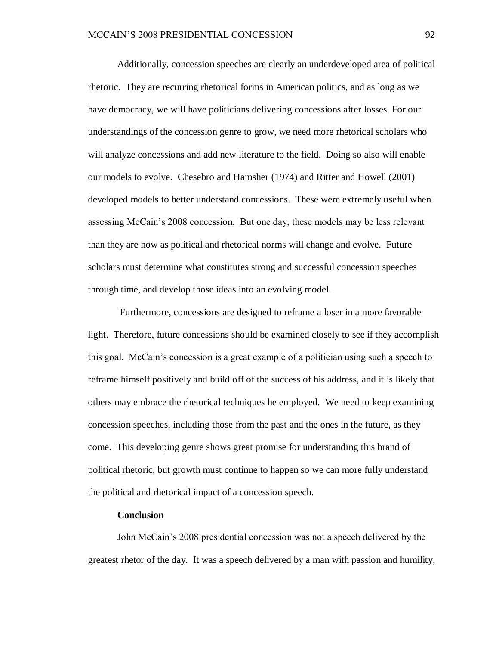Additionally, concession speeches are clearly an underdeveloped area of political rhetoric. They are recurring rhetorical forms in American politics, and as long as we have democracy, we will have politicians delivering concessions after losses. For our understandings of the concession genre to grow, we need more rhetorical scholars who will analyze concessions and add new literature to the field. Doing so also will enable our models to evolve. Chesebro and Hamsher (1974) and Ritter and Howell (2001) developed models to better understand concessions. These were extremely useful when assessing McCain"s 2008 concession. But one day, these models may be less relevant than they are now as political and rhetorical norms will change and evolve. Future scholars must determine what constitutes strong and successful concession speeches through time, and develop those ideas into an evolving model.

Furthermore, concessions are designed to reframe a loser in a more favorable light. Therefore, future concessions should be examined closely to see if they accomplish this goal. McCain"s concession is a great example of a politician using such a speech to reframe himself positively and build off of the success of his address, and it is likely that others may embrace the rhetorical techniques he employed. We need to keep examining concession speeches, including those from the past and the ones in the future, as they come. This developing genre shows great promise for understanding this brand of political rhetoric, but growth must continue to happen so we can more fully understand the political and rhetorical impact of a concession speech.

#### **Conclusion**

John McCain"s 2008 presidential concession was not a speech delivered by the greatest rhetor of the day. It was a speech delivered by a man with passion and humility,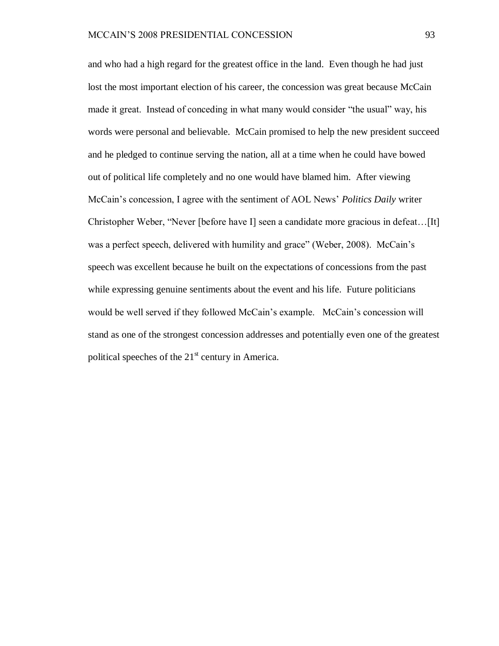and who had a high regard for the greatest office in the land. Even though he had just lost the most important election of his career, the concession was great because McCain made it great. Instead of conceding in what many would consider "the usual" way, his words were personal and believable. McCain promised to help the new president succeed and he pledged to continue serving the nation, all at a time when he could have bowed out of political life completely and no one would have blamed him. After viewing McCain"s concession, I agree with the sentiment of AOL News" *Politics Daily* writer Christopher Weber, "Never [before have I] seen a candidate more gracious in defeat…[It] was a perfect speech, delivered with humility and grace" (Weber, 2008). McCain"s speech was excellent because he built on the expectations of concessions from the past while expressing genuine sentiments about the event and his life. Future politicians would be well served if they followed McCain"s example. McCain"s concession will stand as one of the strongest concession addresses and potentially even one of the greatest political speeches of the  $21<sup>st</sup>$  century in America.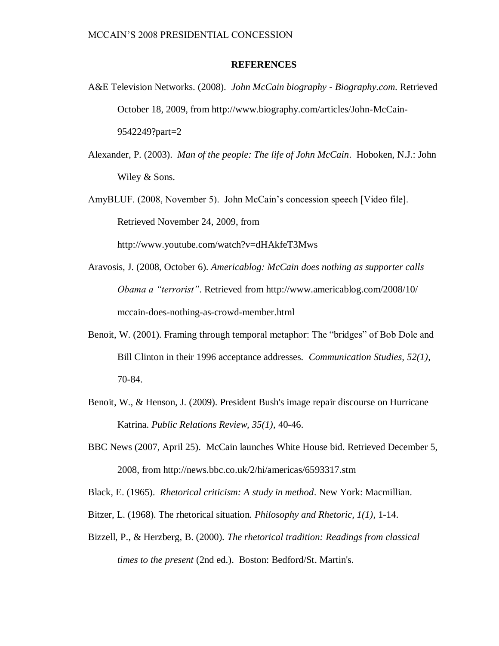#### **REFERENCES**

- A&E Television Networks. (2008). *John McCain biography - Biography.com*. Retrieved October 18, 2009, from http://www.biography.com/articles/John-McCain-9542249?part=2
- Alexander, P. (2003). *Man of the people: The life of John McCain*. Hoboken, N.J.: John Wiley & Sons.

AmyBLUF. (2008, November 5). John McCain"s concession speech [Video file]. Retrieved November 24, 2009, from

<http://www.youtube.com/watch?v=dHAkfeT3Mws>

- Aravosis, J. (2008, October 6). *Americablog: McCain does nothing as supporter calls Obama a "terrorist"*. Retrieved from<http://www.americablog.com/2008/10/> mccain-does-nothing-as-crowd-member.html
- Benoit, W. (2001). Framing through temporal metaphor: The "bridges" of Bob Dole and Bill Clinton in their 1996 acceptance addresses. *Communication Studies, 52(1)*, 70-84.
- Benoit, W., & Henson, J. (2009). President Bush's image repair discourse on Hurricane Katrina. *Public Relations Review, 35(1)*, 40-46.
- BBC News (2007, April 25). McCain launches White House bid. Retrieved December 5, 2008, from http://news.bbc.co.uk/2/hi/americas/6593317.stm

Black, E. (1965). *Rhetorical criticism: A study in method*. New York: Macmillian.

- Bitzer, L. (1968). The rhetorical situation. *Philosophy and Rhetoric, 1(1)*, 1-14.
- Bizzell, P., & Herzberg, B. (2000). *The rhetorical tradition: Readings from classical times to the present* (2nd ed.). Boston: Bedford/St. Martin's.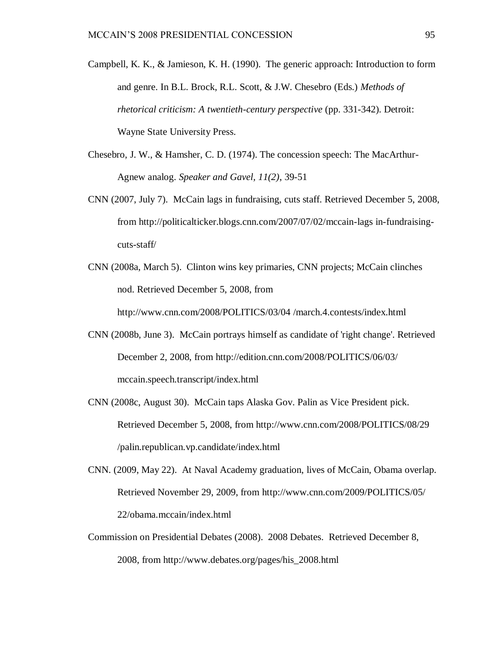- Campbell, K. K., & Jamieson, K. H. (1990). The generic approach: Introduction to form and genre. In B.L. Brock, R.L. Scott, & J.W. Chesebro (Eds.) *Methods of rhetorical criticism: A twentieth-century perspective* (pp. 331-342). Detroit: Wayne State University Press.
- Chesebro, J. W., & Hamsher, C. D. (1974). The concession speech: The MacArthur-Agnew analog. *Speaker and Gavel, 11(2)*, 39-51
- CNN (2007, July 7). McCain lags in fundraising, cuts staff. Retrieved December 5, 2008, from [http://politicalticker.blogs.cnn.com/2007/07/02/m](http://politicalticker.blogs.cnn.com/2007/07/02/)ccain-lags in-fundraisingcuts-staff/
- CNN (2008a, March 5). Clinton wins key primaries, CNN projects; McCain clinches nod. Retrieved December 5, 2008, from <http://www.cnn.com/2008/POLITICS/03/04> /march.4.contests/index.html
- CNN (2008b, June 3). McCain portrays himself as candidate of 'right change'. Retrieved December 2, 2008, from<http://edition.cnn.com/2008/POLITICS/06/03/> mccain.speech.transcript/index.html
- CNN (2008c, August 30). McCain taps Alaska Gov. Palin as Vice President pick. Retrieved December 5, 2008, from<http://www.cnn.com/2008/POLITICS/08/29> /palin.republican.vp.candidate/index.html
- CNN. (2009, May 22). At Naval Academy graduation, lives of McCain, Obama overlap. Retrieved November 29, 2009, from<http://www.cnn.com/2009/POLITICS/05/> 22/obama.mccain/index.html
- Commission on Presidential Debates (2008). 2008 Debates. Retrieved December 8, 2008, from [http://www.debates.org/pages/his\\_2008.html](http://www.debates.org/pages/his_2008.html)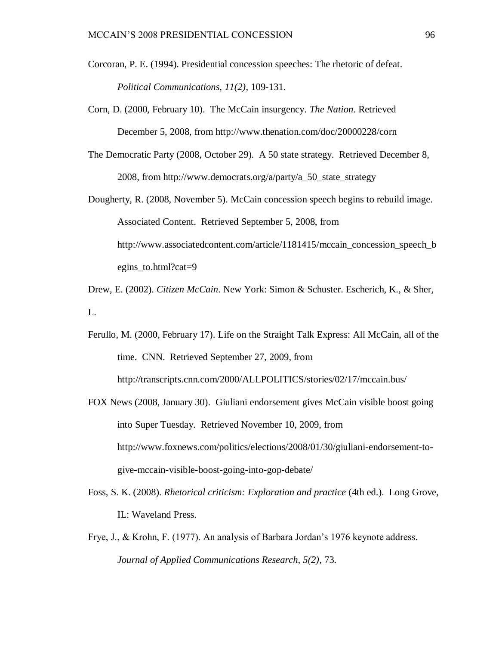- Corcoran, P. E. (1994). Presidential concession speeches: The rhetoric of defeat. *Political Communications, 11(2)*, 109-131.
- Corn, D. (2000, February 10). The McCain insurgency*. The Nation*. Retrieved December 5, 2008, from http://www.thenation.com/doc/20000228/corn
- The Democratic Party (2008, October 29). A 50 state strategy. Retrieved December 8, 2008, from http://www.democrats.org/a/party/a\_50\_state\_strategy
- Dougherty, R. (2008, November 5). McCain concession speech begins to rebuild image. Associated Content. Retrieved September 5, 2008, from [http://www.associatedcontent.com/article/1181415/mccain\\_concession\\_speech\\_b](http://www.associatedcontent.com/article/1181415/mccain_concession_speech_begins_to.html?cat=9) [egins\\_to.html?cat=9](http://www.associatedcontent.com/article/1181415/mccain_concession_speech_begins_to.html?cat=9)
- Drew, E. (2002). *Citizen McCain*. New York: Simon & Schuster. Escherich, K., & Sher, L.
- Ferullo, M. (2000, February 17). Life on the Straight Talk Express: All McCain, all of the time. CNN. Retrieved September 27, 2009, from <http://transcripts.cnn.com/2000/ALLPOLITICS/stories/02/17/mccain.bus/>
- FOX News (2008, January 30). Giuliani endorsement gives McCain visible boost going into Super Tuesday. Retrieved November 10, 2009, from [http://www.foxnews.com/politics/elections/2008/01/30/giuliani-endorsement-to](http://www.foxnews.com/politics/elections/2008/01/30/giuliani-endorsement-to-give-mccain-visible-boost-going-into-gop-debate/)[give-mccain-visible-boost-going-into-gop-debate/](http://www.foxnews.com/politics/elections/2008/01/30/giuliani-endorsement-to-give-mccain-visible-boost-going-into-gop-debate/)
- Foss, S. K. (2008). *Rhetorical criticism: Exploration and practice* (4th ed.). Long Grove, IL: Waveland Press.
- Frye, J., & Krohn, F. (1977). An analysis of Barbara Jordan"s 1976 keynote address*. Journal of Applied Communications Research, 5(2)*, 73.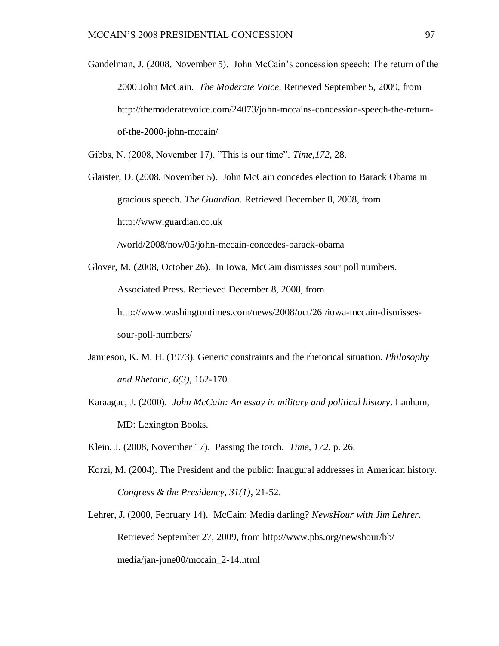Gandelman, J. (2008, November 5). John McCain"s concession speech: The return of the 2000 John McCain. *The Moderate Voice*. Retrieved September 5, 2009, from [http://themoderatevoice.com/24073/john-mccains-concession-speech-the-return](http://themoderatevoice.com/24073/john-mccains-concession-speech-the-return-of-the-2000-john-mccain/)[of-the-2000-john-mccain/](http://themoderatevoice.com/24073/john-mccains-concession-speech-the-return-of-the-2000-john-mccain/)

Gibbs, N. (2008, November 17). "This is our time". *Time,172*, 28.

Glaister, D. (2008, November 5). John McCain concedes election to Barack Obama in gracious speech. *The Guardian*. Retrieved December 8, 2008, from [http://www.guardian.co.uk](http://www.guardian.co.uk/)

/world/2008/nov/05/john-mccain-concedes-barack-obama

- Glover, M. (2008, October 26). In Iowa, McCain dismisses sour poll numbers. Associated Press. Retrieved December 8, 2008, from <http://www.washingtontimes.com/news/2008/oct/26> /iowa-mccain-dismissessour-poll-numbers/
- Jamieson, K. M. H. (1973). Generic constraints and the rhetorical situation. *Philosophy and Rhetoric, 6(3)*, 162-170.
- Karaagac, J. (2000). *John McCain: An essay in military and political history*. Lanham, MD: Lexington Books.
- Klein, J. (2008, November 17). Passing the torch. *Time, 172*, p. 26.
- Korzi, M. (2004). The President and the public: Inaugural addresses in American history. *Congress & the Presidency, 31(1)*, 21-52.

Lehrer, J. (2000, February 14). McCain: Media darling? *NewsHour with Jim Lehrer*. Retrieved September 27, 2009, from<http://www.pbs.org/newshour/bb/> media/jan-june00/mccain\_2-14.html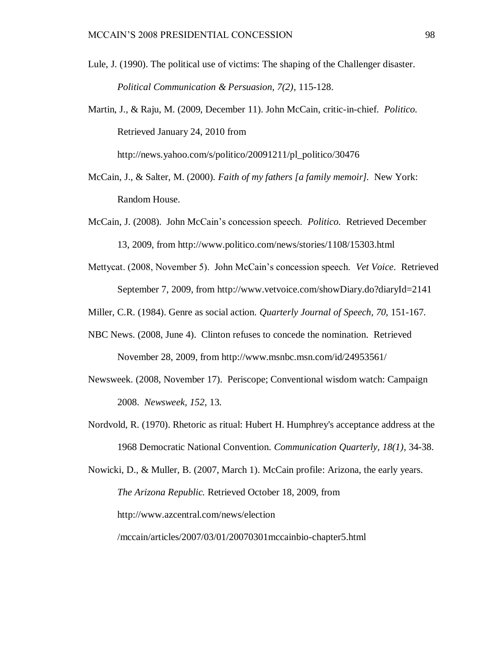- Lule, J. (1990). The political use of victims: The shaping of the Challenger disaster. *Political Communication & Persuasion, 7(2)*, 115-128.
- Martin, J., & Raju, M. (2009, December 11). John McCain, critic-in-chief. *Politico.* Retrieved January 24, 2010 from

http://news.yahoo.com/s/politico/20091211/pl\_politico/30476

- McCain, J., & Salter, M. (2000). *Faith of my fathers [a family memoir].* New York: Random House.
- McCain, J. (2008). John McCain"s concession speech. *Politico.* Retrieved December 13, 2009, from http://www.politico.com/news/stories/1108/15303.html
- Mettycat. (2008, November 5). John McCain"s concession speech. *Vet Voice*. Retrieved September 7, 2009, from<http://www.vetvoice.com/showDiary.do?diaryId=2141>

Miller, C.R. (1984). Genre as social action. *Quarterly Journal of Speech, 70,* 151-167.

- NBC News. (2008, June 4). Clinton refuses to concede the nomination. Retrieved November 28, 2009, from<http://www.msnbc.msn.com/id/24953561/>
- Newsweek. (2008, November 17). Periscope; Conventional wisdom watch: Campaign 2008. *Newsweek, 152*, 13.
- Nordvold, R. (1970). Rhetoric as ritual: Hubert H. Humphrey's acceptance address at the 1968 Democratic National Convention. *Communication Quarterly, 18(1)*, 34-38.

Nowicki, D., & Muller, B. (2007, March 1). McCain profile: Arizona, the early years. *The Arizona Republic.* Retrieved October 18, 2009, from <http://www.azcentral.com/news/election> /mccain/articles/2007/03/01/20070301mccainbio-chapter5.html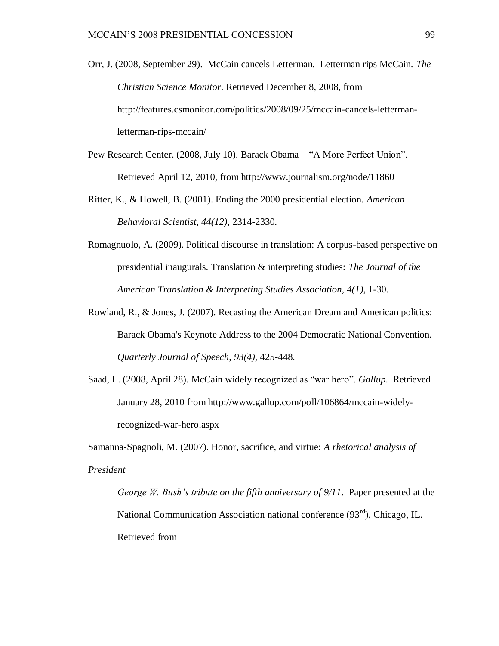- Orr, J. (2008, September 29). McCain cancels Letterman. Letterman rips McCain. *The Christian Science Monitor*. Retrieved December 8, 2008, from [http://features.csmonitor.com/politics/2008/09/25/mccain-cancels-letterman](http://features.csmonitor.com/politics/2008/09/25/mccain-cancels-letterman-letterman-rips-mccain/)[letterman-rips-mccain/](http://features.csmonitor.com/politics/2008/09/25/mccain-cancels-letterman-letterman-rips-mccain/)
- Pew Research Center. (2008, July 10). Barack Obama "A More Perfect Union". Retrieved April 12, 2010, from http://www.journalism.org/node/11860
- Ritter, K., & Howell, B. (2001). Ending the 2000 presidential election. *American Behavioral Scientist, 44(12),* 2314-2330.
- Romagnuolo, A. (2009). Political discourse in translation: A corpus-based perspective on presidential inaugurals. Translation & interpreting studies: *The Journal of the American Translation & Interpreting Studies Association, 4(1)*, 1-30.
- Rowland, R., & Jones, J. (2007). Recasting the American Dream and American politics: Barack Obama's Keynote Address to the 2004 Democratic National Convention. *Quarterly Journal of Speech, 93(4)*, 425-448.
- Saad, L. (2008, April 28). McCain widely recognized as "war hero". *Gallup*. Retrieved January 28, 2010 from http://www.gallup.com/poll/106864/mccain-widelyrecognized-war-hero.aspx

Samanna-Spagnoli, M. (2007). Honor, sacrifice, and virtue: *A rhetorical analysis of President*

*George W. Bush's tribute on the fifth anniversary of 9/11*. Paper presented at the National Communication Association national conference (93<sup>rd</sup>), Chicago, IL. Retrieved from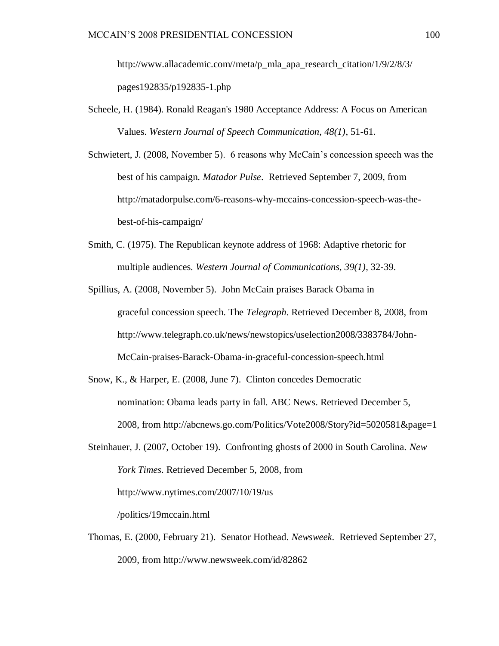[http://www.allacademic.com//meta/p\\_mla\\_apa\\_research\\_citation/1/9/2/8/3/](http://www.allacademic.com/meta/p_mla_apa_research_citation/1/9/2/8/3/) pages192835/p192835-1.php

- Scheele, H. (1984). Ronald Reagan's 1980 Acceptance Address: A Focus on American Values. *Western Journal of Speech Communication, 48(1)*, 51-61.
- Schwietert, J. (2008, November 5). 6 reasons why McCain"s concession speech was the best of his campaign. *Matador Pulse*. Retrieved September 7, 2009, from [http://matadorpulse.com/6-reasons-why-mccains-concession-speech-was-the](http://matadorpulse.com/6-reasons-why-mccains-concession-speech-was-the-best-of-his-campaign/)[best-of-his-campaign/](http://matadorpulse.com/6-reasons-why-mccains-concession-speech-was-the-best-of-his-campaign/)
- Smith, C. (1975). The Republican keynote address of 1968: Adaptive rhetoric for multiple audiences. *Western Journal of Communications, 39(1)*, 32-39.
- Spillius, A. (2008, November 5). John McCain praises Barack Obama in graceful concession speech. The *Telegraph*. Retrieved December 8, 2008, from http://www.telegraph.co.uk/news/newstopics/uselection2008/3383784/John-McCain-praises-Barack-Obama-in-graceful-concession-speech.html
- Snow, K., & Harper, E. (2008, June 7). Clinton concedes Democratic nomination: Obama leads party in fall. ABC News. Retrieved December 5, 2008, from<http://abcnews.go.com/Politics/Vote2008/Story?id=5020581&page=1>
- Steinhauer, J. (2007, October 19). Confronting ghosts of 2000 in South Carolina. *New York Times*. Retrieved December 5, 2008, from <http://www.nytimes.com/2007/10/19/us> /politics/19mccain.html
- Thomas, E. (2000, February 21). Senator Hothead. *Newsweek*. Retrieved September 27, 2009, from<http://www.newsweek.com/id/82862>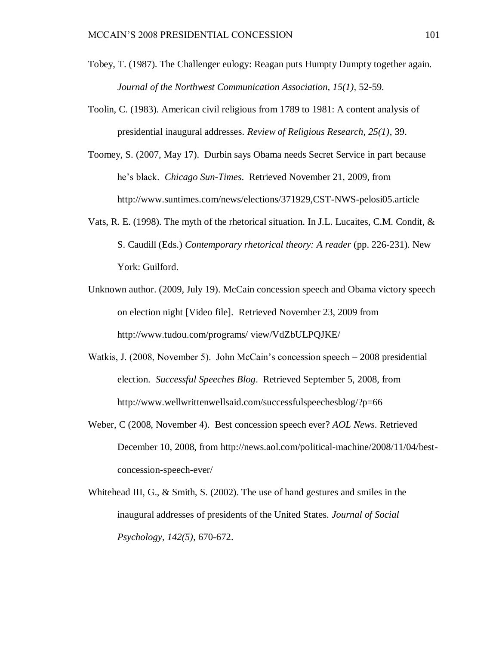- Tobey, T. (1987). The Challenger eulogy: Reagan puts Humpty Dumpty together again. *Journal of the Northwest Communication Association, 15(1),* 52-59.
- Toolin, C. (1983). American civil religious from 1789 to 1981: A content analysis of presidential inaugural addresses. *Review of Religious Research, 25(1)*, 39.
- Toomey, S. (2007, May 17). Durbin says Obama needs Secret Service in part because he"s black. *Chicago Sun-Times*. Retrieved November 21, 2009, from http://www.suntimes.com/news/elections/371929,CST-NWS-pelosi05.article
- Vats, R. E. (1998). The myth of the rhetorical situation. In J.L. Lucaites, C.M. Condit, & S. Caudill (Eds.) *Contemporary rhetorical theory: A reader* (pp. 226-231). New York: Guilford.
- Unknown author. (2009, July 19). McCain concession speech and Obama victory speech on election night [Video file]. Retrieved November 23, 2009 from <http://www.tudou.com/programs/> view/VdZbULPQJKE/
- Watkis, J. (2008, November 5). John McCain"s concession speech 2008 presidential election. *Successful Speeches Blog*. Retrieved September 5, 2008, from http://www.wellwrittenwellsaid.com/successfulspeechesblog/?p=66
- Weber, C (2008, November 4). Best concession speech ever? *AOL News*. Retrieved December 10, 2008, from [http://news.aol.com/political-machine/2008/11/04/best](http://news.aol.com/political-machine/2008/11/04/best-concession-speech-ever/)[concession-speech-ever/](http://news.aol.com/political-machine/2008/11/04/best-concession-speech-ever/)
- Whitehead III, G., & Smith, S. (2002). The use of hand gestures and smiles in the inaugural addresses of presidents of the United States. *Journal of Social Psychology, 142(5)*, 670-672.